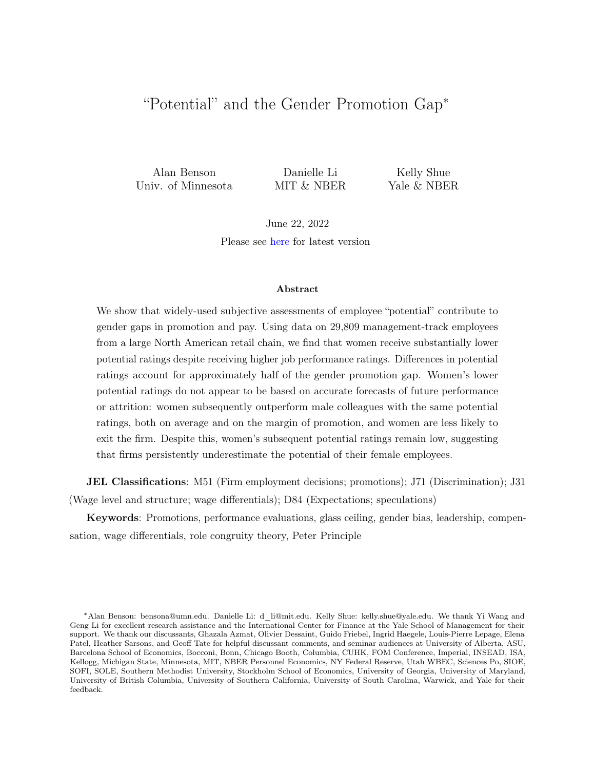# "Potential" and the Gender Promotion Gap<sup>∗</sup>

Univ. of Minnesota MIT & NBER Yale & NBER

Alan Benson Danielle Li Kelly Shue

June 22, 2022 Please see [here](https://danielle-li.github.io/assets/docs/PotentialAndTheGenderPromotionGap.pdf) for latest version

#### Abstract

We show that widely-used subjective assessments of employee "potential" contribute to gender gaps in promotion and pay. Using data on 29,809 management-track employees from a large North American retail chain, we find that women receive substantially lower potential ratings despite receiving higher job performance ratings. Differences in potential ratings account for approximately half of the gender promotion gap. Women's lower potential ratings do not appear to be based on accurate forecasts of future performance or attrition: women subsequently outperform male colleagues with the same potential ratings, both on average and on the margin of promotion, and women are less likely to exit the firm. Despite this, women's subsequent potential ratings remain low, suggesting that firms persistently underestimate the potential of their female employees.

**JEL Classifications**: M51 (Firm employment decisions; promotions); J71 (Discrimination); J31 (Wage level and structure; wage differentials); D84 (Expectations; speculations)

Keywords: Promotions, performance evaluations, glass ceiling, gender bias, leadership, compensation, wage differentials, role congruity theory, Peter Principle

<sup>∗</sup>Alan Benson: bensona@umn.edu. Danielle Li: d\_li@mit.edu. Kelly Shue: kelly.shue@yale.edu. We thank Yi Wang and Geng Li for excellent research assistance and the International Center for Finance at the Yale School of Management for their support. We thank our discussants, Ghazala Azmat, Olivier Dessaint, Guido Friebel, Ingrid Haegele, Louis-Pierre Lepage, Elena Patel, Heather Sarsons, and Geoff Tate for helpful discussant comments, and seminar audiences at University of Alberta, ASU, Barcelona School of Economics, Bocconi, Bonn, Chicago Booth, Columbia, CUHK, FOM Conference, Imperial, INSEAD, ISA, Kellogg, Michigan State, Minnesota, MIT, NBER Personnel Economics, NY Federal Reserve, Utah WBEC, Sciences Po, SIOE, SOFI, SOLE, Southern Methodist University, Stockholm School of Economics, University of Georgia, University of Maryland, University of British Columbia, University of Southern California, University of South Carolina, Warwick, and Yale for their feedback.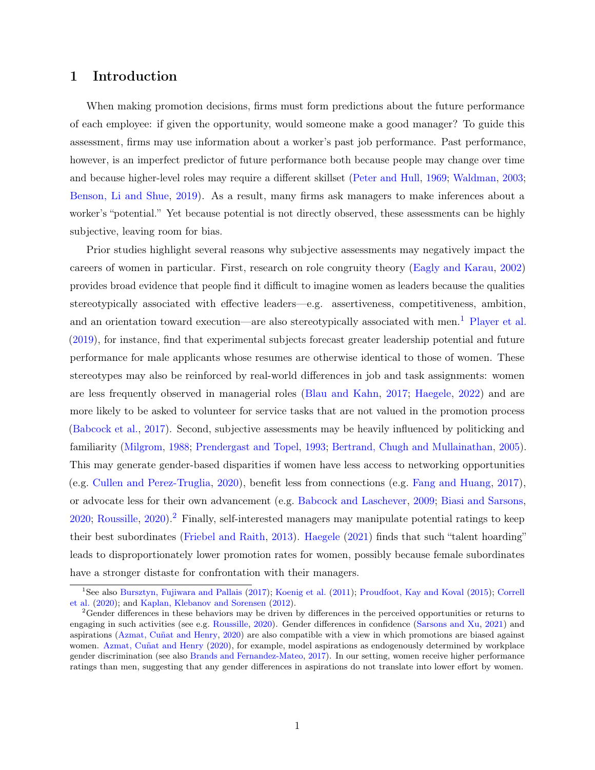### 1 Introduction

When making promotion decisions, firms must form predictions about the future performance of each employee: if given the opportunity, would someone make a good manager? To guide this assessment, firms may use information about a worker's past job performance. Past performance, however, is an imperfect predictor of future performance both because people may change over time and because higher-level roles may require a different skillset [\(Peter and Hull,](#page-35-0) [1969;](#page-35-0) [Waldman,](#page-36-0) [2003;](#page-36-0) [Benson, Li and Shue,](#page-30-0) [2019\)](#page-30-0). As a result, many firms ask managers to make inferences about a worker's "potential." Yet because potential is not directly observed, these assessments can be highly subjective, leaving room for bias.

Prior studies highlight several reasons why subjective assessments may negatively impact the careers of women in particular. First, research on role congruity theory [\(Eagly and Karau,](#page-32-0) [2002\)](#page-32-0) provides broad evidence that people find it difficult to imagine women as leaders because the qualities stereotypically associated with effective leaders—e.g. assertiveness, competitiveness, ambition, and an orientation toward execution—are also stereotypically associated with men.<sup>[1](#page-1-0)</sup> [Player et al.](#page-35-1) [\(2019\)](#page-35-1), for instance, find that experimental subjects forecast greater leadership potential and future performance for male applicants whose resumes are otherwise identical to those of women. These stereotypes may also be reinforced by real-world differences in job and task assignments: women are less frequently observed in managerial roles [\(Blau and Kahn,](#page-31-0) [2017;](#page-31-0) [Haegele,](#page-33-0) [2022\)](#page-33-0) and are more likely to be asked to volunteer for service tasks that are not valued in the promotion process [\(Babcock et al.,](#page-30-1) [2017\)](#page-30-1). Second, subjective assessments may be heavily influenced by politicking and familiarity [\(Milgrom,](#page-35-2) [1988;](#page-35-2) [Prendergast and Topel,](#page-35-3) [1993;](#page-35-3) [Bertrand, Chugh and Mullainathan,](#page-30-2) [2005\)](#page-30-2). This may generate gender-based disparities if women have less access to networking opportunities (e.g. [Cullen and Perez-Truglia,](#page-32-1) [2020\)](#page-32-1), benefit less from connections (e.g. [Fang and Huang,](#page-32-2) [2017\)](#page-32-2), or advocate less for their own advancement (e.g. [Babcock and Laschever,](#page-30-3) [2009;](#page-30-3) [Biasi and Sarsons,](#page-30-4) [2020;](#page-30-4) [Roussille,](#page-35-4) [2020\)](#page-35-4).[2](#page-1-1) Finally, self-interested managers may manipulate potential ratings to keep their best subordinates [\(Friebel and Raith,](#page-33-1) [2013\)](#page-33-1). [Haegele](#page-33-2) [\(2021\)](#page-33-2) finds that such "talent hoarding" leads to disproportionately lower promotion rates for women, possibly because female subordinates have a stronger distaste for confrontation with their managers.

<span id="page-1-0"></span><sup>1</sup>See also [Bursztyn, Fujiwara and Pallais](#page-31-1) [\(2017\)](#page-31-1); [Koenig et al.](#page-34-0) [\(2011\)](#page-34-0); [Proudfoot, Kay and Koval](#page-35-5) [\(2015\)](#page-35-5); [Correll](#page-32-3) [et al.](#page-32-3) [\(2020\)](#page-32-3); and [Kaplan, Klebanov and Sorensen](#page-34-1) [\(2012\)](#page-34-1).

<span id="page-1-1"></span><sup>&</sup>lt;sup>2</sup>Gender differences in these behaviors may be driven by differences in the perceived opportunities or returns to engaging in such activities (see e.g. [Roussille,](#page-35-4) [2020\)](#page-35-4). Gender differences in confidence [\(Sarsons and Xu,](#page-35-6) [2021\)](#page-35-6) and aspirations [\(Azmat, Cuñat and Henry,](#page-30-5) [2020\)](#page-30-5) are also compatible with a view in which promotions are biased against women. [Azmat, Cuñat and Henry](#page-30-5) [\(2020\)](#page-30-5), for example, model aspirations as endogenously determined by workplace gender discrimination (see also [Brands and Fernandez-Mateo,](#page-31-2) [2017\)](#page-31-2). In our setting, women receive higher performance ratings than men, suggesting that any gender differences in aspirations do not translate into lower effort by women.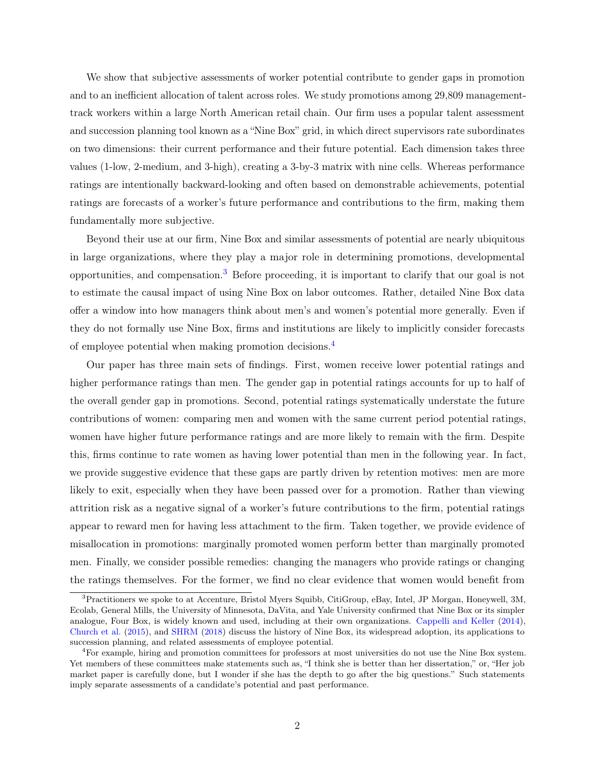We show that subjective assessments of worker potential contribute to gender gaps in promotion and to an inefficient allocation of talent across roles. We study promotions among 29,809 managementtrack workers within a large North American retail chain. Our firm uses a popular talent assessment and succession planning tool known as a "Nine Box" grid, in which direct supervisors rate subordinates on two dimensions: their current performance and their future potential. Each dimension takes three values (1-low, 2-medium, and 3-high), creating a 3-by-3 matrix with nine cells. Whereas performance ratings are intentionally backward-looking and often based on demonstrable achievements, potential ratings are forecasts of a worker's future performance and contributions to the firm, making them fundamentally more subjective.

Beyond their use at our firm, Nine Box and similar assessments of potential are nearly ubiquitous in large organizations, where they play a major role in determining promotions, developmental opportunities, and compensation.[3](#page-2-0) Before proceeding, it is important to clarify that our goal is not to estimate the causal impact of using Nine Box on labor outcomes. Rather, detailed Nine Box data offer a window into how managers think about men's and women's potential more generally. Even if they do not formally use Nine Box, firms and institutions are likely to implicitly consider forecasts of employee potential when making promotion decisions.[4](#page-2-1)

Our paper has three main sets of findings. First, women receive lower potential ratings and higher performance ratings than men. The gender gap in potential ratings accounts for up to half of the overall gender gap in promotions. Second, potential ratings systematically understate the future contributions of women: comparing men and women with the same current period potential ratings, women have higher future performance ratings and are more likely to remain with the firm. Despite this, firms continue to rate women as having lower potential than men in the following year. In fact, we provide suggestive evidence that these gaps are partly driven by retention motives: men are more likely to exit, especially when they have been passed over for a promotion. Rather than viewing attrition risk as a negative signal of a worker's future contributions to the firm, potential ratings appear to reward men for having less attachment to the firm. Taken together, we provide evidence of misallocation in promotions: marginally promoted women perform better than marginally promoted men. Finally, we consider possible remedies: changing the managers who provide ratings or changing the ratings themselves. For the former, we find no clear evidence that women would benefit from

<span id="page-2-0"></span><sup>3</sup>Practitioners we spoke to at Accenture, Bristol Myers Squibb, CitiGroup, eBay, Intel, JP Morgan, Honeywell, 3M, Ecolab, General Mills, the University of Minnesota, DaVita, and Yale University confirmed that Nine Box or its simpler analogue, Four Box, is widely known and used, including at their own organizations. [Cappelli and Keller](#page-31-3) [\(2014\)](#page-31-3), [Church et al.](#page-31-4) [\(2015\)](#page-31-4), and [SHRM](#page-35-7) [\(2018\)](#page-35-7) discuss the history of Nine Box, its widespread adoption, its applications to succession planning, and related assessments of employee potential.

<span id="page-2-1"></span><sup>4</sup>For example, hiring and promotion committees for professors at most universities do not use the Nine Box system. Yet members of these committees make statements such as, "I think she is better than her dissertation," or, "Her job market paper is carefully done, but I wonder if she has the depth to go after the big questions." Such statements imply separate assessments of a candidate's potential and past performance.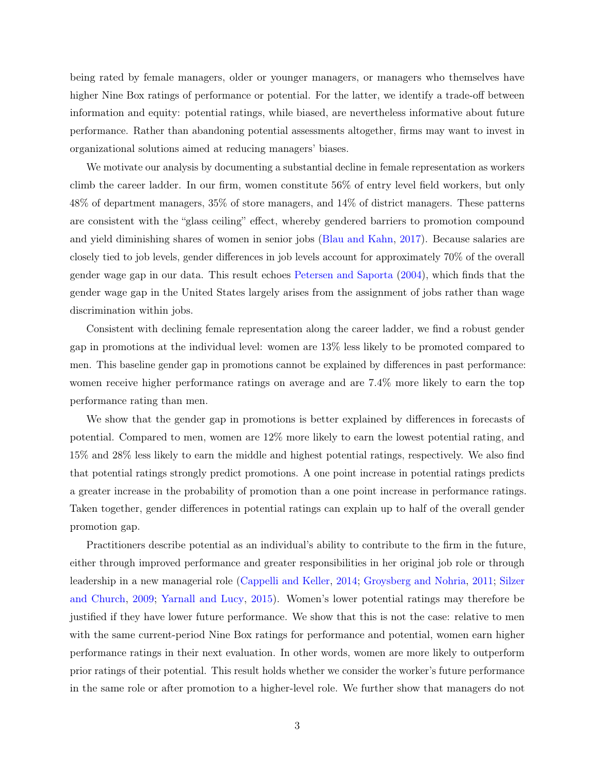being rated by female managers, older or younger managers, or managers who themselves have higher Nine Box ratings of performance or potential. For the latter, we identify a trade-off between information and equity: potential ratings, while biased, are nevertheless informative about future performance. Rather than abandoning potential assessments altogether, firms may want to invest in organizational solutions aimed at reducing managers' biases.

We motivate our analysis by documenting a substantial decline in female representation as workers climb the career ladder. In our firm, women constitute 56% of entry level field workers, but only 48% of department managers, 35% of store managers, and 14% of district managers. These patterns are consistent with the "glass ceiling" effect, whereby gendered barriers to promotion compound and yield diminishing shares of women in senior jobs [\(Blau and Kahn,](#page-31-0) [2017\)](#page-31-0). Because salaries are closely tied to job levels, gender differences in job levels account for approximately 70% of the overall gender wage gap in our data. This result echoes [Petersen and Saporta](#page-35-8) [\(2004\)](#page-35-8), which finds that the gender wage gap in the United States largely arises from the assignment of jobs rather than wage discrimination within jobs.

Consistent with declining female representation along the career ladder, we find a robust gender gap in promotions at the individual level: women are 13% less likely to be promoted compared to men. This baseline gender gap in promotions cannot be explained by differences in past performance: women receive higher performance ratings on average and are 7.4% more likely to earn the top performance rating than men.

We show that the gender gap in promotions is better explained by differences in forecasts of potential. Compared to men, women are 12% more likely to earn the lowest potential rating, and 15% and 28% less likely to earn the middle and highest potential ratings, respectively. We also find that potential ratings strongly predict promotions. A one point increase in potential ratings predicts a greater increase in the probability of promotion than a one point increase in performance ratings. Taken together, gender differences in potential ratings can explain up to half of the overall gender promotion gap.

Practitioners describe potential as an individual's ability to contribute to the firm in the future, either through improved performance and greater responsibilities in her original job role or through leadership in a new managerial role [\(Cappelli and Keller,](#page-31-3) [2014;](#page-31-3) [Groysberg and Nohria,](#page-33-3) [2011;](#page-33-3) [Silzer](#page-36-1) [and Church,](#page-36-1) [2009;](#page-36-1) [Yarnall and Lucy,](#page-36-2) [2015\)](#page-36-2). Women's lower potential ratings may therefore be justified if they have lower future performance. We show that this is not the case: relative to men with the same current-period Nine Box ratings for performance and potential, women earn higher performance ratings in their next evaluation. In other words, women are more likely to outperform prior ratings of their potential. This result holds whether we consider the worker's future performance in the same role or after promotion to a higher-level role. We further show that managers do not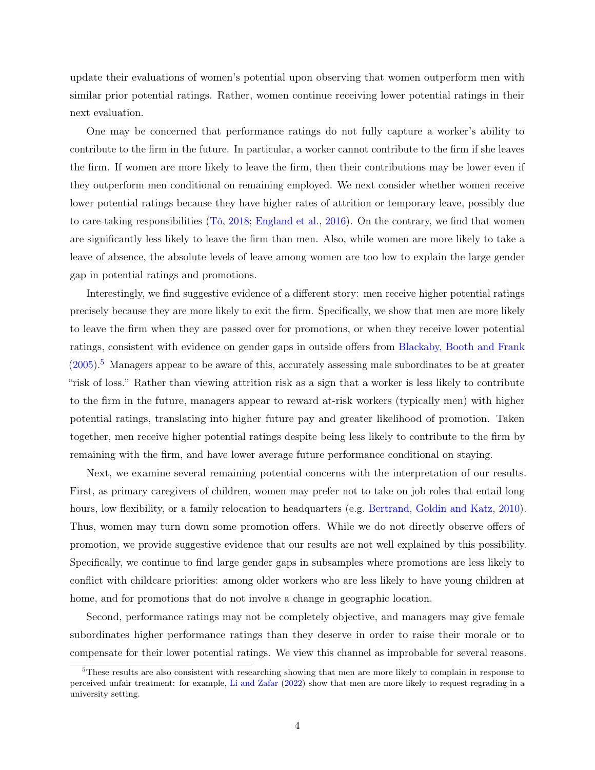update their evaluations of women's potential upon observing that women outperform men with similar prior potential ratings. Rather, women continue receiving lower potential ratings in their next evaluation.

One may be concerned that performance ratings do not fully capture a worker's ability to contribute to the firm in the future. In particular, a worker cannot contribute to the firm if she leaves the firm. If women are more likely to leave the firm, then their contributions may be lower even if they outperform men conditional on remaining employed. We next consider whether women receive lower potential ratings because they have higher rates of attrition or temporary leave, possibly due to care-taking responsibilities [\(Tô,](#page-36-3) [2018;](#page-36-3) [England et al.,](#page-32-4) [2016\)](#page-32-4). On the contrary, we find that women are significantly less likely to leave the firm than men. Also, while women are more likely to take a leave of absence, the absolute levels of leave among women are too low to explain the large gender gap in potential ratings and promotions.

Interestingly, we find suggestive evidence of a different story: men receive higher potential ratings precisely because they are more likely to exit the firm. Specifically, we show that men are more likely to leave the firm when they are passed over for promotions, or when they receive lower potential ratings, consistent with evidence on gender gaps in outside offers from [Blackaby, Booth and Frank](#page-31-5)  $(2005)$ <sup>[5](#page-4-0)</sup> Managers appear to be aware of this, accurately assessing male subordinates to be at greater "risk of loss." Rather than viewing attrition risk as a sign that a worker is less likely to contribute to the firm in the future, managers appear to reward at-risk workers (typically men) with higher potential ratings, translating into higher future pay and greater likelihood of promotion. Taken together, men receive higher potential ratings despite being less likely to contribute to the firm by remaining with the firm, and have lower average future performance conditional on staying.

Next, we examine several remaining potential concerns with the interpretation of our results. First, as primary caregivers of children, women may prefer not to take on job roles that entail long hours, low flexibility, or a family relocation to headquarters (e.g. [Bertrand, Goldin and Katz,](#page-30-6) [2010\)](#page-30-6). Thus, women may turn down some promotion offers. While we do not directly observe offers of promotion, we provide suggestive evidence that our results are not well explained by this possibility. Specifically, we continue to find large gender gaps in subsamples where promotions are less likely to conflict with childcare priorities: among older workers who are less likely to have young children at home, and for promotions that do not involve a change in geographic location.

Second, performance ratings may not be completely objective, and managers may give female subordinates higher performance ratings than they deserve in order to raise their morale or to compensate for their lower potential ratings. We view this channel as improbable for several reasons.

<span id="page-4-0"></span><sup>&</sup>lt;sup>5</sup>These results are also consistent with researching showing that men are more likely to complain in response to perceived unfair treatment: for example, [Li and Zafar](#page-34-2) [\(2022\)](#page-34-2) show that men are more likely to request regrading in a university setting.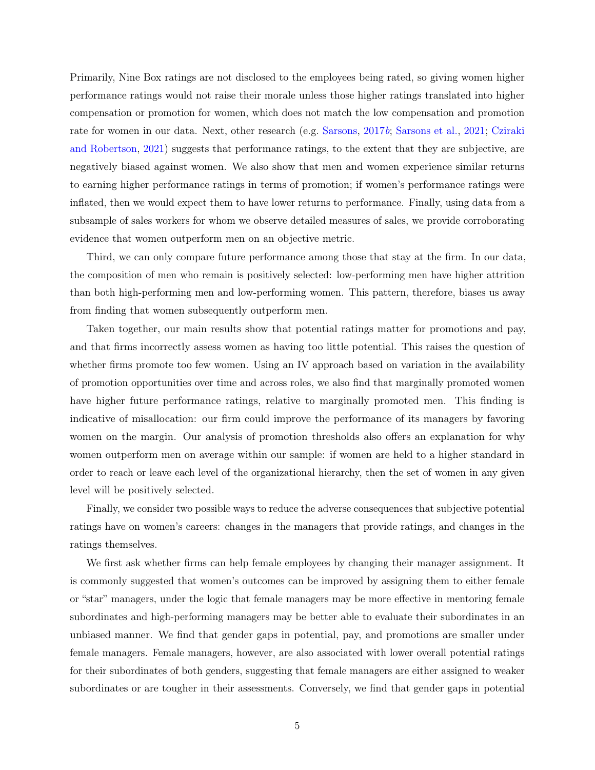Primarily, Nine Box ratings are not disclosed to the employees being rated, so giving women higher performance ratings would not raise their morale unless those higher ratings translated into higher compensation or promotion for women, which does not match the low compensation and promotion rate for women in our data. Next, other research (e.g. [Sarsons,](#page-35-9) [2017](#page-35-9)b; [Sarsons et al.,](#page-35-10) [2021;](#page-35-10) [Cziraki](#page-32-5) [and Robertson,](#page-32-5) [2021\)](#page-32-5) suggests that performance ratings, to the extent that they are subjective, are negatively biased against women. We also show that men and women experience similar returns to earning higher performance ratings in terms of promotion; if women's performance ratings were inflated, then we would expect them to have lower returns to performance. Finally, using data from a subsample of sales workers for whom we observe detailed measures of sales, we provide corroborating evidence that women outperform men on an objective metric.

Third, we can only compare future performance among those that stay at the firm. In our data, the composition of men who remain is positively selected: low-performing men have higher attrition than both high-performing men and low-performing women. This pattern, therefore, biases us away from finding that women subsequently outperform men.

Taken together, our main results show that potential ratings matter for promotions and pay, and that firms incorrectly assess women as having too little potential. This raises the question of whether firms promote too few women. Using an IV approach based on variation in the availability of promotion opportunities over time and across roles, we also find that marginally promoted women have higher future performance ratings, relative to marginally promoted men. This finding is indicative of misallocation: our firm could improve the performance of its managers by favoring women on the margin. Our analysis of promotion thresholds also offers an explanation for why women outperform men on average within our sample: if women are held to a higher standard in order to reach or leave each level of the organizational hierarchy, then the set of women in any given level will be positively selected.

Finally, we consider two possible ways to reduce the adverse consequences that subjective potential ratings have on women's careers: changes in the managers that provide ratings, and changes in the ratings themselves.

We first ask whether firms can help female employees by changing their manager assignment. It is commonly suggested that women's outcomes can be improved by assigning them to either female or "star" managers, under the logic that female managers may be more effective in mentoring female subordinates and high-performing managers may be better able to evaluate their subordinates in an unbiased manner. We find that gender gaps in potential, pay, and promotions are smaller under female managers. Female managers, however, are also associated with lower overall potential ratings for their subordinates of both genders, suggesting that female managers are either assigned to weaker subordinates or are tougher in their assessments. Conversely, we find that gender gaps in potential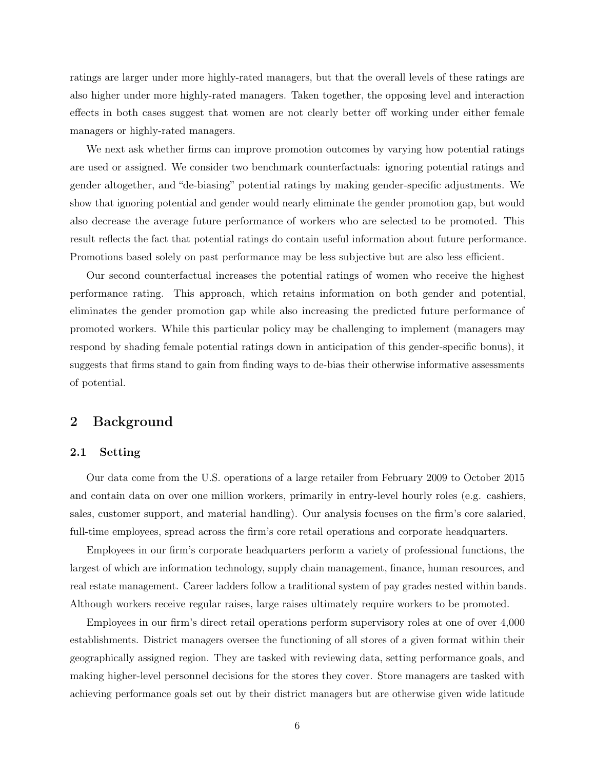ratings are larger under more highly-rated managers, but that the overall levels of these ratings are also higher under more highly-rated managers. Taken together, the opposing level and interaction effects in both cases suggest that women are not clearly better off working under either female managers or highly-rated managers.

We next ask whether firms can improve promotion outcomes by varying how potential ratings are used or assigned. We consider two benchmark counterfactuals: ignoring potential ratings and gender altogether, and "de-biasing" potential ratings by making gender-specific adjustments. We show that ignoring potential and gender would nearly eliminate the gender promotion gap, but would also decrease the average future performance of workers who are selected to be promoted. This result reflects the fact that potential ratings do contain useful information about future performance. Promotions based solely on past performance may be less subjective but are also less efficient.

Our second counterfactual increases the potential ratings of women who receive the highest performance rating. This approach, which retains information on both gender and potential, eliminates the gender promotion gap while also increasing the predicted future performance of promoted workers. While this particular policy may be challenging to implement (managers may respond by shading female potential ratings down in anticipation of this gender-specific bonus), it suggests that firms stand to gain from finding ways to de-bias their otherwise informative assessments of potential.

# 2 Background

### 2.1 Setting

Our data come from the U.S. operations of a large retailer from February 2009 to October 2015 and contain data on over one million workers, primarily in entry-level hourly roles (e.g. cashiers, sales, customer support, and material handling). Our analysis focuses on the firm's core salaried, full-time employees, spread across the firm's core retail operations and corporate headquarters.

Employees in our firm's corporate headquarters perform a variety of professional functions, the largest of which are information technology, supply chain management, finance, human resources, and real estate management. Career ladders follow a traditional system of pay grades nested within bands. Although workers receive regular raises, large raises ultimately require workers to be promoted.

Employees in our firm's direct retail operations perform supervisory roles at one of over 4,000 establishments. District managers oversee the functioning of all stores of a given format within their geographically assigned region. They are tasked with reviewing data, setting performance goals, and making higher-level personnel decisions for the stores they cover. Store managers are tasked with achieving performance goals set out by their district managers but are otherwise given wide latitude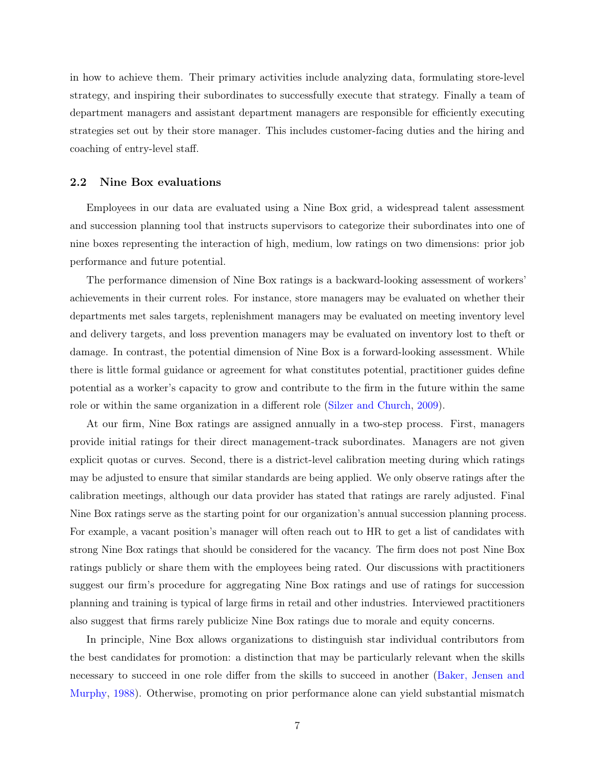in how to achieve them. Their primary activities include analyzing data, formulating store-level strategy, and inspiring their subordinates to successfully execute that strategy. Finally a team of department managers and assistant department managers are responsible for efficiently executing strategies set out by their store manager. This includes customer-facing duties and the hiring and coaching of entry-level staff.

#### 2.2 Nine Box evaluations

Employees in our data are evaluated using a Nine Box grid, a widespread talent assessment and succession planning tool that instructs supervisors to categorize their subordinates into one of nine boxes representing the interaction of high, medium, low ratings on two dimensions: prior job performance and future potential.

The performance dimension of Nine Box ratings is a backward-looking assessment of workers' achievements in their current roles. For instance, store managers may be evaluated on whether their departments met sales targets, replenishment managers may be evaluated on meeting inventory level and delivery targets, and loss prevention managers may be evaluated on inventory lost to theft or damage. In contrast, the potential dimension of Nine Box is a forward-looking assessment. While there is little formal guidance or agreement for what constitutes potential, practitioner guides define potential as a worker's capacity to grow and contribute to the firm in the future within the same role or within the same organization in a different role [\(Silzer and Church,](#page-36-1) [2009\)](#page-36-1).

At our firm, Nine Box ratings are assigned annually in a two-step process. First, managers provide initial ratings for their direct management-track subordinates. Managers are not given explicit quotas or curves. Second, there is a district-level calibration meeting during which ratings may be adjusted to ensure that similar standards are being applied. We only observe ratings after the calibration meetings, although our data provider has stated that ratings are rarely adjusted. Final Nine Box ratings serve as the starting point for our organization's annual succession planning process. For example, a vacant position's manager will often reach out to HR to get a list of candidates with strong Nine Box ratings that should be considered for the vacancy. The firm does not post Nine Box ratings publicly or share them with the employees being rated. Our discussions with practitioners suggest our firm's procedure for aggregating Nine Box ratings and use of ratings for succession planning and training is typical of large firms in retail and other industries. Interviewed practitioners also suggest that firms rarely publicize Nine Box ratings due to morale and equity concerns.

In principle, Nine Box allows organizations to distinguish star individual contributors from the best candidates for promotion: a distinction that may be particularly relevant when the skills necessary to succeed in one role differ from the skills to succeed in another [\(Baker, Jensen and](#page-30-7) [Murphy,](#page-30-7) [1988\)](#page-30-7). Otherwise, promoting on prior performance alone can yield substantial mismatch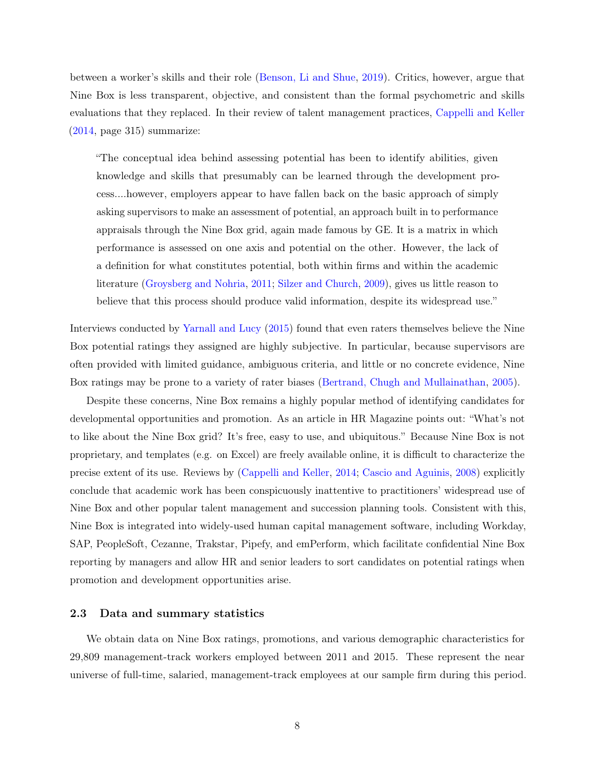between a worker's skills and their role [\(Benson, Li and Shue,](#page-30-0) [2019\)](#page-30-0). Critics, however, argue that Nine Box is less transparent, objective, and consistent than the formal psychometric and skills evaluations that they replaced. In their review of talent management practices, [Cappelli and Keller](#page-31-3)  $(2014, \text{ page } 315)$  $(2014, \text{ page } 315)$  summarize:

"The conceptual idea behind assessing potential has been to identify abilities, given knowledge and skills that presumably can be learned through the development process....however, employers appear to have fallen back on the basic approach of simply asking supervisors to make an assessment of potential, an approach built in to performance appraisals through the Nine Box grid, again made famous by GE. It is a matrix in which performance is assessed on one axis and potential on the other. However, the lack of a definition for what constitutes potential, both within firms and within the academic literature [\(Groysberg and Nohria,](#page-33-3) [2011;](#page-33-3) [Silzer and Church,](#page-36-1) [2009\)](#page-36-1), gives us little reason to believe that this process should produce valid information, despite its widespread use."

Interviews conducted by [Yarnall and Lucy](#page-36-2) [\(2015\)](#page-36-2) found that even raters themselves believe the Nine Box potential ratings they assigned are highly subjective. In particular, because supervisors are often provided with limited guidance, ambiguous criteria, and little or no concrete evidence, Nine Box ratings may be prone to a variety of rater biases [\(Bertrand, Chugh and Mullainathan,](#page-30-2) [2005\)](#page-30-2).

Despite these concerns, Nine Box remains a highly popular method of identifying candidates for developmental opportunities and promotion. As an article in HR Magazine points out: "What's not to like about the Nine Box grid? It's free, easy to use, and ubiquitous." Because Nine Box is not proprietary, and templates (e.g. on Excel) are freely available online, it is difficult to characterize the precise extent of its use. Reviews by [\(Cappelli and Keller,](#page-31-3) [2014;](#page-31-3) [Cascio and Aguinis,](#page-31-6) [2008\)](#page-31-6) explicitly conclude that academic work has been conspicuously inattentive to practitioners' widespread use of Nine Box and other popular talent management and succession planning tools. Consistent with this, Nine Box is integrated into widely-used human capital management software, including Workday, SAP, PeopleSoft, Cezanne, Trakstar, Pipefy, and emPerform, which facilitate confidential Nine Box reporting by managers and allow HR and senior leaders to sort candidates on potential ratings when promotion and development opportunities arise.

#### 2.3 Data and summary statistics

We obtain data on Nine Box ratings, promotions, and various demographic characteristics for 29,809 management-track workers employed between 2011 and 2015. These represent the near universe of full-time, salaried, management-track employees at our sample firm during this period.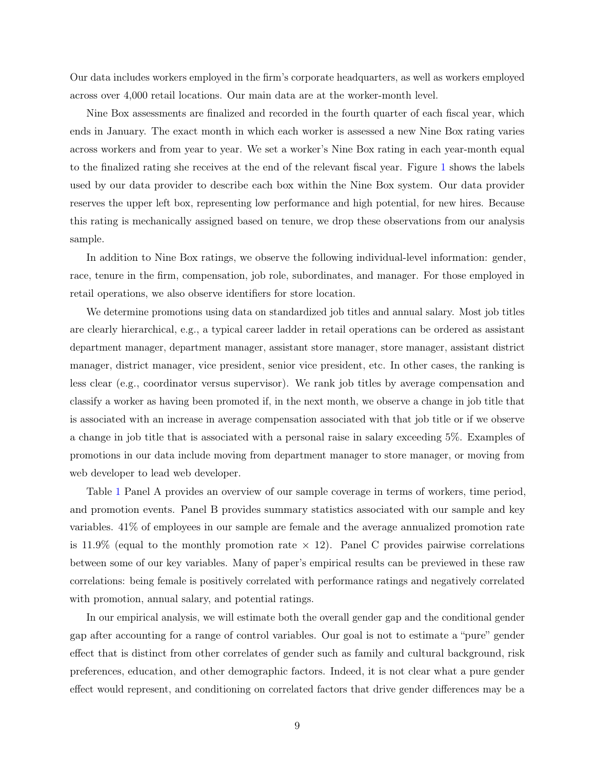Our data includes workers employed in the firm's corporate headquarters, as well as workers employed across over 4,000 retail locations. Our main data are at the worker-month level.

Nine Box assessments are finalized and recorded in the fourth quarter of each fiscal year, which ends in January. The exact month in which each worker is assessed a new Nine Box rating varies across workers and from year to year. We set a worker's Nine Box rating in each year-month equal to the finalized rating she receives at the end of the relevant fiscal year. Figure [1](#page-37-0) shows the labels used by our data provider to describe each box within the Nine Box system. Our data provider reserves the upper left box, representing low performance and high potential, for new hires. Because this rating is mechanically assigned based on tenure, we drop these observations from our analysis sample.

In addition to Nine Box ratings, we observe the following individual-level information: gender, race, tenure in the firm, compensation, job role, subordinates, and manager. For those employed in retail operations, we also observe identifiers for store location.

We determine promotions using data on standardized job titles and annual salary. Most job titles are clearly hierarchical, e.g., a typical career ladder in retail operations can be ordered as assistant department manager, department manager, assistant store manager, store manager, assistant district manager, district manager, vice president, senior vice president, etc. In other cases, the ranking is less clear (e.g., coordinator versus supervisor). We rank job titles by average compensation and classify a worker as having been promoted if, in the next month, we observe a change in job title that is associated with an increase in average compensation associated with that job title or if we observe a change in job title that is associated with a personal raise in salary exceeding 5%. Examples of promotions in our data include moving from department manager to store manager, or moving from web developer to lead web developer.

Table [1](#page-41-0) Panel A provides an overview of our sample coverage in terms of workers, time period, and promotion events. Panel B provides summary statistics associated with our sample and key variables. 41% of employees in our sample are female and the average annualized promotion rate is 11.9% (equal to the monthly promotion rate  $\times$  12). Panel C provides pairwise correlations between some of our key variables. Many of paper's empirical results can be previewed in these raw correlations: being female is positively correlated with performance ratings and negatively correlated with promotion, annual salary, and potential ratings.

In our empirical analysis, we will estimate both the overall gender gap and the conditional gender gap after accounting for a range of control variables. Our goal is not to estimate a "pure" gender effect that is distinct from other correlates of gender such as family and cultural background, risk preferences, education, and other demographic factors. Indeed, it is not clear what a pure gender effect would represent, and conditioning on correlated factors that drive gender differences may be a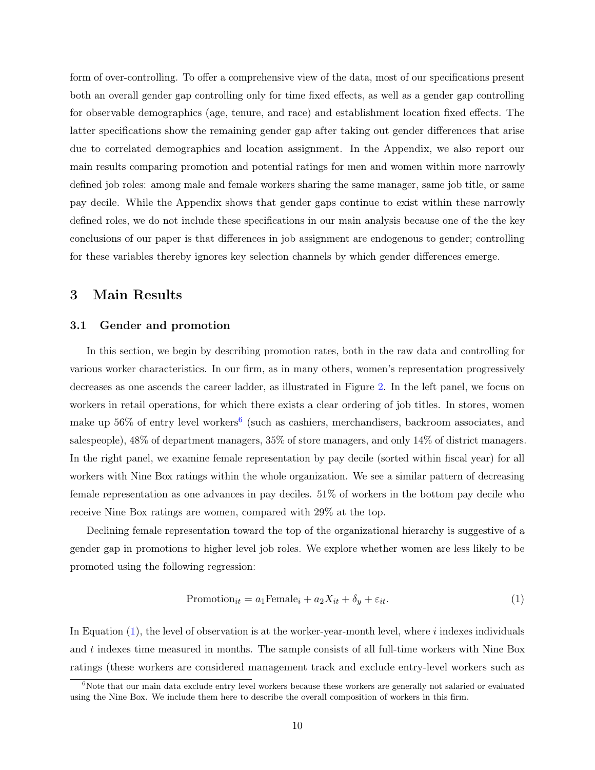form of over-controlling. To offer a comprehensive view of the data, most of our specifications present both an overall gender gap controlling only for time fixed effects, as well as a gender gap controlling for observable demographics (age, tenure, and race) and establishment location fixed effects. The latter specifications show the remaining gender gap after taking out gender differences that arise due to correlated demographics and location assignment. In the Appendix, we also report our main results comparing promotion and potential ratings for men and women within more narrowly defined job roles: among male and female workers sharing the same manager, same job title, or same pay decile. While the Appendix shows that gender gaps continue to exist within these narrowly defined roles, we do not include these specifications in our main analysis because one of the the key conclusions of our paper is that differences in job assignment are endogenous to gender; controlling for these variables thereby ignores key selection channels by which gender differences emerge.

# 3 Main Results

#### 3.1 Gender and promotion

In this section, we begin by describing promotion rates, both in the raw data and controlling for various worker characteristics. In our firm, as in many others, women's representation progressively decreases as one ascends the career ladder, as illustrated in Figure [2.](#page-38-0) In the left panel, we focus on workers in retail operations, for which there exists a clear ordering of job titles. In stores, women make up 5[6](#page-10-0)% of entry level workers<sup>6</sup> (such as cashiers, merchandisers, backroom associates, and salespeople), 48% of department managers, 35% of store managers, and only 14% of district managers. In the right panel, we examine female representation by pay decile (sorted within fiscal year) for all workers with Nine Box ratings within the whole organization. We see a similar pattern of decreasing female representation as one advances in pay deciles. 51% of workers in the bottom pay decile who receive Nine Box ratings are women, compared with 29% at the top.

Declining female representation toward the top of the organizational hierarchy is suggestive of a gender gap in promotions to higher level job roles. We explore whether women are less likely to be promoted using the following regression:

<span id="page-10-1"></span>
$$
Promotion_{it} = a_1 \text{Female}_i + a_2 X_{it} + \delta_y + \varepsilon_{it}. \tag{1}
$$

In Equation  $(1)$ , the level of observation is at the worker-year-month level, where i indexes individuals and t indexes time measured in months. The sample consists of all full-time workers with Nine Box ratings (these workers are considered management track and exclude entry-level workers such as

<span id="page-10-0"></span> $6$ Note that our main data exclude entry level workers because these workers are generally not salaried or evaluated using the Nine Box. We include them here to describe the overall composition of workers in this firm.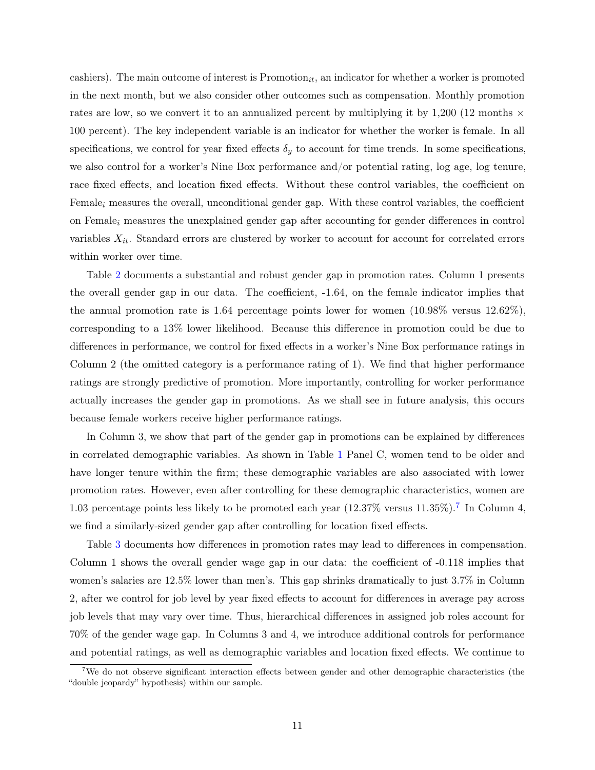cashiers). The main outcome of interest is  $P$ romotion<sub>it</sub>, an indicator for whether a worker is promoted in the next month, but we also consider other outcomes such as compensation. Monthly promotion rates are low, so we convert it to an annualized percent by multiplying it by 1,200 (12 months  $\times$ 100 percent). The key independent variable is an indicator for whether the worker is female. In all specifications, we control for year fixed effects  $\delta_y$  to account for time trends. In some specifications, we also control for a worker's Nine Box performance and/or potential rating, log age, log tenure, race fixed effects, and location fixed effects. Without these control variables, the coefficient on Female<sub>i</sub> measures the overall, unconditional gender gap. With these control variables, the coefficient on Female<sub>i</sub> measures the unexplained gender gap after accounting for gender differences in control variables  $X_{it}$ . Standard errors are clustered by worker to account for account for correlated errors within worker over time.

Table [2](#page-42-0) documents a substantial and robust gender gap in promotion rates. Column 1 presents the overall gender gap in our data. The coefficient, -1.64, on the female indicator implies that the annual promotion rate is 1.64 percentage points lower for women (10.98% versus 12.62%), corresponding to a 13% lower likelihood. Because this difference in promotion could be due to differences in performance, we control for fixed effects in a worker's Nine Box performance ratings in Column 2 (the omitted category is a performance rating of 1). We find that higher performance ratings are strongly predictive of promotion. More importantly, controlling for worker performance actually increases the gender gap in promotions. As we shall see in future analysis, this occurs because female workers receive higher performance ratings.

In Column 3, we show that part of the gender gap in promotions can be explained by differences in correlated demographic variables. As shown in Table [1](#page-41-0) Panel C, women tend to be older and have longer tenure within the firm; these demographic variables are also associated with lower promotion rates. However, even after controlling for these demographic characteristics, women are 1.03 percentage points less likely to be promoted each year  $(12.37\% \text{ versus } 11.35\%).$  $(12.37\% \text{ versus } 11.35\%).$  $(12.37\% \text{ versus } 11.35\%).$ <sup>7</sup> In Column 4, we find a similarly-sized gender gap after controlling for location fixed effects.

Table [3](#page-43-0) documents how differences in promotion rates may lead to differences in compensation. Column 1 shows the overall gender wage gap in our data: the coefficient of -0.118 implies that women's salaries are 12.5% lower than men's. This gap shrinks dramatically to just 3.7% in Column 2, after we control for job level by year fixed effects to account for differences in average pay across job levels that may vary over time. Thus, hierarchical differences in assigned job roles account for 70% of the gender wage gap. In Columns 3 and 4, we introduce additional controls for performance and potential ratings, as well as demographic variables and location fixed effects. We continue to

<span id="page-11-0"></span><sup>7</sup>We do not observe significant interaction effects between gender and other demographic characteristics (the "double jeopardy" hypothesis) within our sample.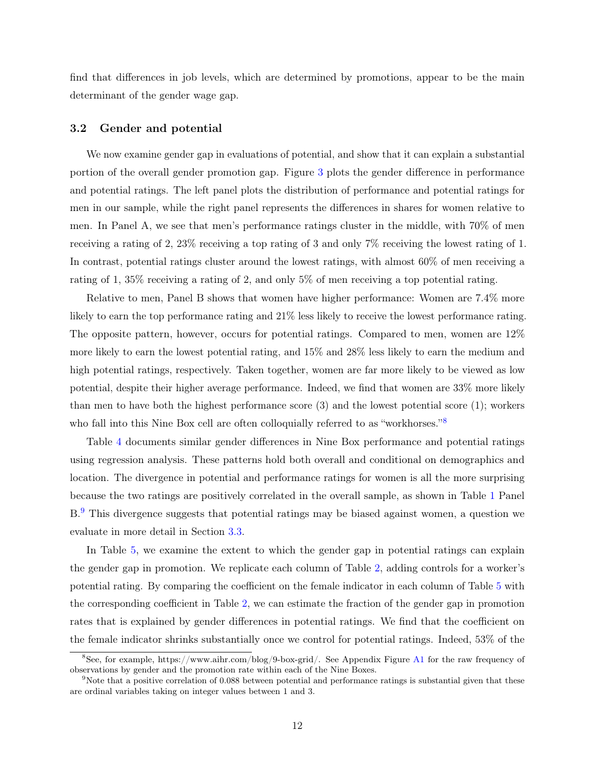find that differences in job levels, which are determined by promotions, appear to be the main determinant of the gender wage gap.

#### 3.2 Gender and potential

We now examine gender gap in evaluations of potential, and show that it can explain a substantial portion of the overall gender promotion gap. Figure [3](#page-39-0) plots the gender difference in performance and potential ratings. The left panel plots the distribution of performance and potential ratings for men in our sample, while the right panel represents the differences in shares for women relative to men. In Panel A, we see that men's performance ratings cluster in the middle, with 70% of men receiving a rating of 2, 23% receiving a top rating of 3 and only 7% receiving the lowest rating of 1. In contrast, potential ratings cluster around the lowest ratings, with almost 60% of men receiving a rating of 1, 35% receiving a rating of 2, and only 5% of men receiving a top potential rating.

Relative to men, Panel B shows that women have higher performance: Women are 7.4% more likely to earn the top performance rating and 21% less likely to receive the lowest performance rating. The opposite pattern, however, occurs for potential ratings. Compared to men, women are 12% more likely to earn the lowest potential rating, and 15% and 28% less likely to earn the medium and high potential ratings, respectively. Taken together, women are far more likely to be viewed as low potential, despite their higher average performance. Indeed, we find that women are 33% more likely than men to have both the highest performance score (3) and the lowest potential score (1); workers who fall into this Nine Box cell are often colloquially referred to as "workhorses."<sup>[8](#page-12-0)</sup>

Table [4](#page-44-0) documents similar gender differences in Nine Box performance and potential ratings using regression analysis. These patterns hold both overall and conditional on demographics and location. The divergence in potential and performance ratings for women is all the more surprising because the two ratings are positively correlated in the overall sample, as shown in Table [1](#page-41-0) Panel B.<sup>[9](#page-12-1)</sup> This divergence suggests that potential ratings may be biased against women, a question we evaluate in more detail in Section [3.3.](#page-14-0)

In Table [5,](#page-45-0) we examine the extent to which the gender gap in potential ratings can explain the gender gap in promotion. We replicate each column of Table [2,](#page-42-0) adding controls for a worker's potential rating. By comparing the coefficient on the female indicator in each column of Table [5](#page-45-0) with the corresponding coefficient in Table [2,](#page-42-0) we can estimate the fraction of the gender gap in promotion rates that is explained by gender differences in potential ratings. We find that the coefficient on the female indicator shrinks substantially once we control for potential ratings. Indeed, 53% of the

<span id="page-12-0"></span><sup>&</sup>lt;sup>8</sup>See, for example, https://www.aihr.com/blog/9-box-grid/. See Appendix Figure [A1](#page-52-0) for the raw frequency of observations by gender and the promotion rate within each of the Nine Boxes.

<span id="page-12-1"></span><sup>9</sup>Note that a positive correlation of 0.088 between potential and performance ratings is substantial given that these are ordinal variables taking on integer values between 1 and 3.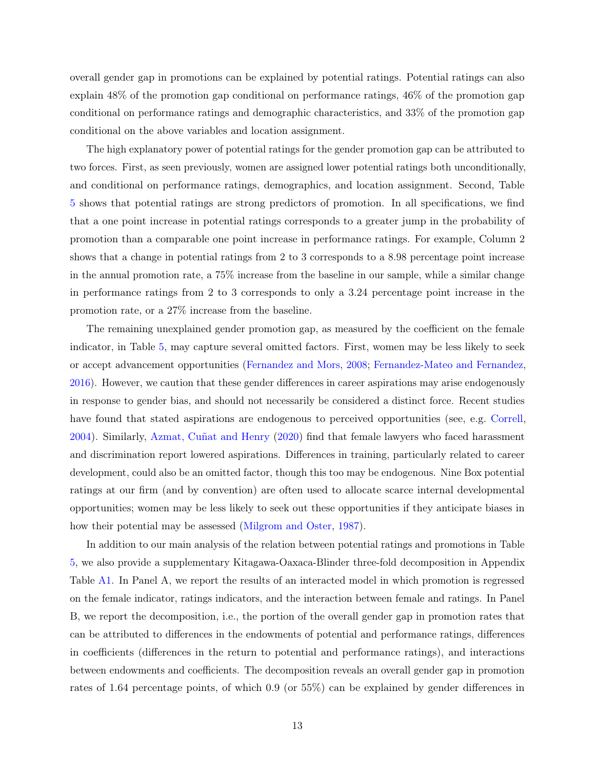overall gender gap in promotions can be explained by potential ratings. Potential ratings can also explain 48% of the promotion gap conditional on performance ratings, 46% of the promotion gap conditional on performance ratings and demographic characteristics, and 33% of the promotion gap conditional on the above variables and location assignment.

The high explanatory power of potential ratings for the gender promotion gap can be attributed to two forces. First, as seen previously, women are assigned lower potential ratings both unconditionally, and conditional on performance ratings, demographics, and location assignment. Second, Table [5](#page-45-0) shows that potential ratings are strong predictors of promotion. In all specifications, we find that a one point increase in potential ratings corresponds to a greater jump in the probability of promotion than a comparable one point increase in performance ratings. For example, Column 2 shows that a change in potential ratings from 2 to 3 corresponds to a 8.98 percentage point increase in the annual promotion rate, a 75% increase from the baseline in our sample, while a similar change in performance ratings from 2 to 3 corresponds to only a 3.24 percentage point increase in the promotion rate, or a 27% increase from the baseline.

The remaining unexplained gender promotion gap, as measured by the coefficient on the female indicator, in Table [5,](#page-45-0) may capture several omitted factors. First, women may be less likely to seek or accept advancement opportunities [\(Fernandez and Mors,](#page-33-4) [2008;](#page-33-4) [Fernandez-Mateo and Fernandez,](#page-33-5) [2016\)](#page-33-5). However, we caution that these gender differences in career aspirations may arise endogenously in response to gender bias, and should not necessarily be considered a distinct force. Recent studies have found that stated aspirations are endogenous to perceived opportunities (see, e.g. [Correll,](#page-32-6) [2004\)](#page-32-6). Similarly, [Azmat, Cuñat and Henry](#page-30-5) [\(2020\)](#page-30-5) find that female lawyers who faced harassment and discrimination report lowered aspirations. Differences in training, particularly related to career development, could also be an omitted factor, though this too may be endogenous. Nine Box potential ratings at our firm (and by convention) are often used to allocate scarce internal developmental opportunities; women may be less likely to seek out these opportunities if they anticipate biases in how their potential may be assessed [\(Milgrom and Oster,](#page-34-3) [1987\)](#page-34-3).

In addition to our main analysis of the relation between potential ratings and promotions in Table [5,](#page-45-0) we also provide a supplementary Kitagawa-Oaxaca-Blinder three-fold decomposition in Appendix Table [A1.](#page-54-0) In Panel A, we report the results of an interacted model in which promotion is regressed on the female indicator, ratings indicators, and the interaction between female and ratings. In Panel B, we report the decomposition, i.e., the portion of the overall gender gap in promotion rates that can be attributed to differences in the endowments of potential and performance ratings, differences in coefficients (differences in the return to potential and performance ratings), and interactions between endowments and coefficients. The decomposition reveals an overall gender gap in promotion rates of 1.64 percentage points, of which 0.9 (or 55%) can be explained by gender differences in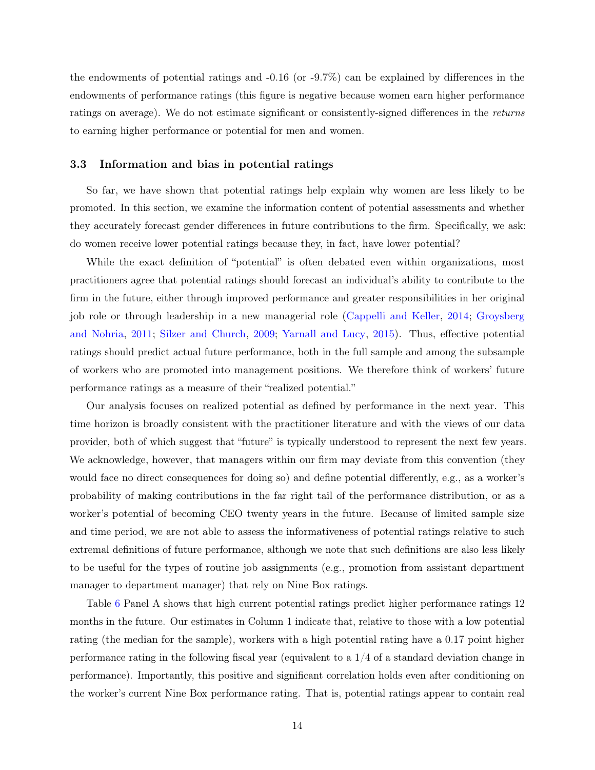the endowments of potential ratings and -0.16 (or -9.7%) can be explained by differences in the endowments of performance ratings (this figure is negative because women earn higher performance ratings on average). We do not estimate significant or consistently-signed differences in the returns to earning higher performance or potential for men and women.

#### <span id="page-14-0"></span>3.3 Information and bias in potential ratings

So far, we have shown that potential ratings help explain why women are less likely to be promoted. In this section, we examine the information content of potential assessments and whether they accurately forecast gender differences in future contributions to the firm. Specifically, we ask: do women receive lower potential ratings because they, in fact, have lower potential?

While the exact definition of "potential" is often debated even within organizations, most practitioners agree that potential ratings should forecast an individual's ability to contribute to the firm in the future, either through improved performance and greater responsibilities in her original job role or through leadership in a new managerial role [\(Cappelli and Keller,](#page-31-3) [2014;](#page-31-3) [Groysberg](#page-33-3) [and Nohria,](#page-33-3) [2011;](#page-33-3) [Silzer and Church,](#page-36-1) [2009;](#page-36-1) [Yarnall and Lucy,](#page-36-2) [2015\)](#page-36-2). Thus, effective potential ratings should predict actual future performance, both in the full sample and among the subsample of workers who are promoted into management positions. We therefore think of workers' future performance ratings as a measure of their "realized potential."

Our analysis focuses on realized potential as defined by performance in the next year. This time horizon is broadly consistent with the practitioner literature and with the views of our data provider, both of which suggest that "future" is typically understood to represent the next few years. We acknowledge, however, that managers within our firm may deviate from this convention (they would face no direct consequences for doing so) and define potential differently, e.g., as a worker's probability of making contributions in the far right tail of the performance distribution, or as a worker's potential of becoming CEO twenty years in the future. Because of limited sample size and time period, we are not able to assess the informativeness of potential ratings relative to such extremal definitions of future performance, although we note that such definitions are also less likely to be useful for the types of routine job assignments (e.g., promotion from assistant department manager to department manager) that rely on Nine Box ratings.

Table [6](#page-46-0) Panel A shows that high current potential ratings predict higher performance ratings 12 months in the future. Our estimates in Column 1 indicate that, relative to those with a low potential rating (the median for the sample), workers with a high potential rating have a 0.17 point higher performance rating in the following fiscal year (equivalent to a 1/4 of a standard deviation change in performance). Importantly, this positive and significant correlation holds even after conditioning on the worker's current Nine Box performance rating. That is, potential ratings appear to contain real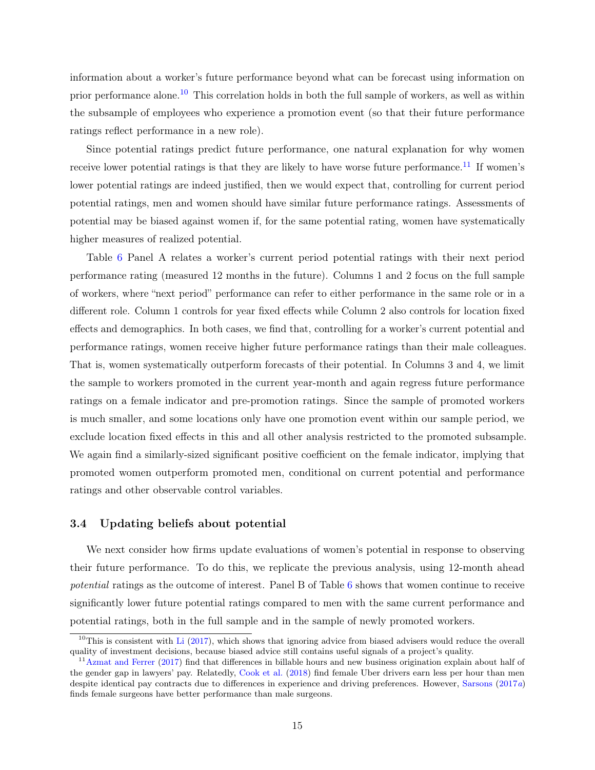information about a worker's future performance beyond what can be forecast using information on prior performance alone.[10](#page-15-0) This correlation holds in both the full sample of workers, as well as within the subsample of employees who experience a promotion event (so that their future performance ratings reflect performance in a new role).

Since potential ratings predict future performance, one natural explanation for why women receive lower potential ratings is that they are likely to have worse future performance.<sup>[11](#page-15-1)</sup> If women's lower potential ratings are indeed justified, then we would expect that, controlling for current period potential ratings, men and women should have similar future performance ratings. Assessments of potential may be biased against women if, for the same potential rating, women have systematically higher measures of realized potential.

Table [6](#page-46-0) Panel A relates a worker's current period potential ratings with their next period performance rating (measured 12 months in the future). Columns 1 and 2 focus on the full sample of workers, where "next period" performance can refer to either performance in the same role or in a different role. Column 1 controls for year fixed effects while Column 2 also controls for location fixed effects and demographics. In both cases, we find that, controlling for a worker's current potential and performance ratings, women receive higher future performance ratings than their male colleagues. That is, women systematically outperform forecasts of their potential. In Columns 3 and 4, we limit the sample to workers promoted in the current year-month and again regress future performance ratings on a female indicator and pre-promotion ratings. Since the sample of promoted workers is much smaller, and some locations only have one promotion event within our sample period, we exclude location fixed effects in this and all other analysis restricted to the promoted subsample. We again find a similarly-sized significant positive coefficient on the female indicator, implying that promoted women outperform promoted men, conditional on current potential and performance ratings and other observable control variables.

### 3.4 Updating beliefs about potential

We next consider how firms update evaluations of women's potential in response to observing their future performance. To do this, we replicate the previous analysis, using 12-month ahead potential ratings as the outcome of interest. Panel B of Table [6](#page-46-0) shows that women continue to receive significantly lower future potential ratings compared to men with the same current performance and potential ratings, both in the full sample and in the sample of newly promoted workers.

<span id="page-15-0"></span><sup>&</sup>lt;sup>10</sup>This is consistent with [Li](#page-34-4)  $(2017)$ , which shows that ignoring advice from biased advisers would reduce the overall quality of investment decisions, because biased advice still contains useful signals of a project's quality.

<span id="page-15-1"></span> $11$ [Azmat and Ferrer](#page-30-8) [\(2017\)](#page-30-8) find that differences in billable hours and new business origination explain about half of the gender gap in lawyers' pay. Relatedly, [Cook et al.](#page-32-7) [\(2018\)](#page-32-7) find female Uber drivers earn less per hour than men despite identical pay contracts due to differences in experience and driving preferences. However, [Sarsons](#page-35-11)  $(2017a)$  $(2017a)$ finds female surgeons have better performance than male surgeons.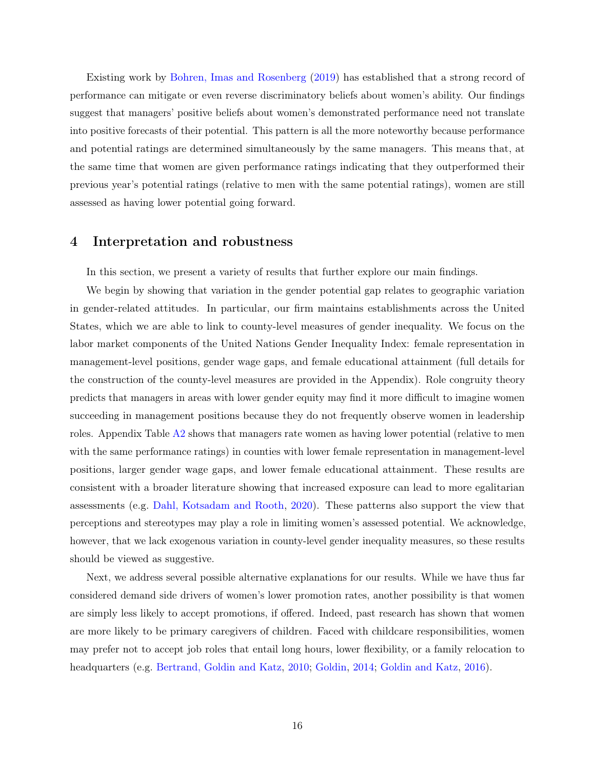Existing work by [Bohren, Imas and Rosenberg](#page-31-7) [\(2019\)](#page-31-7) has established that a strong record of performance can mitigate or even reverse discriminatory beliefs about women's ability. Our findings suggest that managers' positive beliefs about women's demonstrated performance need not translate into positive forecasts of their potential. This pattern is all the more noteworthy because performance and potential ratings are determined simultaneously by the same managers. This means that, at the same time that women are given performance ratings indicating that they outperformed their previous year's potential ratings (relative to men with the same potential ratings), women are still assessed as having lower potential going forward.

### 4 Interpretation and robustness

In this section, we present a variety of results that further explore our main findings.

We begin by showing that variation in the gender potential gap relates to geographic variation in gender-related attitudes. In particular, our firm maintains establishments across the United States, which we are able to link to county-level measures of gender inequality. We focus on the labor market components of the United Nations Gender Inequality Index: female representation in management-level positions, gender wage gaps, and female educational attainment (full details for the construction of the county-level measures are provided in the Appendix). Role congruity theory predicts that managers in areas with lower gender equity may find it more difficult to imagine women succeeding in management positions because they do not frequently observe women in leadership roles. Appendix Table [A2](#page-55-0) shows that managers rate women as having lower potential (relative to men with the same performance ratings) in counties with lower female representation in management-level positions, larger gender wage gaps, and lower female educational attainment. These results are consistent with a broader literature showing that increased exposure can lead to more egalitarian assessments (e.g. [Dahl, Kotsadam and Rooth,](#page-32-8) [2020\)](#page-32-8). These patterns also support the view that perceptions and stereotypes may play a role in limiting women's assessed potential. We acknowledge, however, that we lack exogenous variation in county-level gender inequality measures, so these results should be viewed as suggestive.

Next, we address several possible alternative explanations for our results. While we have thus far considered demand side drivers of women's lower promotion rates, another possibility is that women are simply less likely to accept promotions, if offered. Indeed, past research has shown that women are more likely to be primary caregivers of children. Faced with childcare responsibilities, women may prefer not to accept job roles that entail long hours, lower flexibility, or a family relocation to headquarters (e.g. [Bertrand, Goldin and Katz,](#page-30-6) [2010;](#page-30-6) [Goldin,](#page-33-6) [2014;](#page-33-6) [Goldin and Katz,](#page-33-7) [2016\)](#page-33-7).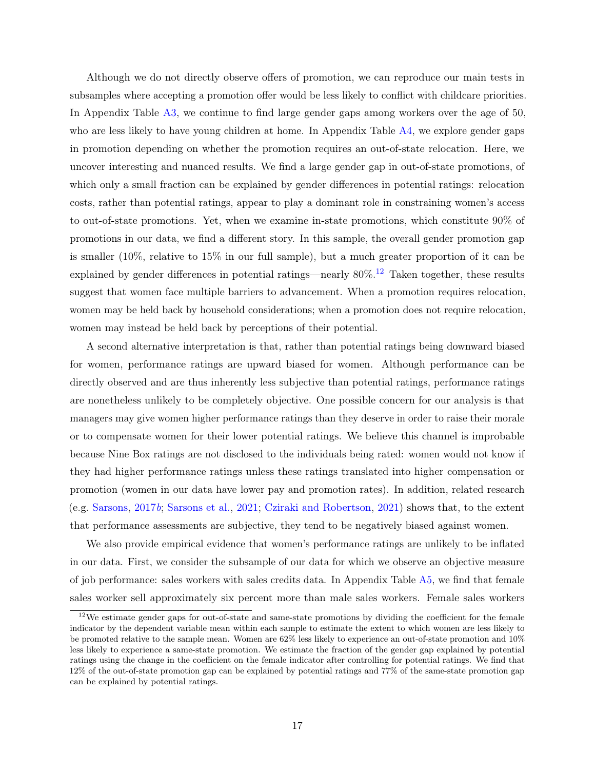Although we do not directly observe offers of promotion, we can reproduce our main tests in subsamples where accepting a promotion offer would be less likely to conflict with childcare priorities. In Appendix Table [A3,](#page-56-0) we continue to find large gender gaps among workers over the age of 50, who are less likely to have young children at home. In Appendix Table [A4,](#page-57-0) we explore gender gaps in promotion depending on whether the promotion requires an out-of-state relocation. Here, we uncover interesting and nuanced results. We find a large gender gap in out-of-state promotions, of which only a small fraction can be explained by gender differences in potential ratings: relocation costs, rather than potential ratings, appear to play a dominant role in constraining women's access to out-of-state promotions. Yet, when we examine in-state promotions, which constitute 90% of promotions in our data, we find a different story. In this sample, the overall gender promotion gap is smaller (10%, relative to 15% in our full sample), but a much greater proportion of it can be explained by gender differences in potential ratings—nearly  $80\%$ .<sup>[12](#page-17-0)</sup> Taken together, these results suggest that women face multiple barriers to advancement. When a promotion requires relocation, women may be held back by household considerations; when a promotion does not require relocation, women may instead be held back by perceptions of their potential.

A second alternative interpretation is that, rather than potential ratings being downward biased for women, performance ratings are upward biased for women. Although performance can be directly observed and are thus inherently less subjective than potential ratings, performance ratings are nonetheless unlikely to be completely objective. One possible concern for our analysis is that managers may give women higher performance ratings than they deserve in order to raise their morale or to compensate women for their lower potential ratings. We believe this channel is improbable because Nine Box ratings are not disclosed to the individuals being rated: women would not know if they had higher performance ratings unless these ratings translated into higher compensation or promotion (women in our data have lower pay and promotion rates). In addition, related research (e.g. [Sarsons,](#page-35-9) [2017](#page-35-9)b; [Sarsons et al.,](#page-35-10) [2021;](#page-35-10) [Cziraki and Robertson,](#page-32-5) [2021\)](#page-32-5) shows that, to the extent that performance assessments are subjective, they tend to be negatively biased against women.

We also provide empirical evidence that women's performance ratings are unlikely to be inflated in our data. First, we consider the subsample of our data for which we observe an objective measure of job performance: sales workers with sales credits data. In Appendix Table [A5,](#page-58-0) we find that female sales worker sell approximately six percent more than male sales workers. Female sales workers

<span id="page-17-0"></span><sup>&</sup>lt;sup>12</sup>We estimate gender gaps for out-of-state and same-state promotions by dividing the coefficient for the female indicator by the dependent variable mean within each sample to estimate the extent to which women are less likely to be promoted relative to the sample mean. Women are 62% less likely to experience an out-of-state promotion and 10% less likely to experience a same-state promotion. We estimate the fraction of the gender gap explained by potential ratings using the change in the coefficient on the female indicator after controlling for potential ratings. We find that 12% of the out-of-state promotion gap can be explained by potential ratings and 77% of the same-state promotion gap can be explained by potential ratings.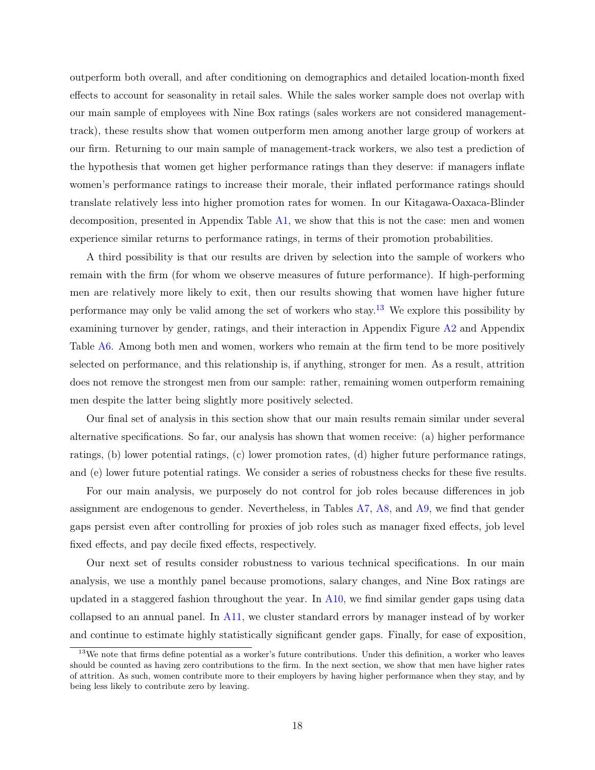outperform both overall, and after conditioning on demographics and detailed location-month fixed effects to account for seasonality in retail sales. While the sales worker sample does not overlap with our main sample of employees with Nine Box ratings (sales workers are not considered managementtrack), these results show that women outperform men among another large group of workers at our firm. Returning to our main sample of management-track workers, we also test a prediction of the hypothesis that women get higher performance ratings than they deserve: if managers inflate women's performance ratings to increase their morale, their inflated performance ratings should translate relatively less into higher promotion rates for women. In our Kitagawa-Oaxaca-Blinder decomposition, presented in Appendix Table [A1,](#page-54-0) we show that this is not the case: men and women experience similar returns to performance ratings, in terms of their promotion probabilities.

A third possibility is that our results are driven by selection into the sample of workers who remain with the firm (for whom we observe measures of future performance). If high-performing men are relatively more likely to exit, then our results showing that women have higher future performance may only be valid among the set of workers who stay.<sup>[13](#page-18-0)</sup> We explore this possibility by examining turnover by gender, ratings, and their interaction in Appendix Figure [A2](#page-53-0) and Appendix Table [A6.](#page-59-0) Among both men and women, workers who remain at the firm tend to be more positively selected on performance, and this relationship is, if anything, stronger for men. As a result, attrition does not remove the strongest men from our sample: rather, remaining women outperform remaining men despite the latter being slightly more positively selected.

Our final set of analysis in this section show that our main results remain similar under several alternative specifications. So far, our analysis has shown that women receive: (a) higher performance ratings, (b) lower potential ratings, (c) lower promotion rates, (d) higher future performance ratings, and (e) lower future potential ratings. We consider a series of robustness checks for these five results.

For our main analysis, we purposely do not control for job roles because differences in job assignment are endogenous to gender. Nevertheless, in Tables [A7,](#page-60-0) [A8,](#page-61-0) and [A9,](#page-62-0) we find that gender gaps persist even after controlling for proxies of job roles such as manager fixed effects, job level fixed effects, and pay decile fixed effects, respectively.

Our next set of results consider robustness to various technical specifications. In our main analysis, we use a monthly panel because promotions, salary changes, and Nine Box ratings are updated in a staggered fashion throughout the year. In [A10,](#page-63-0) we find similar gender gaps using data collapsed to an annual panel. In [A11,](#page-64-0) we cluster standard errors by manager instead of by worker and continue to estimate highly statistically significant gender gaps. Finally, for ease of exposition,

<span id="page-18-0"></span><sup>&</sup>lt;sup>13</sup>We note that firms define potential as a worker's future contributions. Under this definition, a worker who leaves should be counted as having zero contributions to the firm. In the next section, we show that men have higher rates of attrition. As such, women contribute more to their employers by having higher performance when they stay, and by being less likely to contribute zero by leaving.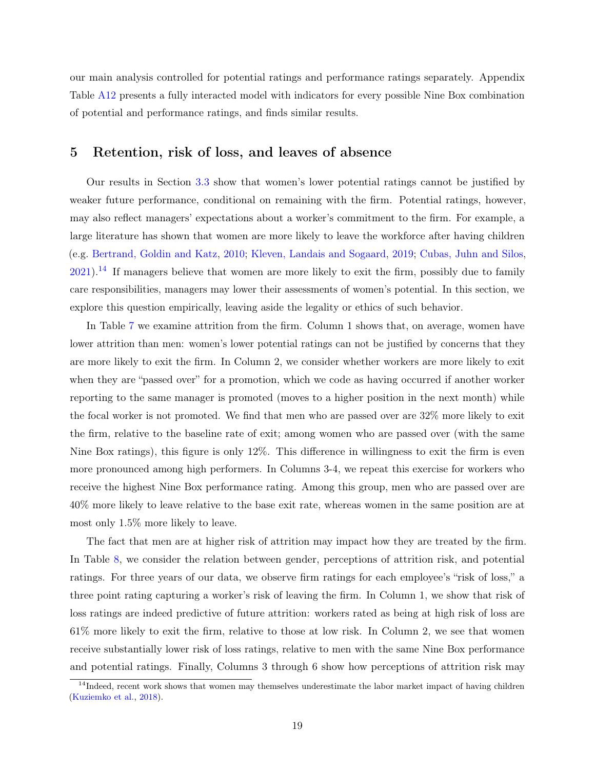our main analysis controlled for potential ratings and performance ratings separately. Appendix Table [A12](#page-65-0) presents a fully interacted model with indicators for every possible Nine Box combination of potential and performance ratings, and finds similar results.

### 5 Retention, risk of loss, and leaves of absence

Our results in Section [3.3](#page-14-0) show that women's lower potential ratings cannot be justified by weaker future performance, conditional on remaining with the firm. Potential ratings, however, may also reflect managers' expectations about a worker's commitment to the firm. For example, a large literature has shown that women are more likely to leave the workforce after having children (e.g. [Bertrand, Goldin and Katz,](#page-30-6) [2010;](#page-30-6) [Kleven, Landais and Sogaard,](#page-34-5) [2019;](#page-34-5) [Cubas, Juhn and Silos,](#page-32-9)  $2021$ ).<sup>[14](#page-19-0)</sup> If managers believe that women are more likely to exit the firm, possibly due to family care responsibilities, managers may lower their assessments of women's potential. In this section, we explore this question empirically, leaving aside the legality or ethics of such behavior.

In Table [7](#page-47-0) we examine attrition from the firm. Column 1 shows that, on average, women have lower attrition than men: women's lower potential ratings can not be justified by concerns that they are more likely to exit the firm. In Column 2, we consider whether workers are more likely to exit when they are "passed over" for a promotion, which we code as having occurred if another worker reporting to the same manager is promoted (moves to a higher position in the next month) while the focal worker is not promoted. We find that men who are passed over are 32% more likely to exit the firm, relative to the baseline rate of exit; among women who are passed over (with the same Nine Box ratings), this figure is only 12%. This difference in willingness to exit the firm is even more pronounced among high performers. In Columns 3-4, we repeat this exercise for workers who receive the highest Nine Box performance rating. Among this group, men who are passed over are 40% more likely to leave relative to the base exit rate, whereas women in the same position are at most only 1.5% more likely to leave.

The fact that men are at higher risk of attrition may impact how they are treated by the firm. In Table [8,](#page-48-0) we consider the relation between gender, perceptions of attrition risk, and potential ratings. For three years of our data, we observe firm ratings for each employee's "risk of loss," a three point rating capturing a worker's risk of leaving the firm. In Column 1, we show that risk of loss ratings are indeed predictive of future attrition: workers rated as being at high risk of loss are 61% more likely to exit the firm, relative to those at low risk. In Column 2, we see that women receive substantially lower risk of loss ratings, relative to men with the same Nine Box performance and potential ratings. Finally, Columns 3 through 6 show how perceptions of attrition risk may

<span id="page-19-0"></span> $14$ Indeed, recent work shows that women may themselves underestimate the labor market impact of having children [\(Kuziemko et al.,](#page-34-6) [2018\)](#page-34-6).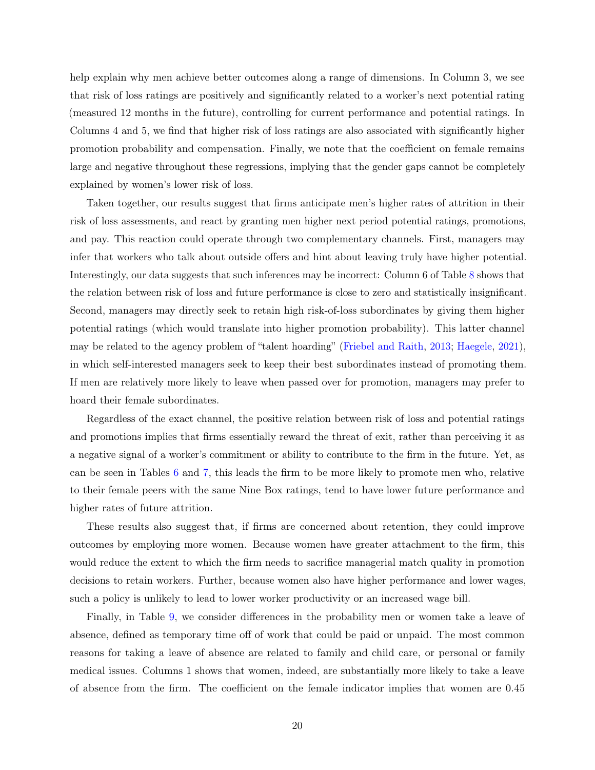help explain why men achieve better outcomes along a range of dimensions. In Column 3, we see that risk of loss ratings are positively and significantly related to a worker's next potential rating (measured 12 months in the future), controlling for current performance and potential ratings. In Columns 4 and 5, we find that higher risk of loss ratings are also associated with significantly higher promotion probability and compensation. Finally, we note that the coefficient on female remains large and negative throughout these regressions, implying that the gender gaps cannot be completely explained by women's lower risk of loss.

Taken together, our results suggest that firms anticipate men's higher rates of attrition in their risk of loss assessments, and react by granting men higher next period potential ratings, promotions, and pay. This reaction could operate through two complementary channels. First, managers may infer that workers who talk about outside offers and hint about leaving truly have higher potential. Interestingly, our data suggests that such inferences may be incorrect: Column 6 of Table [8](#page-48-0) shows that the relation between risk of loss and future performance is close to zero and statistically insignificant. Second, managers may directly seek to retain high risk-of-loss subordinates by giving them higher potential ratings (which would translate into higher promotion probability). This latter channel may be related to the agency problem of "talent hoarding" [\(Friebel and Raith,](#page-33-1) [2013;](#page-33-1) [Haegele,](#page-33-2) [2021\)](#page-33-2), in which self-interested managers seek to keep their best subordinates instead of promoting them. If men are relatively more likely to leave when passed over for promotion, managers may prefer to hoard their female subordinates.

Regardless of the exact channel, the positive relation between risk of loss and potential ratings and promotions implies that firms essentially reward the threat of exit, rather than perceiving it as a negative signal of a worker's commitment or ability to contribute to the firm in the future. Yet, as can be seen in Tables [6](#page-46-0) and [7,](#page-47-0) this leads the firm to be more likely to promote men who, relative to their female peers with the same Nine Box ratings, tend to have lower future performance and higher rates of future attrition.

These results also suggest that, if firms are concerned about retention, they could improve outcomes by employing more women. Because women have greater attachment to the firm, this would reduce the extent to which the firm needs to sacrifice managerial match quality in promotion decisions to retain workers. Further, because women also have higher performance and lower wages, such a policy is unlikely to lead to lower worker productivity or an increased wage bill.

Finally, in Table [9,](#page-49-0) we consider differences in the probability men or women take a leave of absence, defined as temporary time off of work that could be paid or unpaid. The most common reasons for taking a leave of absence are related to family and child care, or personal or family medical issues. Columns 1 shows that women, indeed, are substantially more likely to take a leave of absence from the firm. The coefficient on the female indicator implies that women are 0.45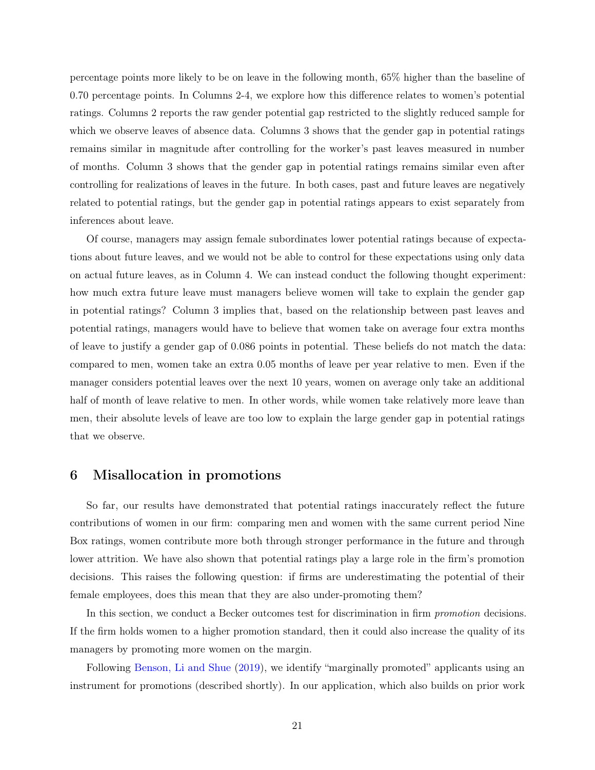percentage points more likely to be on leave in the following month, 65% higher than the baseline of 0.70 percentage points. In Columns 2-4, we explore how this difference relates to women's potential ratings. Columns 2 reports the raw gender potential gap restricted to the slightly reduced sample for which we observe leaves of absence data. Columns 3 shows that the gender gap in potential ratings remains similar in magnitude after controlling for the worker's past leaves measured in number of months. Column 3 shows that the gender gap in potential ratings remains similar even after controlling for realizations of leaves in the future. In both cases, past and future leaves are negatively related to potential ratings, but the gender gap in potential ratings appears to exist separately from inferences about leave.

Of course, managers may assign female subordinates lower potential ratings because of expectations about future leaves, and we would not be able to control for these expectations using only data on actual future leaves, as in Column 4. We can instead conduct the following thought experiment: how much extra future leave must managers believe women will take to explain the gender gap in potential ratings? Column 3 implies that, based on the relationship between past leaves and potential ratings, managers would have to believe that women take on average four extra months of leave to justify a gender gap of 0.086 points in potential. These beliefs do not match the data: compared to men, women take an extra 0.05 months of leave per year relative to men. Even if the manager considers potential leaves over the next 10 years, women on average only take an additional half of month of leave relative to men. In other words, while women take relatively more leave than men, their absolute levels of leave are too low to explain the large gender gap in potential ratings that we observe.

### 6 Misallocation in promotions

So far, our results have demonstrated that potential ratings inaccurately reflect the future contributions of women in our firm: comparing men and women with the same current period Nine Box ratings, women contribute more both through stronger performance in the future and through lower attrition. We have also shown that potential ratings play a large role in the firm's promotion decisions. This raises the following question: if firms are underestimating the potential of their female employees, does this mean that they are also under-promoting them?

In this section, we conduct a Becker outcomes test for discrimination in firm promotion decisions. If the firm holds women to a higher promotion standard, then it could also increase the quality of its managers by promoting more women on the margin.

Following [Benson, Li and Shue](#page-30-0) [\(2019\)](#page-30-0), we identify "marginally promoted" applicants using an instrument for promotions (described shortly). In our application, which also builds on prior work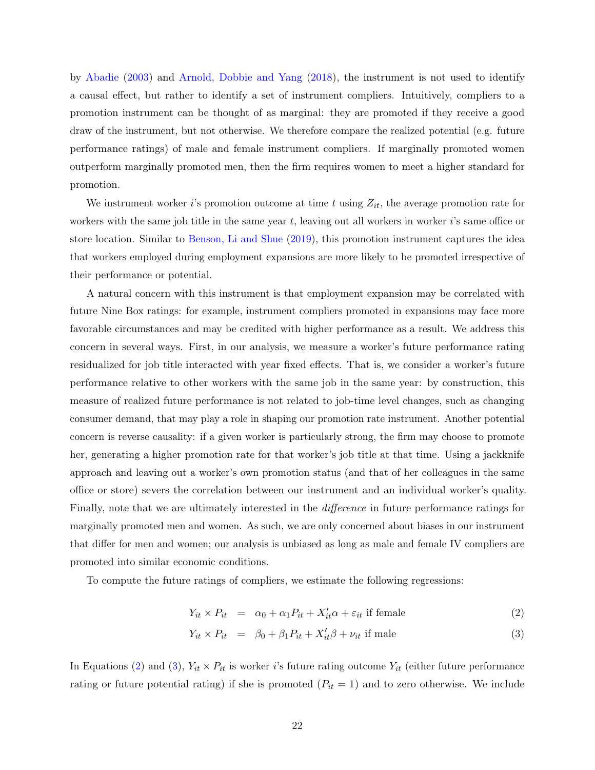by [Abadie](#page-30-9) [\(2003\)](#page-30-9) and [Arnold, Dobbie and Yang](#page-30-10) [\(2018\)](#page-30-10), the instrument is not used to identify a causal effect, but rather to identify a set of instrument compliers. Intuitively, compliers to a promotion instrument can be thought of as marginal: they are promoted if they receive a good draw of the instrument, but not otherwise. We therefore compare the realized potential (e.g. future performance ratings) of male and female instrument compliers. If marginally promoted women outperform marginally promoted men, then the firm requires women to meet a higher standard for promotion.

We instrument worker i's promotion outcome at time t using  $Z_{it}$ , the average promotion rate for workers with the same job title in the same year  $t$ , leaving out all workers in worker i's same office or store location. Similar to [Benson, Li and Shue](#page-30-0) [\(2019\)](#page-30-0), this promotion instrument captures the idea that workers employed during employment expansions are more likely to be promoted irrespective of their performance or potential.

A natural concern with this instrument is that employment expansion may be correlated with future Nine Box ratings: for example, instrument compliers promoted in expansions may face more favorable circumstances and may be credited with higher performance as a result. We address this concern in several ways. First, in our analysis, we measure a worker's future performance rating residualized for job title interacted with year fixed effects. That is, we consider a worker's future performance relative to other workers with the same job in the same year: by construction, this measure of realized future performance is not related to job-time level changes, such as changing consumer demand, that may play a role in shaping our promotion rate instrument. Another potential concern is reverse causality: if a given worker is particularly strong, the firm may choose to promote her, generating a higher promotion rate for that worker's job title at that time. Using a jackknife approach and leaving out a worker's own promotion status (and that of her colleagues in the same office or store) severs the correlation between our instrument and an individual worker's quality. Finally, note that we are ultimately interested in the difference in future performance ratings for marginally promoted men and women. As such, we are only concerned about biases in our instrument that differ for men and women; our analysis is unbiased as long as male and female IV compliers are promoted into similar economic conditions.

To compute the future ratings of compliers, we estimate the following regressions:

<span id="page-22-0"></span>
$$
Y_{it} \times P_{it} = \alpha_0 + \alpha_1 P_{it} + X'_{it} \alpha + \varepsilon_{it} \text{ if female } (2)
$$

$$
Y_{it} \times P_{it} = \beta_0 + \beta_1 P_{it} + X'_{it}\beta + \nu_{it} \text{ if male } (3)
$$

In Equations [\(2\)](#page-22-0) and [\(3\)](#page-22-0),  $Y_{it} \times P_{it}$  is worker i's future rating outcome  $Y_{it}$  (either future performance rating or future potential rating) if she is promoted  $(P_{it} = 1)$  and to zero otherwise. We include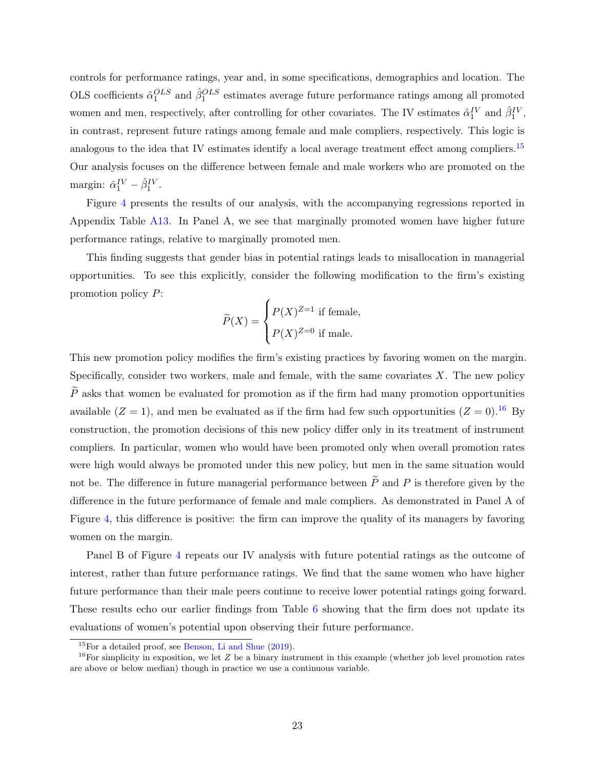controls for performance ratings, year and, in some specifications, demographics and location. The OLS coefficients  $\hat{\alpha}_1^{OLS}$  and  $\hat{\beta}_1^{OLS}$  estimates average future performance ratings among all promoted women and men, respectively, after controlling for other covariates. The IV estimates  $\hat{\alpha}_1^{IV}$  and  $\hat{\beta}_1^{IV}$ , in contrast, represent future ratings among female and male compliers, respectively. This logic is analogous to the idea that IV estimates identify a local average treatment effect among compliers.<sup>[15](#page-23-0)</sup> Our analysis focuses on the difference between female and male workers who are promoted on the margin:  $\hat{\alpha}_1^{IV} - \hat{\beta}_1^{IV}$ .

Figure [4](#page-40-0) presents the results of our analysis, with the accompanying regressions reported in Appendix Table [A13.](#page-66-0) In Panel A, we see that marginally promoted women have higher future performance ratings, relative to marginally promoted men.

This finding suggests that gender bias in potential ratings leads to misallocation in managerial opportunities. To see this explicitly, consider the following modification to the firm's existing promotion policy P:

$$
\widetilde{P}(X) = \begin{cases} P(X)^{Z=1} & \text{if female,} \\ P(X)^{Z=0} & \text{if male.} \end{cases}
$$

This new promotion policy modifies the firm's existing practices by favoring women on the margin. Specifically, consider two workers, male and female, with the same covariates  $X$ . The new policy  $\overline{P}$  asks that women be evaluated for promotion as if the firm had many promotion opportunities available  $(Z = 1)$ , and men be evaluated as if the firm had few such opportunities  $(Z = 0)$ .<sup>[16](#page-23-1)</sup> By construction, the promotion decisions of this new policy differ only in its treatment of instrument compliers. In particular, women who would have been promoted only when overall promotion rates were high would always be promoted under this new policy, but men in the same situation would not be. The difference in future managerial performance between  $\tilde{P}$  and P is therefore given by the difference in the future performance of female and male compliers. As demonstrated in Panel A of Figure [4,](#page-40-0) this difference is positive: the firm can improve the quality of its managers by favoring women on the margin.

Panel B of Figure [4](#page-40-0) repeats our IV analysis with future potential ratings as the outcome of interest, rather than future performance ratings. We find that the same women who have higher future performance than their male peers continue to receive lower potential ratings going forward. These results echo our earlier findings from Table [6](#page-46-0) showing that the firm does not update its evaluations of women's potential upon observing their future performance.

<span id="page-23-1"></span><span id="page-23-0"></span><sup>15</sup>For a detailed proof, see [Benson, Li and Shue](#page-30-0) [\(2019\)](#page-30-0).

<sup>&</sup>lt;sup>16</sup>For simplicity in exposition, we let  $Z$  be a binary instrument in this example (whether job level promotion rates are above or below median) though in practice we use a continuous variable.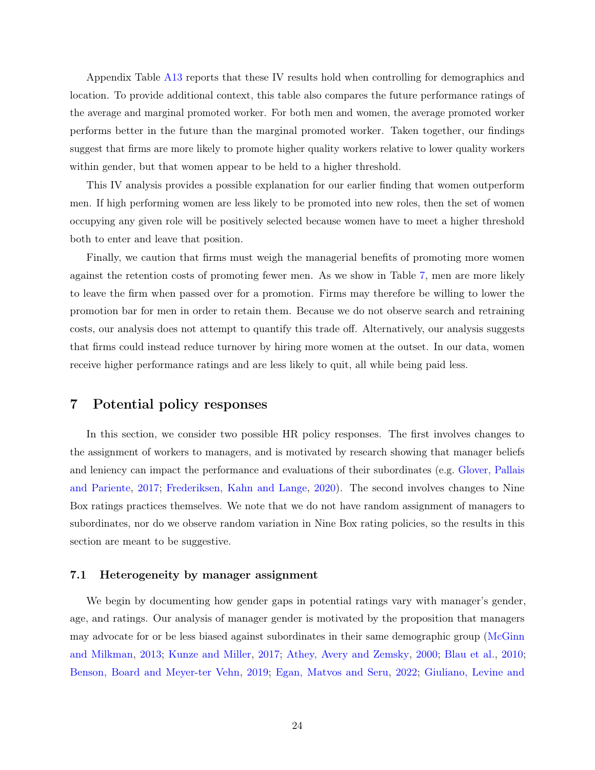Appendix Table [A13](#page-66-0) reports that these IV results hold when controlling for demographics and location. To provide additional context, this table also compares the future performance ratings of the average and marginal promoted worker. For both men and women, the average promoted worker performs better in the future than the marginal promoted worker. Taken together, our findings suggest that firms are more likely to promote higher quality workers relative to lower quality workers within gender, but that women appear to be held to a higher threshold.

This IV analysis provides a possible explanation for our earlier finding that women outperform men. If high performing women are less likely to be promoted into new roles, then the set of women occupying any given role will be positively selected because women have to meet a higher threshold both to enter and leave that position.

Finally, we caution that firms must weigh the managerial benefits of promoting more women against the retention costs of promoting fewer men. As we show in Table [7,](#page-47-0) men are more likely to leave the firm when passed over for a promotion. Firms may therefore be willing to lower the promotion bar for men in order to retain them. Because we do not observe search and retraining costs, our analysis does not attempt to quantify this trade off. Alternatively, our analysis suggests that firms could instead reduce turnover by hiring more women at the outset. In our data, women receive higher performance ratings and are less likely to quit, all while being paid less.

### 7 Potential policy responses

In this section, we consider two possible HR policy responses. The first involves changes to the assignment of workers to managers, and is motivated by research showing that manager beliefs and leniency can impact the performance and evaluations of their subordinates (e.g. [Glover, Pallais](#page-33-8) [and Pariente,](#page-33-8) [2017;](#page-33-8) [Frederiksen, Kahn and Lange,](#page-33-9) [2020\)](#page-33-9). The second involves changes to Nine Box ratings practices themselves. We note that we do not have random assignment of managers to subordinates, nor do we observe random variation in Nine Box rating policies, so the results in this section are meant to be suggestive.

### 7.1 Heterogeneity by manager assignment

We begin by documenting how gender gaps in potential ratings vary with manager's gender, age, and ratings. Our analysis of manager gender is motivated by the proposition that managers may advocate for or be less biased against subordinates in their same demographic group [\(McGinn](#page-34-7) [and Milkman,](#page-34-7) [2013;](#page-34-7) [Kunze and Miller,](#page-34-8) [2017;](#page-34-8) [Athey, Avery and Zemsky,](#page-30-11) [2000;](#page-30-11) [Blau et al.,](#page-31-8) [2010;](#page-31-8) [Benson, Board and Meyer-ter Vehn,](#page-30-12) [2019;](#page-30-12) [Egan, Matvos and Seru,](#page-32-10) [2022;](#page-32-10) [Giuliano, Levine and](#page-33-10)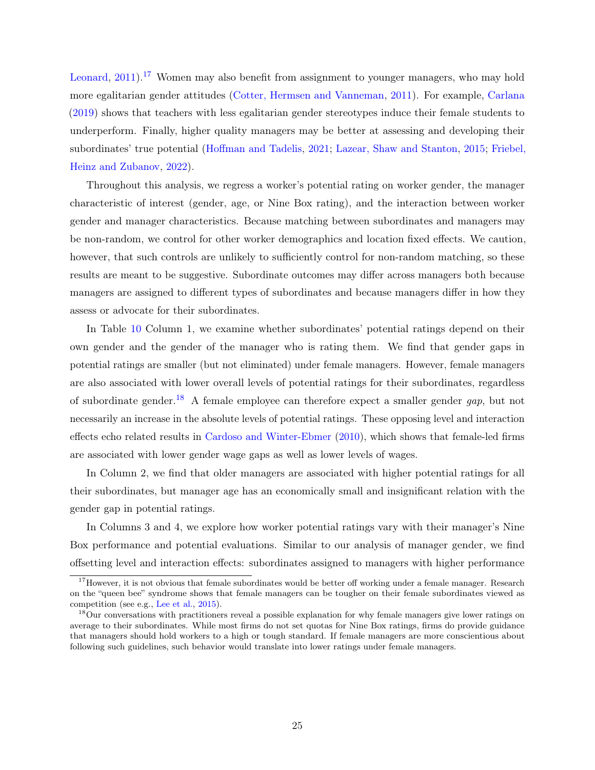[Leonard,](#page-33-10) [2011\)](#page-33-10).[17](#page-25-0) Women may also benefit from assignment to younger managers, who may hold more egalitarian gender attitudes [\(Cotter, Hermsen and Vanneman,](#page-32-11) [2011\)](#page-32-11). For example, [Carlana](#page-31-9) [\(2019\)](#page-31-9) shows that teachers with less egalitarian gender stereotypes induce their female students to underperform. Finally, higher quality managers may be better at assessing and developing their subordinates' true potential [\(Hoffman and Tadelis,](#page-33-11) [2021;](#page-33-11) [Lazear, Shaw and Stanton,](#page-34-9) [2015;](#page-34-9) [Friebel,](#page-33-12) [Heinz and Zubanov,](#page-33-12) [2022\)](#page-33-12).

Throughout this analysis, we regress a worker's potential rating on worker gender, the manager characteristic of interest (gender, age, or Nine Box rating), and the interaction between worker gender and manager characteristics. Because matching between subordinates and managers may be non-random, we control for other worker demographics and location fixed effects. We caution, however, that such controls are unlikely to sufficiently control for non-random matching, so these results are meant to be suggestive. Subordinate outcomes may differ across managers both because managers are assigned to different types of subordinates and because managers differ in how they assess or advocate for their subordinates.

In Table [10](#page-50-0) Column 1, we examine whether subordinates' potential ratings depend on their own gender and the gender of the manager who is rating them. We find that gender gaps in potential ratings are smaller (but not eliminated) under female managers. However, female managers are also associated with lower overall levels of potential ratings for their subordinates, regardless of subordinate gender.<sup>[18](#page-25-1)</sup> A female employee can therefore expect a smaller gender gap, but not necessarily an increase in the absolute levels of potential ratings. These opposing level and interaction effects echo related results in [Cardoso and Winter-Ebmer](#page-31-10) [\(2010\)](#page-31-10), which shows that female-led firms are associated with lower gender wage gaps as well as lower levels of wages.

In Column 2, we find that older managers are associated with higher potential ratings for all their subordinates, but manager age has an economically small and insignificant relation with the gender gap in potential ratings.

In Columns 3 and 4, we explore how worker potential ratings vary with their manager's Nine Box performance and potential evaluations. Similar to our analysis of manager gender, we find offsetting level and interaction effects: subordinates assigned to managers with higher performance

<span id="page-25-0"></span> $17$ However, it is not obvious that female subordinates would be better off working under a female manager. Research on the "queen bee" syndrome shows that female managers can be tougher on their female subordinates viewed as competition (see e.g., [Lee et al.,](#page-34-10) [2015\)](#page-34-10).

<span id="page-25-1"></span><sup>&</sup>lt;sup>18</sup>Our conversations with practitioners reveal a possible explanation for why female managers give lower ratings on average to their subordinates. While most firms do not set quotas for Nine Box ratings, firms do provide guidance that managers should hold workers to a high or tough standard. If female managers are more conscientious about following such guidelines, such behavior would translate into lower ratings under female managers.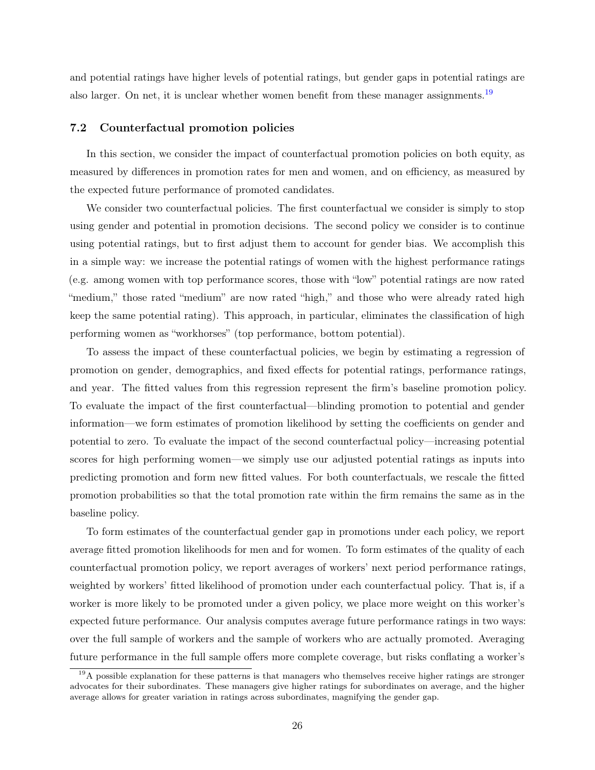and potential ratings have higher levels of potential ratings, but gender gaps in potential ratings are also larger. On net, it is unclear whether women benefit from these manager assignments.[19](#page-26-0)

### <span id="page-26-1"></span>7.2 Counterfactual promotion policies

In this section, we consider the impact of counterfactual promotion policies on both equity, as measured by differences in promotion rates for men and women, and on efficiency, as measured by the expected future performance of promoted candidates.

We consider two counterfactual policies. The first counterfactual we consider is simply to stop using gender and potential in promotion decisions. The second policy we consider is to continue using potential ratings, but to first adjust them to account for gender bias. We accomplish this in a simple way: we increase the potential ratings of women with the highest performance ratings (e.g. among women with top performance scores, those with "low" potential ratings are now rated "medium," those rated "medium" are now rated "high," and those who were already rated high keep the same potential rating). This approach, in particular, eliminates the classification of high performing women as "workhorses" (top performance, bottom potential).

To assess the impact of these counterfactual policies, we begin by estimating a regression of promotion on gender, demographics, and fixed effects for potential ratings, performance ratings, and year. The fitted values from this regression represent the firm's baseline promotion policy. To evaluate the impact of the first counterfactual—blinding promotion to potential and gender information—we form estimates of promotion likelihood by setting the coefficients on gender and potential to zero. To evaluate the impact of the second counterfactual policy—increasing potential scores for high performing women—we simply use our adjusted potential ratings as inputs into predicting promotion and form new fitted values. For both counterfactuals, we rescale the fitted promotion probabilities so that the total promotion rate within the firm remains the same as in the baseline policy.

To form estimates of the counterfactual gender gap in promotions under each policy, we report average fitted promotion likelihoods for men and for women. To form estimates of the quality of each counterfactual promotion policy, we report averages of workers' next period performance ratings, weighted by workers' fitted likelihood of promotion under each counterfactual policy. That is, if a worker is more likely to be promoted under a given policy, we place more weight on this worker's expected future performance. Our analysis computes average future performance ratings in two ways: over the full sample of workers and the sample of workers who are actually promoted. Averaging future performance in the full sample offers more complete coverage, but risks conflating a worker's

<span id="page-26-0"></span> $19A$  possible explanation for these patterns is that managers who themselves receive higher ratings are stronger advocates for their subordinates. These managers give higher ratings for subordinates on average, and the higher average allows for greater variation in ratings across subordinates, magnifying the gender gap.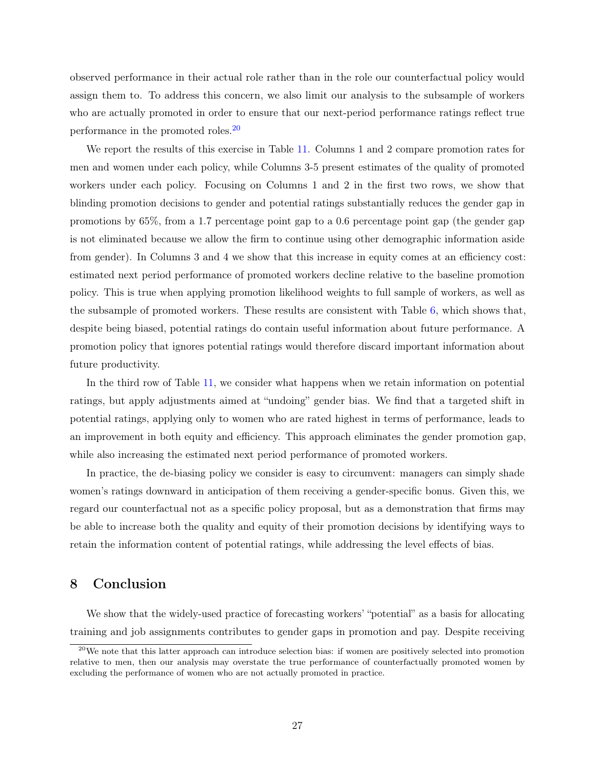observed performance in their actual role rather than in the role our counterfactual policy would assign them to. To address this concern, we also limit our analysis to the subsample of workers who are actually promoted in order to ensure that our next-period performance ratings reflect true performance in the promoted roles.[20](#page-27-0)

We report the results of this exercise in Table [11.](#page-51-0) Columns 1 and 2 compare promotion rates for men and women under each policy, while Columns 3-5 present estimates of the quality of promoted workers under each policy. Focusing on Columns 1 and 2 in the first two rows, we show that blinding promotion decisions to gender and potential ratings substantially reduces the gender gap in promotions by 65%, from a 1.7 percentage point gap to a 0.6 percentage point gap (the gender gap is not eliminated because we allow the firm to continue using other demographic information aside from gender). In Columns 3 and 4 we show that this increase in equity comes at an efficiency cost: estimated next period performance of promoted workers decline relative to the baseline promotion policy. This is true when applying promotion likelihood weights to full sample of workers, as well as the subsample of promoted workers. These results are consistent with Table [6,](#page-46-0) which shows that, despite being biased, potential ratings do contain useful information about future performance. A promotion policy that ignores potential ratings would therefore discard important information about future productivity.

In the third row of Table [11,](#page-51-0) we consider what happens when we retain information on potential ratings, but apply adjustments aimed at "undoing" gender bias. We find that a targeted shift in potential ratings, applying only to women who are rated highest in terms of performance, leads to an improvement in both equity and efficiency. This approach eliminates the gender promotion gap, while also increasing the estimated next period performance of promoted workers.

In practice, the de-biasing policy we consider is easy to circumvent: managers can simply shade women's ratings downward in anticipation of them receiving a gender-specific bonus. Given this, we regard our counterfactual not as a specific policy proposal, but as a demonstration that firms may be able to increase both the quality and equity of their promotion decisions by identifying ways to retain the information content of potential ratings, while addressing the level effects of bias.

# 8 Conclusion

We show that the widely-used practice of forecasting workers' "potential" as a basis for allocating training and job assignments contributes to gender gaps in promotion and pay. Despite receiving

<span id="page-27-0"></span> $20$ We note that this latter approach can introduce selection bias: if women are positively selected into promotion relative to men, then our analysis may overstate the true performance of counterfactually promoted women by excluding the performance of women who are not actually promoted in practice.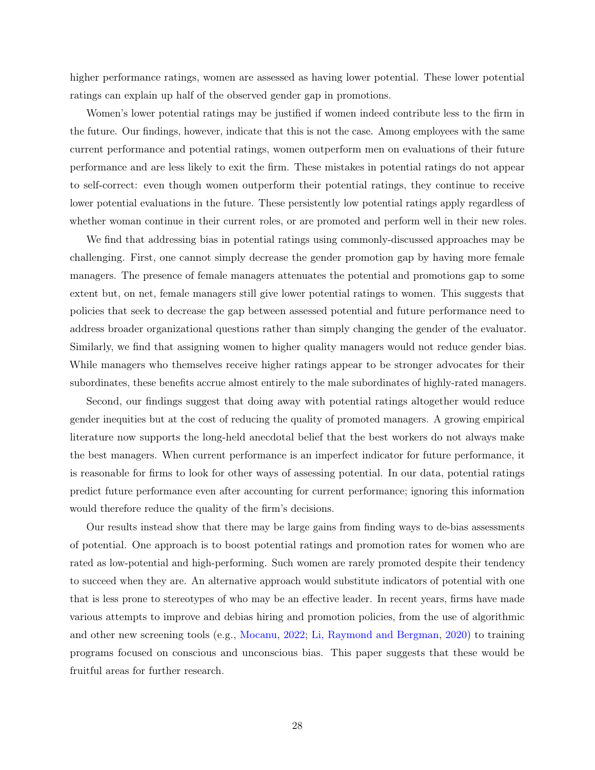higher performance ratings, women are assessed as having lower potential. These lower potential ratings can explain up half of the observed gender gap in promotions.

Women's lower potential ratings may be justified if women indeed contribute less to the firm in the future. Our findings, however, indicate that this is not the case. Among employees with the same current performance and potential ratings, women outperform men on evaluations of their future performance and are less likely to exit the firm. These mistakes in potential ratings do not appear to self-correct: even though women outperform their potential ratings, they continue to receive lower potential evaluations in the future. These persistently low potential ratings apply regardless of whether woman continue in their current roles, or are promoted and perform well in their new roles.

We find that addressing bias in potential ratings using commonly-discussed approaches may be challenging. First, one cannot simply decrease the gender promotion gap by having more female managers. The presence of female managers attenuates the potential and promotions gap to some extent but, on net, female managers still give lower potential ratings to women. This suggests that policies that seek to decrease the gap between assessed potential and future performance need to address broader organizational questions rather than simply changing the gender of the evaluator. Similarly, we find that assigning women to higher quality managers would not reduce gender bias. While managers who themselves receive higher ratings appear to be stronger advocates for their subordinates, these benefits accrue almost entirely to the male subordinates of highly-rated managers.

Second, our findings suggest that doing away with potential ratings altogether would reduce gender inequities but at the cost of reducing the quality of promoted managers. A growing empirical literature now supports the long-held anecdotal belief that the best workers do not always make the best managers. When current performance is an imperfect indicator for future performance, it is reasonable for firms to look for other ways of assessing potential. In our data, potential ratings predict future performance even after accounting for current performance; ignoring this information would therefore reduce the quality of the firm's decisions.

Our results instead show that there may be large gains from finding ways to de-bias assessments of potential. One approach is to boost potential ratings and promotion rates for women who are rated as low-potential and high-performing. Such women are rarely promoted despite their tendency to succeed when they are. An alternative approach would substitute indicators of potential with one that is less prone to stereotypes of who may be an effective leader. In recent years, firms have made various attempts to improve and debias hiring and promotion policies, from the use of algorithmic and other new screening tools (e.g., [Mocanu,](#page-35-12) [2022;](#page-35-12) [Li, Raymond and Bergman,](#page-34-11) [2020\)](#page-34-11) to training programs focused on conscious and unconscious bias. This paper suggests that these would be fruitful areas for further research.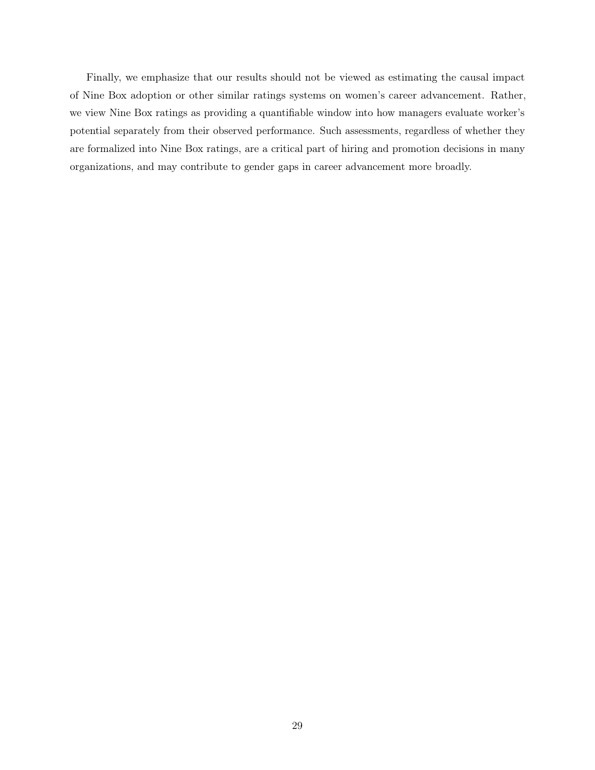Finally, we emphasize that our results should not be viewed as estimating the causal impact of Nine Box adoption or other similar ratings systems on women's career advancement. Rather, we view Nine Box ratings as providing a quantifiable window into how managers evaluate worker's potential separately from their observed performance. Such assessments, regardless of whether they are formalized into Nine Box ratings, are a critical part of hiring and promotion decisions in many organizations, and may contribute to gender gaps in career advancement more broadly.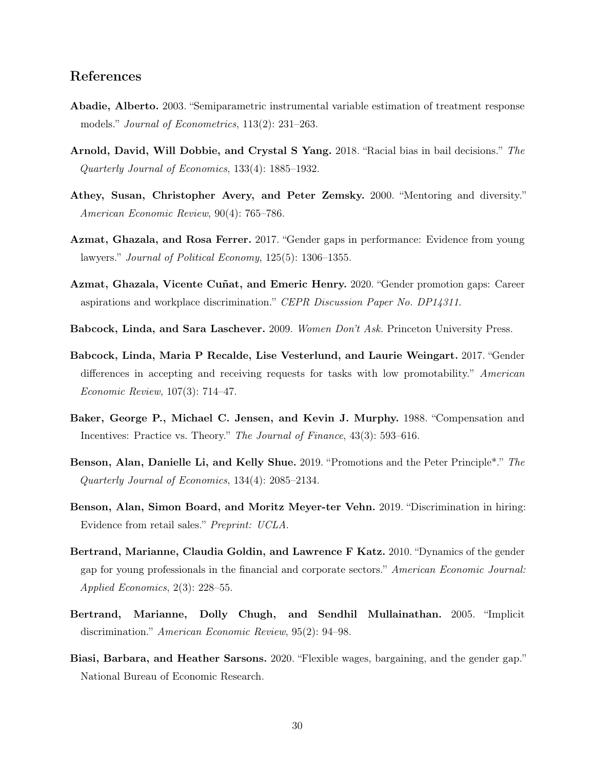# References

- <span id="page-30-9"></span>Abadie, Alberto. 2003. "Semiparametric instrumental variable estimation of treatment response models." Journal of Econometrics, 113(2): 231–263.
- <span id="page-30-10"></span>Arnold, David, Will Dobbie, and Crystal S Yang. 2018. "Racial bias in bail decisions." The Quarterly Journal of Economics, 133(4): 1885–1932.
- <span id="page-30-11"></span>Athey, Susan, Christopher Avery, and Peter Zemsky. 2000. "Mentoring and diversity." American Economic Review, 90(4): 765–786.
- <span id="page-30-8"></span>Azmat, Ghazala, and Rosa Ferrer. 2017. "Gender gaps in performance: Evidence from young lawyers." Journal of Political Economy, 125(5): 1306–1355.
- <span id="page-30-5"></span>Azmat, Ghazala, Vicente Cuñat, and Emeric Henry. 2020. "Gender promotion gaps: Career aspirations and workplace discrimination." CEPR Discussion Paper No. DP14311.
- <span id="page-30-3"></span>Babcock, Linda, and Sara Laschever. 2009. Women Don't Ask. Princeton University Press.
- <span id="page-30-1"></span>Babcock, Linda, Maria P Recalde, Lise Vesterlund, and Laurie Weingart. 2017. "Gender differences in accepting and receiving requests for tasks with low promotability." American Economic Review, 107(3): 714–47.
- <span id="page-30-7"></span>Baker, George P., Michael C. Jensen, and Kevin J. Murphy. 1988. "Compensation and Incentives: Practice vs. Theory." The Journal of Finance, 43(3): 593–616.
- <span id="page-30-0"></span>Benson, Alan, Danielle Li, and Kelly Shue. 2019. "Promotions and the Peter Principle\*." The Quarterly Journal of Economics, 134(4): 2085–2134.
- <span id="page-30-12"></span>Benson, Alan, Simon Board, and Moritz Meyer-ter Vehn. 2019. "Discrimination in hiring: Evidence from retail sales." Preprint: UCLA.
- <span id="page-30-6"></span>Bertrand, Marianne, Claudia Goldin, and Lawrence F Katz. 2010. "Dynamics of the gender gap for young professionals in the financial and corporate sectors." American Economic Journal: Applied Economics, 2(3): 228–55.
- <span id="page-30-2"></span>Bertrand, Marianne, Dolly Chugh, and Sendhil Mullainathan. 2005. "Implicit discrimination." American Economic Review, 95(2): 94–98.
- <span id="page-30-4"></span>Biasi, Barbara, and Heather Sarsons. 2020. "Flexible wages, bargaining, and the gender gap." National Bureau of Economic Research.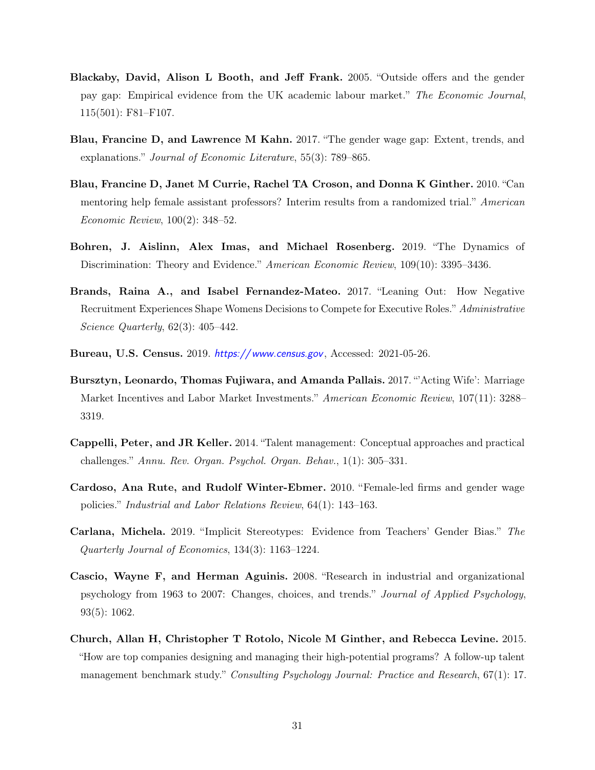- <span id="page-31-5"></span>Blackaby, David, Alison L Booth, and Jeff Frank. 2005. "Outside offers and the gender pay gap: Empirical evidence from the UK academic labour market." The Economic Journal, 115(501): F81–F107.
- <span id="page-31-0"></span>Blau, Francine D, and Lawrence M Kahn. 2017. "The gender wage gap: Extent, trends, and explanations." Journal of Economic Literature, 55(3): 789–865.
- <span id="page-31-8"></span>Blau, Francine D, Janet M Currie, Rachel TA Croson, and Donna K Ginther. 2010. "Can mentoring help female assistant professors? Interim results from a randomized trial." American Economic Review, 100(2): 348–52.
- <span id="page-31-7"></span>Bohren, J. Aislinn, Alex Imas, and Michael Rosenberg. 2019. "The Dynamics of Discrimination: Theory and Evidence." American Economic Review, 109(10): 3395–3436.
- <span id="page-31-2"></span>Brands, Raina A., and Isabel Fernandez-Mateo. 2017. "Leaning Out: How Negative Recruitment Experiences Shape Womens Decisions to Compete for Executive Roles." Administrative Science Quarterly, 62(3): 405–442.
- <span id="page-31-11"></span>Bureau, U.S. Census. 2019. <https://www.census.gov> , Accessed: 2021-05-26.
- <span id="page-31-1"></span>Bursztyn, Leonardo, Thomas Fujiwara, and Amanda Pallais. 2017. "'Acting Wife': Marriage Market Incentives and Labor Market Investments." American Economic Review, 107(11): 3288– 3319.
- <span id="page-31-3"></span>Cappelli, Peter, and JR Keller. 2014. "Talent management: Conceptual approaches and practical challenges." Annu. Rev. Organ. Psychol. Organ. Behav., 1(1): 305–331.
- <span id="page-31-10"></span>Cardoso, Ana Rute, and Rudolf Winter-Ebmer. 2010. "Female-led firms and gender wage policies." Industrial and Labor Relations Review, 64(1): 143–163.
- <span id="page-31-9"></span>Carlana, Michela. 2019. "Implicit Stereotypes: Evidence from Teachers' Gender Bias." The Quarterly Journal of Economics, 134(3): 1163–1224.
- <span id="page-31-6"></span>Cascio, Wayne F, and Herman Aguinis. 2008. "Research in industrial and organizational psychology from 1963 to 2007: Changes, choices, and trends." Journal of Applied Psychology, 93(5): 1062.
- <span id="page-31-4"></span>Church, Allan H, Christopher T Rotolo, Nicole M Ginther, and Rebecca Levine. 2015. "How are top companies designing and managing their high-potential programs? A follow-up talent management benchmark study." Consulting Psychology Journal: Practice and Research, 67(1): 17.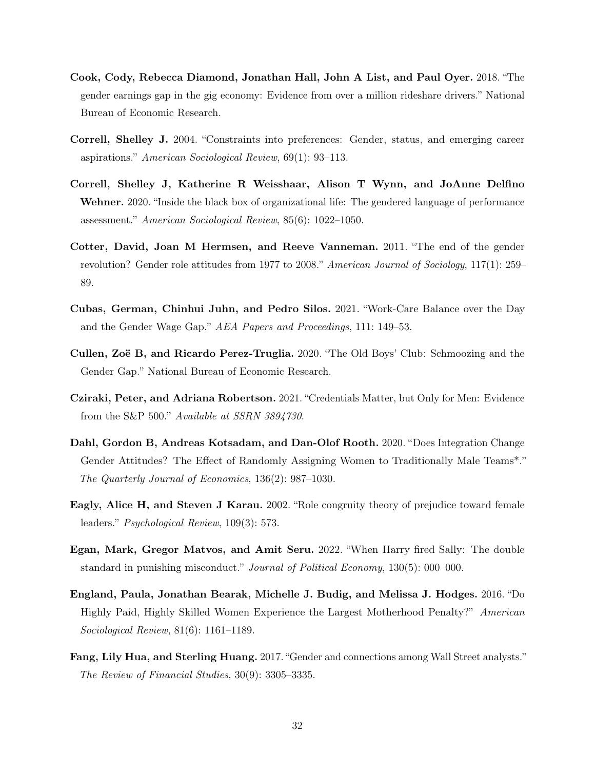- <span id="page-32-7"></span>Cook, Cody, Rebecca Diamond, Jonathan Hall, John A List, and Paul Oyer. 2018. "The gender earnings gap in the gig economy: Evidence from over a million rideshare drivers." National Bureau of Economic Research.
- <span id="page-32-6"></span>Correll, Shelley J. 2004. "Constraints into preferences: Gender, status, and emerging career aspirations." American Sociological Review, 69(1): 93–113.
- <span id="page-32-3"></span>Correll, Shelley J, Katherine R Weisshaar, Alison T Wynn, and JoAnne Delfino Wehner. 2020. "Inside the black box of organizational life: The gendered language of performance assessment." American Sociological Review, 85(6): 1022–1050.
- <span id="page-32-11"></span>Cotter, David, Joan M Hermsen, and Reeve Vanneman. 2011. "The end of the gender revolution? Gender role attitudes from 1977 to 2008." American Journal of Sociology, 117(1): 259– 89.
- <span id="page-32-9"></span>Cubas, German, Chinhui Juhn, and Pedro Silos. 2021. "Work-Care Balance over the Day and the Gender Wage Gap." AEA Papers and Proceedings, 111: 149–53.
- <span id="page-32-1"></span>Cullen, Zoë B, and Ricardo Perez-Truglia. 2020. "The Old Boys' Club: Schmoozing and the Gender Gap." National Bureau of Economic Research.
- <span id="page-32-5"></span>Cziraki, Peter, and Adriana Robertson. 2021. "Credentials Matter, but Only for Men: Evidence from the S&P 500." Available at SSRN 3894730.
- <span id="page-32-8"></span>Dahl, Gordon B, Andreas Kotsadam, and Dan-Olof Rooth. 2020. "Does Integration Change Gender Attitudes? The Effect of Randomly Assigning Women to Traditionally Male Teams\*." The Quarterly Journal of Economics, 136(2): 987–1030.
- <span id="page-32-0"></span>Eagly, Alice H, and Steven J Karau. 2002. "Role congruity theory of prejudice toward female leaders." Psychological Review, 109(3): 573.
- <span id="page-32-10"></span>Egan, Mark, Gregor Matvos, and Amit Seru. 2022. "When Harry fired Sally: The double standard in punishing misconduct." Journal of Political Economy, 130(5): 000–000.
- <span id="page-32-4"></span>England, Paula, Jonathan Bearak, Michelle J. Budig, and Melissa J. Hodges. 2016. "Do Highly Paid, Highly Skilled Women Experience the Largest Motherhood Penalty?" American Sociological Review, 81(6): 1161–1189.
- <span id="page-32-2"></span>Fang, Lily Hua, and Sterling Huang. 2017. "Gender and connections among Wall Street analysts." The Review of Financial Studies, 30(9): 3305–3335.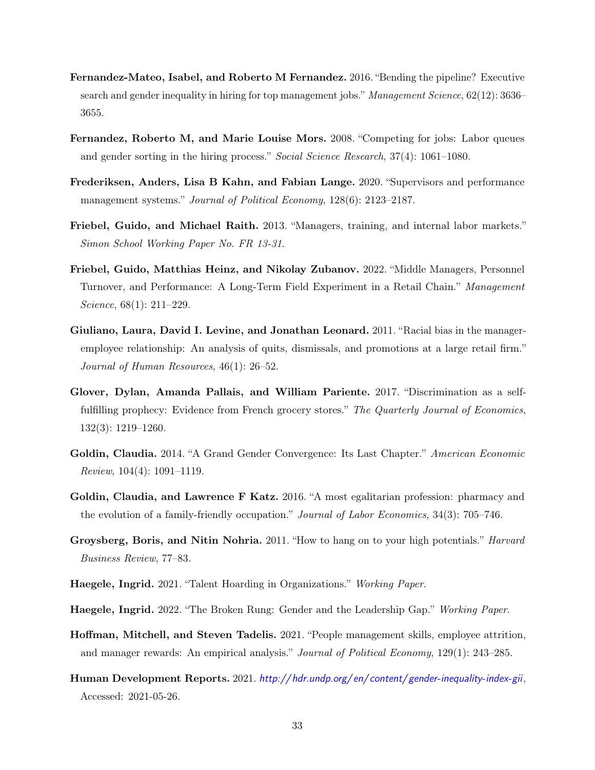- <span id="page-33-5"></span>Fernandez-Mateo, Isabel, and Roberto M Fernandez. 2016. "Bending the pipeline? Executive search and gender inequality in hiring for top management jobs." Management Science, 62(12): 3636– 3655.
- <span id="page-33-4"></span>Fernandez, Roberto M, and Marie Louise Mors. 2008. "Competing for jobs: Labor queues and gender sorting in the hiring process." Social Science Research, 37(4): 1061–1080.
- <span id="page-33-9"></span>Frederiksen, Anders, Lisa B Kahn, and Fabian Lange. 2020. "Supervisors and performance management systems." Journal of Political Economy, 128(6): 2123–2187.
- <span id="page-33-1"></span>Friebel, Guido, and Michael Raith. 2013. "Managers, training, and internal labor markets." Simon School Working Paper No. FR 13-31.
- <span id="page-33-12"></span>Friebel, Guido, Matthias Heinz, and Nikolay Zubanov. 2022. "Middle Managers, Personnel Turnover, and Performance: A Long-Term Field Experiment in a Retail Chain." Management Science, 68(1): 211–229.
- <span id="page-33-10"></span>Giuliano, Laura, David I. Levine, and Jonathan Leonard. 2011. "Racial bias in the manageremployee relationship: An analysis of quits, dismissals, and promotions at a large retail firm." Journal of Human Resources, 46(1): 26–52.
- <span id="page-33-8"></span>Glover, Dylan, Amanda Pallais, and William Pariente. 2017. "Discrimination as a selffulfilling prophecy: Evidence from French grocery stores." The Quarterly Journal of Economics, 132(3): 1219–1260.
- <span id="page-33-6"></span>Goldin, Claudia. 2014. "A Grand Gender Convergence: Its Last Chapter." American Economic Review, 104(4): 1091–1119.
- <span id="page-33-7"></span>Goldin, Claudia, and Lawrence F Katz. 2016. "A most egalitarian profession: pharmacy and the evolution of a family-friendly occupation." Journal of Labor Economics, 34(3): 705–746.
- <span id="page-33-3"></span>Groysberg, Boris, and Nitin Nohria. 2011. "How to hang on to your high potentials." *Harvard* Business Review, 77–83.
- <span id="page-33-2"></span>Haegele, Ingrid. 2021. "Talent Hoarding in Organizations." Working Paper.
- <span id="page-33-0"></span>Haegele, Ingrid. 2022. "The Broken Rung: Gender and the Leadership Gap." Working Paper.
- <span id="page-33-11"></span>Hoffman, Mitchell, and Steven Tadelis. 2021. "People management skills, employee attrition, and manager rewards: An empirical analysis." Journal of Political Economy, 129(1): 243–285.
- <span id="page-33-13"></span>Human Development Reports. 2021. [http:// hdr.undp.org/ en/ content/ gender-inequality-index-gii](http://hdr.undp.org/en/content/gender-inequality-index-gii), Accessed: 2021-05-26.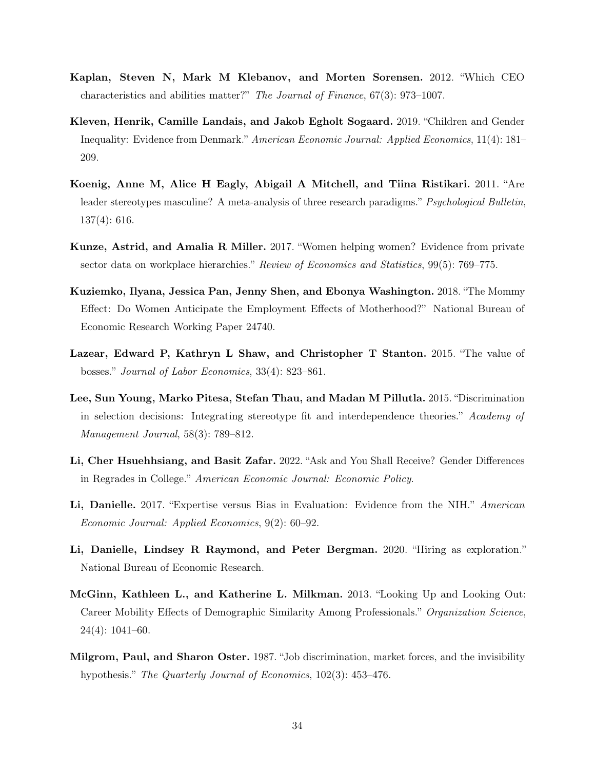- <span id="page-34-1"></span>Kaplan, Steven N, Mark M Klebanov, and Morten Sorensen. 2012. "Which CEO characteristics and abilities matter?" The Journal of Finance, 67(3): 973–1007.
- <span id="page-34-5"></span>Kleven, Henrik, Camille Landais, and Jakob Egholt Sogaard. 2019. "Children and Gender Inequality: Evidence from Denmark." American Economic Journal: Applied Economics, 11(4): 181– 209.
- <span id="page-34-0"></span>Koenig, Anne M, Alice H Eagly, Abigail A Mitchell, and Tiina Ristikari. 2011. "Are leader stereotypes masculine? A meta-analysis of three research paradigms." Psychological Bulletin, 137(4): 616.
- <span id="page-34-8"></span>Kunze, Astrid, and Amalia R Miller. 2017. "Women helping women? Evidence from private sector data on workplace hierarchies." Review of Economics and Statistics, 99(5): 769–775.
- <span id="page-34-6"></span>Kuziemko, Ilyana, Jessica Pan, Jenny Shen, and Ebonya Washington. 2018. "The Mommy Effect: Do Women Anticipate the Employment Effects of Motherhood?" National Bureau of Economic Research Working Paper 24740.
- <span id="page-34-9"></span>Lazear, Edward P, Kathryn L Shaw, and Christopher T Stanton. 2015. "The value of bosses." Journal of Labor Economics, 33(4): 823–861.
- <span id="page-34-10"></span>Lee, Sun Young, Marko Pitesa, Stefan Thau, and Madan M Pillutla. 2015. "Discrimination in selection decisions: Integrating stereotype fit and interdependence theories." Academy of Management Journal, 58(3): 789–812.
- <span id="page-34-2"></span>Li, Cher Hsuehhsiang, and Basit Zafar. 2022. "Ask and You Shall Receive? Gender Differences in Regrades in College." American Economic Journal: Economic Policy.
- <span id="page-34-4"></span>Li, Danielle. 2017. "Expertise versus Bias in Evaluation: Evidence from the NIH." American Economic Journal: Applied Economics, 9(2): 60–92.
- <span id="page-34-11"></span>Li, Danielle, Lindsey R Raymond, and Peter Bergman. 2020. "Hiring as exploration." National Bureau of Economic Research.
- <span id="page-34-7"></span>McGinn, Kathleen L., and Katherine L. Milkman. 2013. "Looking Up and Looking Out: Career Mobility Effects of Demographic Similarity Among Professionals." Organization Science,  $24(4): 1041-60.$
- <span id="page-34-3"></span>Milgrom, Paul, and Sharon Oster. 1987. "Job discrimination, market forces, and the invisibility hypothesis." The Quarterly Journal of Economics, 102(3): 453–476.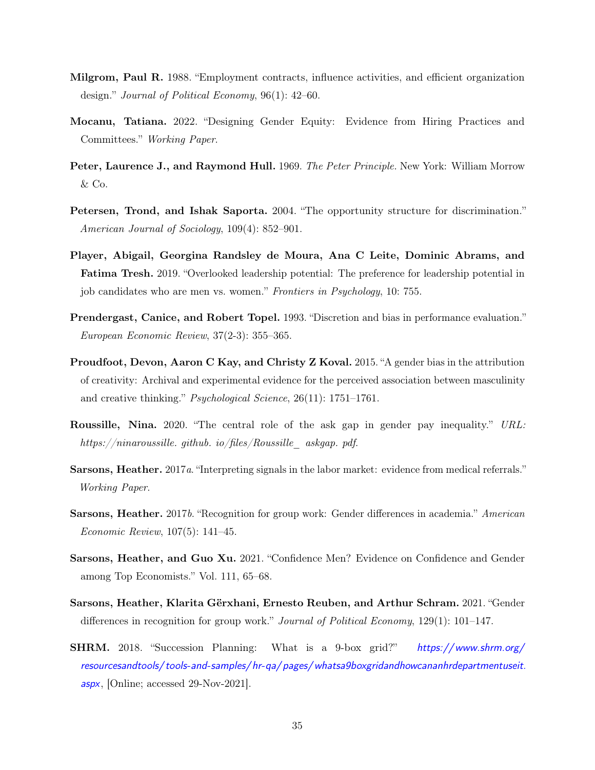- <span id="page-35-2"></span>Milgrom, Paul R. 1988. "Employment contracts, influence activities, and efficient organization design." Journal of Political Economy, 96(1): 42–60.
- <span id="page-35-12"></span>Mocanu, Tatiana. 2022. "Designing Gender Equity: Evidence from Hiring Practices and Committees." Working Paper.
- <span id="page-35-0"></span>Peter, Laurence J., and Raymond Hull. 1969. The Peter Principle. New York: William Morrow  $&$  Co.
- <span id="page-35-8"></span>Petersen, Trond, and Ishak Saporta. 2004. "The opportunity structure for discrimination." American Journal of Sociology, 109(4): 852–901.
- <span id="page-35-1"></span>Player, Abigail, Georgina Randsley de Moura, Ana C Leite, Dominic Abrams, and Fatima Tresh. 2019. "Overlooked leadership potential: The preference for leadership potential in job candidates who are men vs. women." Frontiers in Psychology, 10: 755.
- <span id="page-35-3"></span>Prendergast, Canice, and Robert Topel. 1993. "Discretion and bias in performance evaluation." European Economic Review, 37(2-3): 355–365.
- <span id="page-35-5"></span>Proudfoot, Devon, Aaron C Kay, and Christy Z Koval. 2015. "A gender bias in the attribution of creativity: Archival and experimental evidence for the perceived association between masculinity and creative thinking." Psychological Science, 26(11): 1751–1761.
- <span id="page-35-4"></span>Roussille, Nina. 2020. "The central role of the ask gap in gender pay inequality." URL: https://ninaroussille. github. io/files/Roussille\_ askgap. pdf.
- <span id="page-35-11"></span>Sarsons, Heather. 2017a. "Interpreting signals in the labor market: evidence from medical referrals." Working Paper.
- <span id="page-35-9"></span>Sarsons, Heather. 2017b. "Recognition for group work: Gender differences in academia." American Economic Review, 107(5): 141–45.
- <span id="page-35-6"></span>Sarsons, Heather, and Guo Xu. 2021. "Confidence Men? Evidence on Confidence and Gender among Top Economists." Vol. 111, 65–68.
- <span id="page-35-10"></span>Sarsons, Heather, Klarita Gërxhani, Ernesto Reuben, and Arthur Schram. 2021. "Gender differences in recognition for group work." Journal of Political Economy, 129(1): 101–147.
- <span id="page-35-7"></span>SHRM. 2018. "Succession Planning: What is a 9-box grid?" [https://www.shrm.org/](https://www.shrm.org/resourcesandtools/tools-and-samples/hr-qa/pages/whatsa9boxgridandhowcananhrdepartmentuseit.aspx) [resourcesandtools/ tools-and-samples/ hr-qa/ pages/whatsa9boxgridandhowcananhrdepartmentuseit.](https://www.shrm.org/resourcesandtools/tools-and-samples/hr-qa/pages/whatsa9boxgridandhowcananhrdepartmentuseit.aspx) [aspx](https://www.shrm.org/resourcesandtools/tools-and-samples/hr-qa/pages/whatsa9boxgridandhowcananhrdepartmentuseit.aspx), [Online; accessed 29-Nov-2021].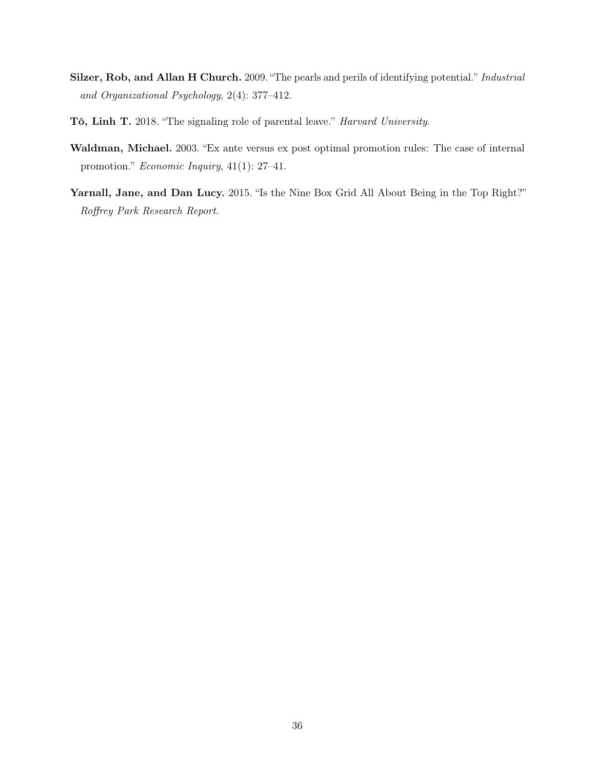- <span id="page-36-1"></span>Silzer, Rob, and Allan H Church. 2009. "The pearls and perils of identifying potential." Industrial and Organizational Psychology, 2(4): 377–412.
- <span id="page-36-3"></span>Tô, Linh T. 2018. "The signaling role of parental leave." Harvard University.
- <span id="page-36-0"></span>Waldman, Michael. 2003. "Ex ante versus ex post optimal promotion rules: The case of internal promotion." Economic Inquiry, 41(1): 27–41.
- <span id="page-36-2"></span>Yarnall, Jane, and Dan Lucy. 2015. "Is the Nine Box Grid All About Being in the Top Right?" Roffrey Park Research Report.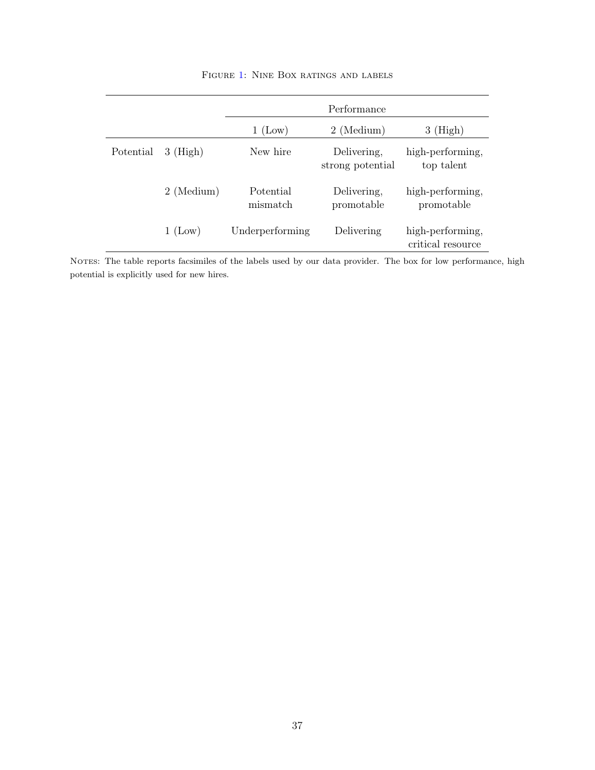<span id="page-37-0"></span>

|           |            |                       | Performance                     |                                       |
|-----------|------------|-----------------------|---------------------------------|---------------------------------------|
|           |            | (Low)                 | 2 (Medium)                      | $3$ (High)                            |
| Potential | $3$ (High) | New hire              | Delivering,<br>strong potential | high-performing,<br>top talent        |
|           | 2 (Medium) | Potential<br>mismatch | Delivering,<br>promotable       | high-performing,<br>promotable        |
|           | 1 (Low)    | Underperforming       | Delivering                      | high-performing,<br>critical resource |

### FIGURE [1:](#page-37-0) NINE BOX RATINGS AND LABELS

NOTES: The table reports facsimiles of the labels used by our data provider. The box for low performance, high potential is explicitly used for new hires.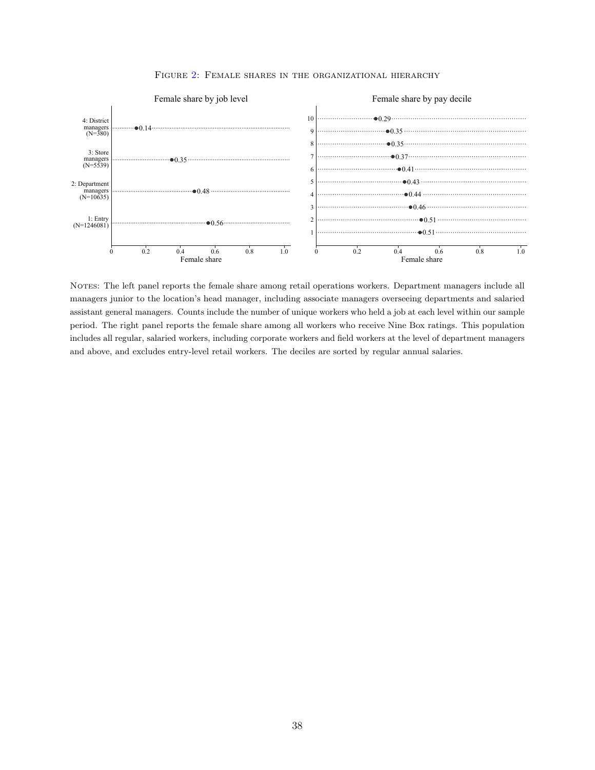<span id="page-38-0"></span>

#### FIGURE [2:](#page-38-0) FEMALE SHARES IN THE ORGANIZATIONAL HIERARCHY

NOTES: The left panel reports the female share among retail operations workers. Department managers include all managers junior to the location's head manager, including associate managers overseeing departments and salaried assistant general managers. Counts include the number of unique workers who held a job at each level within our sample period. The right panel reports the female share among all workers who receive Nine Box ratings. This population includes all regular, salaried workers, including corporate workers and field workers at the level of department managers and above, and excludes entry-level retail workers. The deciles are sorted by regular annual salaries.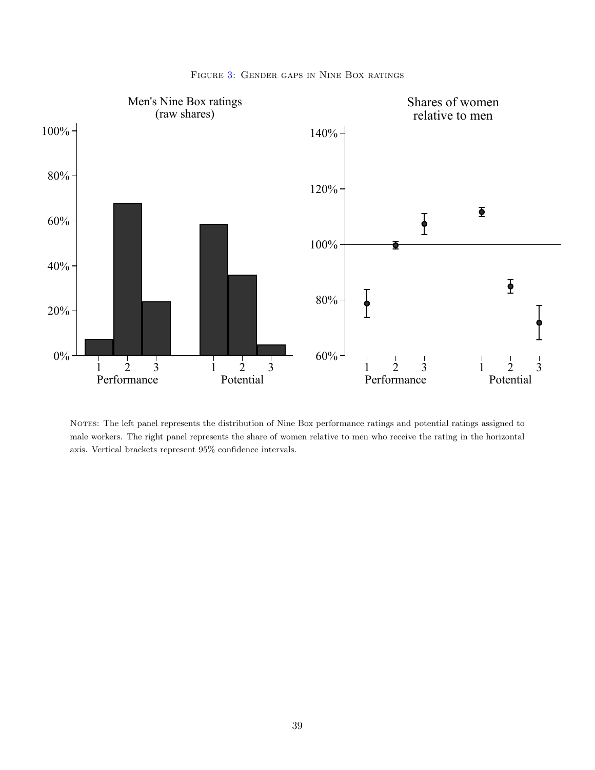<span id="page-39-0"></span>

FIGURE [3:](#page-39-0) GENDER GAPS IN NINE BOX RATINGS

Notes: The left panel represents the distribution of Nine Box performance ratings and potential ratings assigned to male workers. The right panel represents the share of women relative to men who receive the rating in the horizontal axis. Vertical brackets represent 95% confidence intervals.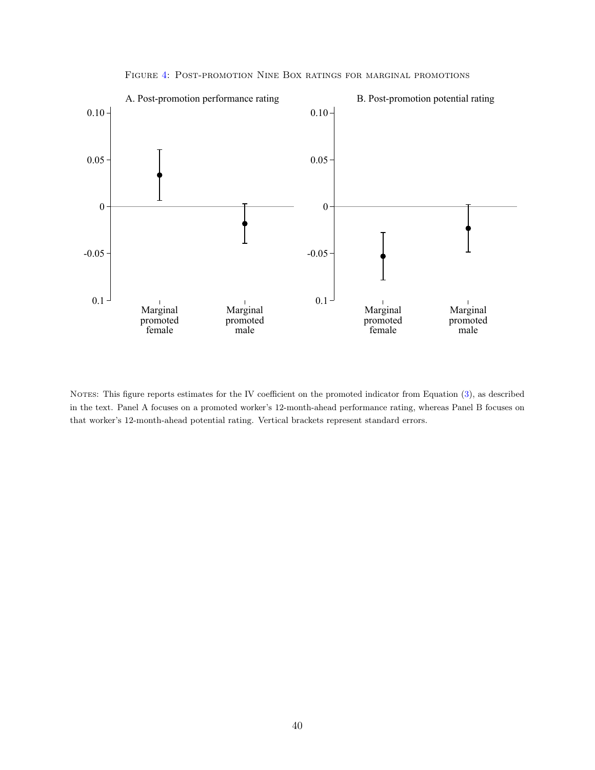<span id="page-40-0"></span>

Figure [4:](#page-40-0) Post-promotion Nine Box ratings for marginal promotions

NOTES: This figure reports estimates for the IV coefficient on the promoted indicator from Equation [\(3\)](#page-22-0), as described in the text. Panel A focuses on a promoted worker's 12-month-ahead performance rating, whereas Panel B focuses on that worker's 12-month-ahead potential rating. Vertical brackets represent standard errors.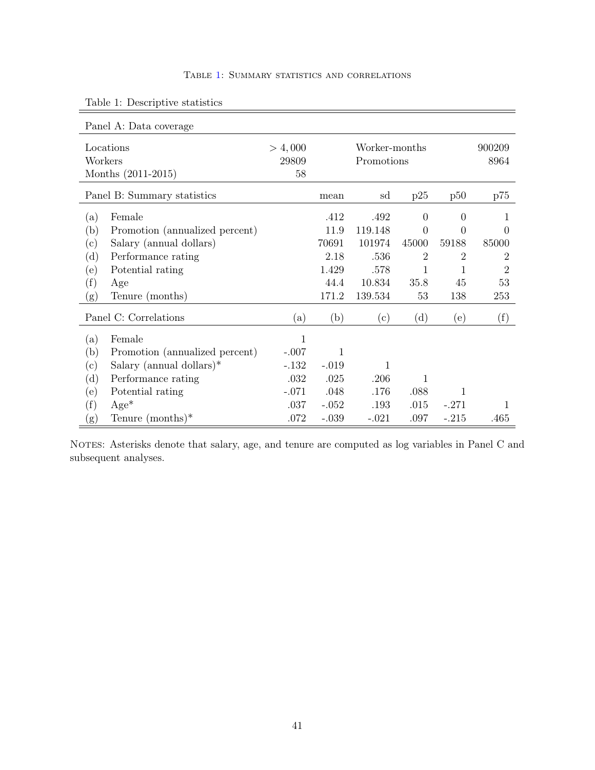÷

| Panel A: Data coverage                                                                                                                                                                            |                                                            |                                                         |                                                                |                                                                               |                                                                   |                                                                         |
|---------------------------------------------------------------------------------------------------------------------------------------------------------------------------------------------------|------------------------------------------------------------|---------------------------------------------------------|----------------------------------------------------------------|-------------------------------------------------------------------------------|-------------------------------------------------------------------|-------------------------------------------------------------------------|
| Locations<br>Workers<br>Months (2011-2015)                                                                                                                                                        | > 4,000<br>29809<br>58                                     |                                                         | Worker-months<br>Promotions                                    |                                                                               |                                                                   | 900209<br>8964                                                          |
| Panel B: Summary statistics                                                                                                                                                                       |                                                            | mean                                                    | sd                                                             | p25                                                                           | p50                                                               | p75                                                                     |
| Female<br>(a)<br>(b)<br>Promotion (annualized percent)<br>Salary (annual dollars)<br>$\rm ^{(c)}$<br>(d)<br>Performance rating<br>(e)<br>Potential rating<br>(f)<br>Age<br>Tenure (months)<br>(g) |                                                            | .412<br>11.9<br>70691<br>2.18<br>1.429<br>44.4<br>171.2 | .492<br>119.148<br>101974<br>.536<br>.578<br>10.834<br>139.534 | $\theta$<br>$\theta$<br>45000<br>$\overline{2}$<br>$\mathbf{1}$<br>35.8<br>53 | $\Omega$<br>$\Omega$<br>59188<br>$\overline{2}$<br>1<br>45<br>138 | 1<br>$\Omega$<br>85000<br>$\overline{2}$<br>$\overline{2}$<br>53<br>253 |
| Panel C: Correlations                                                                                                                                                                             | (a)                                                        | (b)                                                     | (c)                                                            | (d)                                                                           | (e)                                                               | (f)                                                                     |
| (a)<br>Female<br>(b)<br>Promotion (annualized percent)<br>Salary (annual dollars)*<br>(c)<br>(d)<br>Performance rating<br>Potential rating<br>(e)<br>(f)<br>$Age*$<br>(g)<br>Tenure (months) $*$  | 1<br>$-.007$<br>$-.132$<br>.032<br>$-.071$<br>.037<br>.072 | 1<br>$-.019$<br>.025<br>.048<br>$-.052$<br>$-.039$      | 1<br>.206<br>.176<br>.193<br>$-.021$                           | $\mathbf{1}$<br>.088<br>.015<br>.097                                          | 1<br>$-.271$<br>$-.215$                                           | 1<br>.465                                                               |

<span id="page-41-0"></span>Table 1: Descriptive statistics

NOTES: Asterisks denote that salary, age, and tenure are computed as log variables in Panel C and subsequent analyses.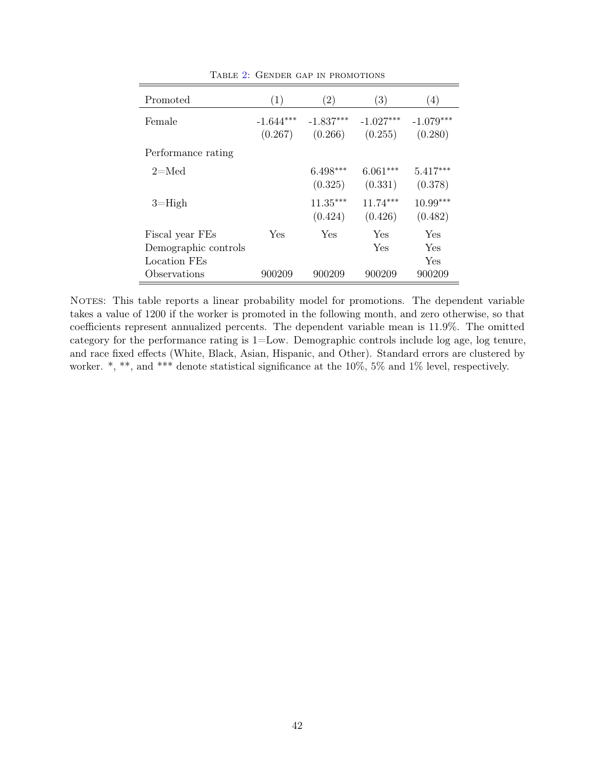<span id="page-42-0"></span>

| Promoted             | (1)                    | $\left( 2\right)$      | (3)                    | (4)                    |
|----------------------|------------------------|------------------------|------------------------|------------------------|
| Female               | $-1.644***$<br>(0.267) | $-1.837***$<br>(0.266) | $-1.027***$<br>(0.255) | $-1.079***$<br>(0.280) |
| Performance rating   |                        |                        |                        |                        |
| $2=$ Med             |                        | $6.498***$<br>(0.325)  | $6.061***$<br>(0.331)  | $5.417***$<br>(0.378)  |
| $3 =$ High           |                        | $11.35***$<br>(0.424)  | $11.74***$<br>(0.426)  | $10.99***$<br>(0.482)  |
| Fiscal year FEs      | Yes                    | Yes                    | Yes                    | Yes                    |
| Demographic controls |                        |                        | Yes                    | Yes                    |
| Location FEs         |                        |                        |                        | Yes                    |
| Observations         | 900209                 | 900209                 | 900209                 | 900209                 |

Table [2:](#page-42-0) Gender gap in promotions

NOTES: This table reports a linear probability model for promotions. The dependent variable takes a value of 1200 if the worker is promoted in the following month, and zero otherwise, so that coefficients represent annualized percents. The dependent variable mean is 11.9%. The omitted category for the performance rating is 1=Low. Demographic controls include log age, log tenure, and race fixed effects (White, Black, Asian, Hispanic, and Other). Standard errors are clustered by worker. \*, \*\*, and \*\*\* denote statistical significance at the 10%, 5% and 1% level, respectively.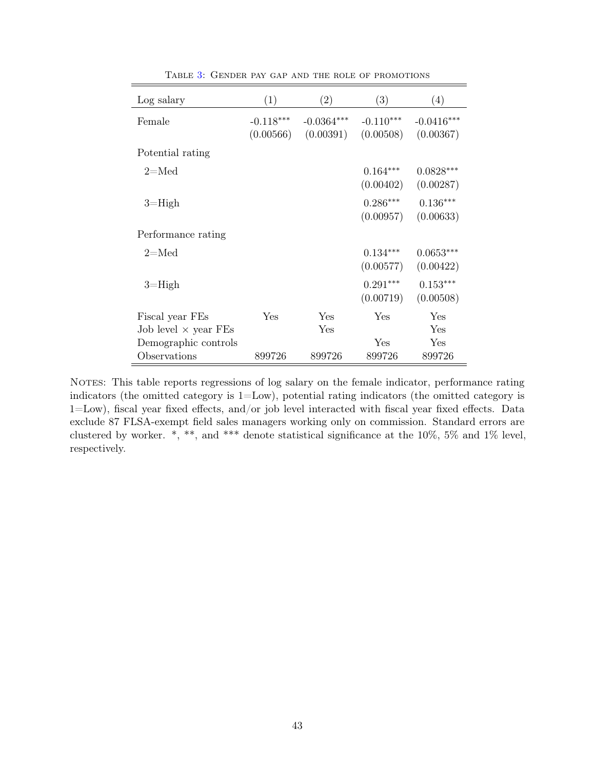<span id="page-43-0"></span>

| Log salary                  | (1)                      | $\left( 2\right)$         | (3)                      | (4)                       |
|-----------------------------|--------------------------|---------------------------|--------------------------|---------------------------|
| Female                      | $-0.118***$<br>(0.00566) | $-0.0364***$<br>(0.00391) | $-0.110***$<br>(0.00508) | $-0.0416***$<br>(0.00367) |
| Potential rating            |                          |                           |                          |                           |
| $2 = Med$                   |                          |                           | $0.164***$<br>(0.00402)  | $0.0828***$<br>(0.00287)  |
| $3 =$ High                  |                          |                           | $0.286***$<br>(0.00957)  | $0.136***$<br>(0.00633)   |
| Performance rating          |                          |                           |                          |                           |
| $2 = Med$                   |                          |                           | $0.134***$<br>(0.00577)  | $0.0653***$<br>(0.00422)  |
| $3 =$ High                  |                          |                           | $0.291***$<br>(0.00719)  | $0.153***$<br>(0.00508)   |
| Fiscal year FEs             | Yes                      | Yes                       | Yes                      | Yes                       |
| Job level $\times$ year FEs |                          | Yes                       |                          | Yes                       |
| Demographic controls        |                          |                           | Yes                      | Yes                       |
| Observations                | 899726                   | 899726                    | 899726                   | 899726                    |

Table [3:](#page-43-0) Gender pay gap and the role of promotions

NOTES: This table reports regressions of log salary on the female indicator, performance rating indicators (the omitted category is 1=Low), potential rating indicators (the omitted category is 1=Low), fiscal year fixed effects, and/or job level interacted with fiscal year fixed effects. Data exclude 87 FLSA-exempt field sales managers working only on commission. Standard errors are clustered by worker. \*, \*\*, and \*\*\* denote statistical significance at the 10%, 5% and 1% level, respectively.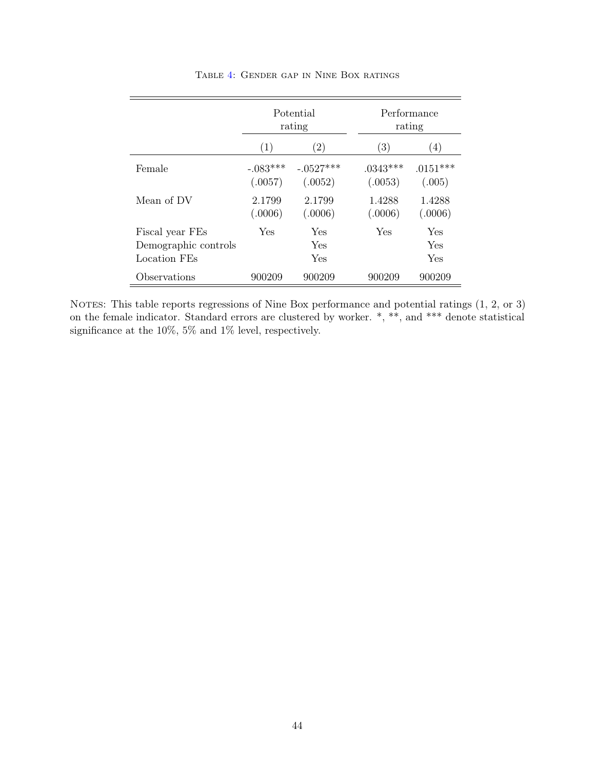<span id="page-44-0"></span>

|                                                         | Potential<br>rating   |                        |                       | Performance<br>rating |
|---------------------------------------------------------|-----------------------|------------------------|-----------------------|-----------------------|
|                                                         | (1)                   | (2)                    | (3)                   | (4)                   |
| Female                                                  | $-.083***$<br>(.0057) | $-.0527***$<br>(.0052) | $.0343***$<br>(.0053) | $.0151***$<br>(.005)  |
| Mean of DV                                              | 2.1799<br>(.0006)     | 2.1799<br>(.0006)      | 1.4288<br>(.0006)     | 1.4288<br>(.0006)     |
| Fiscal year FEs<br>Demographic controls<br>Location FEs | Yes                   | Yes<br>Yes<br>Yes      | Yes                   | Yes<br>Yes<br>Yes     |
| Observations                                            | 900209                | 900209                 | 900209                | 900209                |

Table [4:](#page-44-0) Gender gap in Nine Box ratings

NOTES: This table reports regressions of Nine Box performance and potential ratings  $(1, 2, 0r 3)$ on the female indicator. Standard errors are clustered by worker. \*, \*\*, and \*\*\* denote statistical significance at the  $10\%,\,5\%$  and  $1\%$  level, respectively.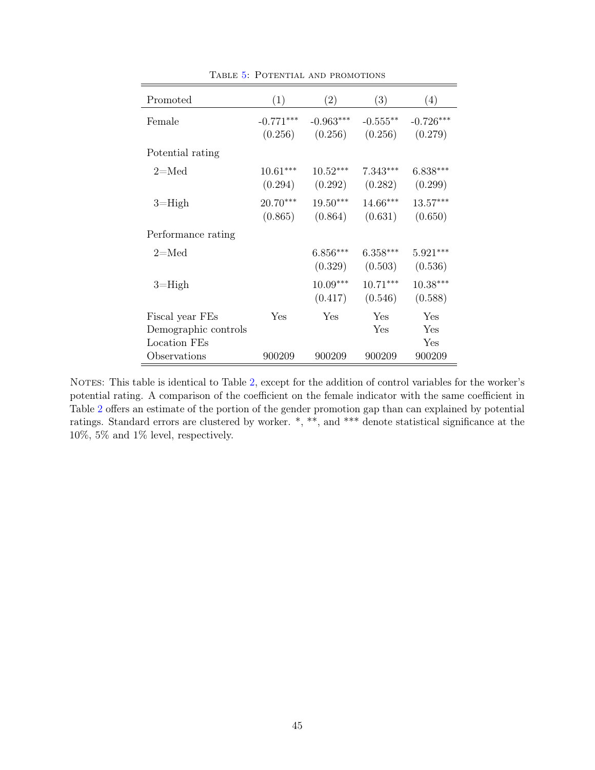<span id="page-45-0"></span>

| Promoted             | (1)         | (2)         | (3)        | (4)         |
|----------------------|-------------|-------------|------------|-------------|
|                      |             |             |            |             |
| Female               | $-0.771***$ | $-0.963***$ | $-0.555**$ | $-0.726***$ |
|                      | (0.256)     | (0.256)     | (0.256)    | (0.279)     |
| Potential rating     |             |             |            |             |
| $2 = Med$            | $10.61***$  | $10.52***$  | $7.343***$ | $6.838***$  |
|                      | (0.294)     | (0.292)     | (0.282)    | (0.299)     |
| $3 =$ High           | 20.70***    | $19.50***$  | 14.66***   | 13.57***    |
|                      | (0.865)     | (0.864)     | (0.631)    | (0.650)     |
| Performance rating   |             |             |            |             |
| $2 = Med$            |             | $6.856***$  | $6.358***$ | $5.921***$  |
|                      |             | (0.329)     | (0.503)    | (0.536)     |
| $3 =$ High           |             | $10.09***$  | $10.71***$ | $10.38***$  |
|                      |             | (0.417)     | (0.546)    | (0.588)     |
| Fiscal year FEs      | Yes         | Yes         | Yes        | Yes         |
| Demographic controls |             |             | Yes        | Yes         |
| Location FEs         |             |             |            | Yes         |
| Observations         | 900209      | 900209      | 900209     | 900209      |

Table [5:](#page-45-0) Potential and promotions

NOTES: This table is identical to Table [2,](#page-42-0) except for the addition of control variables for the worker's potential rating. A comparison of the coefficient on the female indicator with the same coefficient in Table [2](#page-42-0) offers an estimate of the portion of the gender promotion gap than can explained by potential ratings. Standard errors are clustered by worker. \*, \*\*, and \*\*\* denote statistical significance at the 10%, 5% and 1% level, respectively.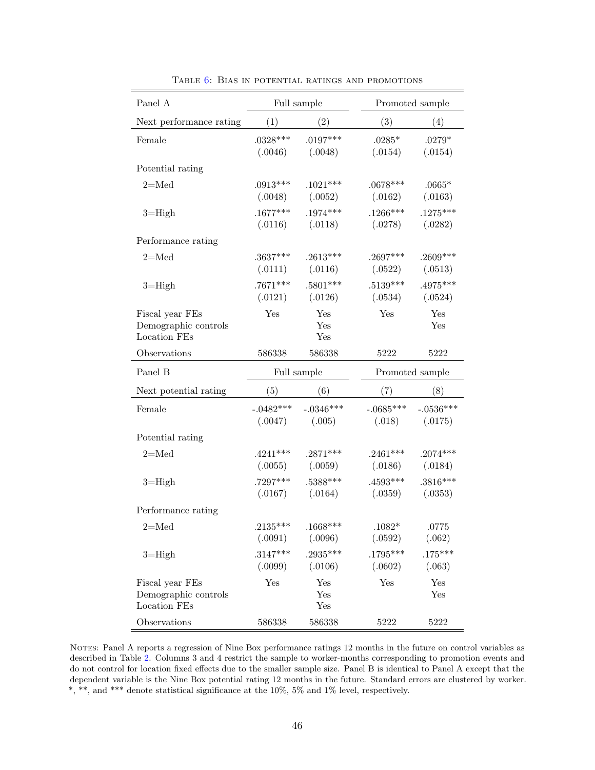<span id="page-46-0"></span>

| Panel A                                                 | Full sample            |                                   | Promoted sample       |                        |  |
|---------------------------------------------------------|------------------------|-----------------------------------|-----------------------|------------------------|--|
| Next performance rating                                 | (1)                    | (2)                               | (3)                   | (4)                    |  |
| Female                                                  | $.0328***$<br>(.0046)  | $.0197***$<br>(.0048)             | $.0285*$<br>(.0154)   | $.0279*$<br>(.0154)    |  |
| Potential rating                                        |                        |                                   |                       |                        |  |
| $2 = Med$                                               | $.0913***$<br>(.0048)  | $.1021***$<br>(.0052)             | $.0678***$<br>(.0162) | $.0665*$<br>(.0163)    |  |
| $3 =$ High                                              | $.1677***$<br>(.0116)  | $.1974***$<br>(.0118)             | $.1266***$<br>(.0278) | $.1275***$<br>(.0282)  |  |
| Performance rating                                      |                        |                                   |                       |                        |  |
| $2 = Med$                                               | $.3637***$<br>(.0111)  | $.2613***$<br>(.0116)             | $.2697***$<br>(.0522) | $.2609***$<br>(.0513)  |  |
| $3 =$ High                                              | $.7671***$<br>(.0121)  | $.5801***$<br>(.0126)             | $.5139***$<br>(.0534) | $.4975***$<br>(.0524)  |  |
| Fiscal year FEs<br>Demographic controls<br>Location FEs | Yes                    | Yes<br>Yes<br>Yes                 | Yes                   | Yes<br>Yes             |  |
| Observations                                            | 586338                 | 586338                            | 5222                  | 5222                   |  |
|                                                         | Full sample            |                                   | Promoted sample       |                        |  |
| Panel B                                                 |                        |                                   |                       |                        |  |
| Next potential rating                                   | (5)                    | (6)                               | (7)                   | (8)                    |  |
| Female                                                  | $-.0482***$<br>(.0047) | $-.0346***$<br>(.005)             | $-.0685***$<br>(.018) | $-.0536***$<br>(.0175) |  |
| Potential rating                                        |                        |                                   |                       |                        |  |
| $2 = Med$                                               | $.4241***$<br>(.0055)  | $.2871***$<br>(.0059)             | $.2461***$<br>(.0186) | $.2074***$<br>(.0184)  |  |
| $3 =$ High                                              | $.7297***$<br>(.0167)  | $.5388***$<br>(.0164)             | $.4593***$<br>(.0359) | $.3816***$<br>(.0353)  |  |
| Performance rating                                      |                        |                                   |                       |                        |  |
| $2$ =Med                                                | $2135***$              | $.1668***$<br>$(.0091)$ $(.0096)$ | $.1082*$<br>(.0592)   | .0775<br>(.062)        |  |
| $3 =$ High                                              | $.3147***$<br>(.0099)  | $.2935***$<br>(.0106)             | $.1795***$<br>(.0602) | $.175***$<br>(.063)    |  |
| Fiscal year FEs<br>Demographic controls<br>Location FEs | Yes                    | Yes<br>Yes<br>Yes                 | Yes                   | Yes<br>Yes             |  |

Table [6:](#page-46-0) Bias in potential ratings and promotions

NOTES: Panel A reports a regression of Nine Box performance ratings 12 months in the future on control variables as described in Table [2.](#page-42-0) Columns 3 and 4 restrict the sample to worker-months corresponding to promotion events and do not control for location fixed effects due to the smaller sample size. Panel B is identical to Panel A except that the dependent variable is the Nine Box potential rating 12 months in the future. Standard errors are clustered by worker. \*, \*\*, and \*\*\* denote statistical significance at the 10%, 5% and 1% level, respectively.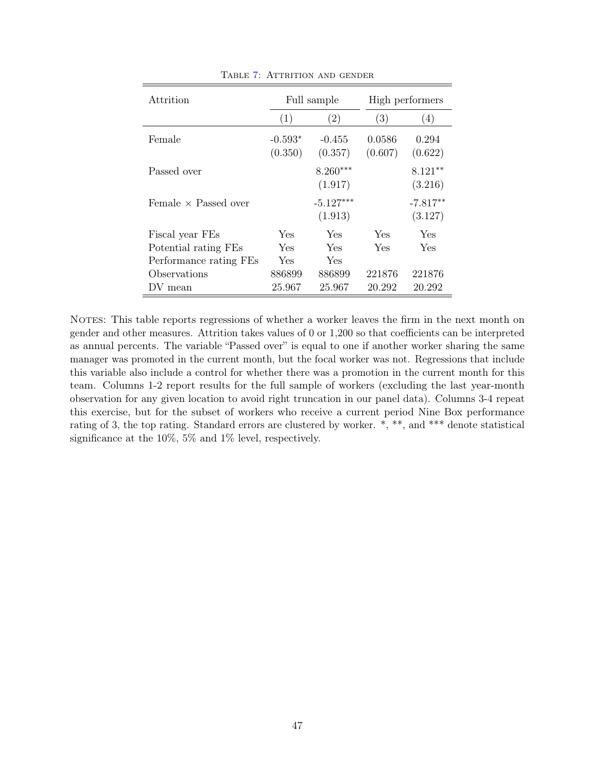<span id="page-47-0"></span>

| Attrition                   |                      | Full sample            | High performers   |                       |  |
|-----------------------------|----------------------|------------------------|-------------------|-----------------------|--|
|                             | (1)                  | (2)                    | (3)               | (4)                   |  |
| Female                      | $-0.593*$<br>(0.350) | $-0.455$<br>(0.357)    | 0.0586<br>(0.607) | 0.294<br>(0.622)      |  |
| Passed over                 |                      | $8.260***$<br>(1.917)  |                   | $8.121**$<br>(3.216)  |  |
| Female $\times$ Passed over |                      | $-5.127***$<br>(1.913) |                   | $-7.817**$<br>(3.127) |  |
| Fiscal year FEs             | Yes                  | Yes                    | Yes               | Yes                   |  |
| Potential rating FEs        | Yes                  | Yes                    | Yes               | Yes                   |  |
| Performance rating FEs      | Yes                  | Yes                    |                   |                       |  |
| Observations                | 886899               | 886899                 | 221876            | 221876                |  |
| DV mean                     | 25.967               | 25.967                 | 20.292            | 20.292                |  |

TABLE [7:](#page-47-0) ATTRITION AND GENDER

NOTES: This table reports regressions of whether a worker leaves the firm in the next month on gender and other measures. Attrition takes values of 0 or 1,200 so that coefficients can be interpreted as annual percents. The variable "Passed over" is equal to one if another worker sharing the same manager was promoted in the current month, but the focal worker was not. Regressions that include this variable also include a control for whether there was a promotion in the current month for this team. Columns 1-2 report results for the full sample of workers (excluding the last year-month observation for any given location to avoid right truncation in our panel data). Columns 3-4 repeat this exercise, but for the subset of workers who receive a current period Nine Box performance rating of 3, the top rating. Standard errors are clustered by worker. \*, \*\*, and \*\*\* denote statistical significance at the 10%, 5% and 1% level, respectively.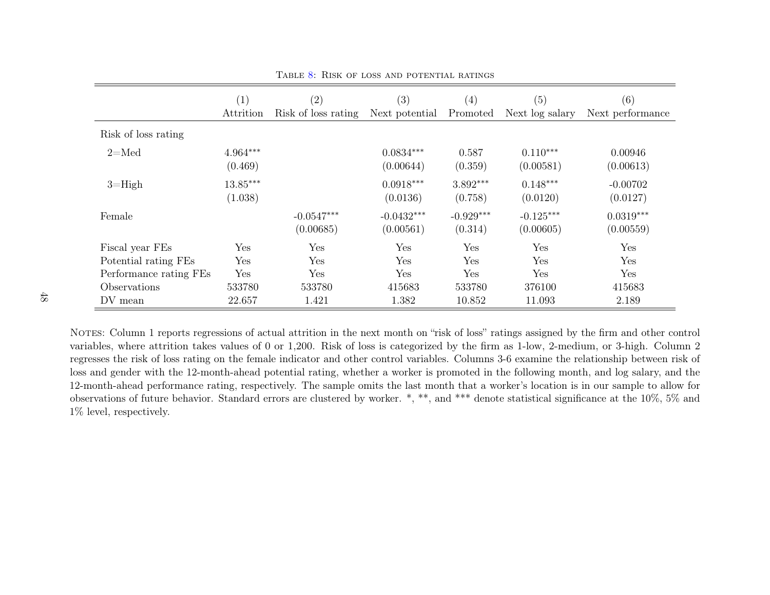<span id="page-48-1"></span>

|                        | (1)<br>Attrition      | (2)<br>Risk of loss rating | (3)<br>Next potential     | (4)<br>Promoted        | $\left( 5\right)$<br>Next log salary | (6)<br>Next performance  |
|------------------------|-----------------------|----------------------------|---------------------------|------------------------|--------------------------------------|--------------------------|
| Risk of loss rating    |                       |                            |                           |                        |                                      |                          |
| $2 = Med$              | $4.964***$<br>(0.469) |                            | $0.0834***$<br>(0.00644)  | 0.587<br>(0.359)       | $0.110***$<br>(0.00581)              | 0.00946<br>(0.00613)     |
| $3 =$ High             | $13.85***$<br>(1.038) |                            | $0.0918***$<br>(0.0136)   | 3.892***<br>(0.758)    | $0.148***$<br>(0.0120)               | $-0.00702$<br>(0.0127)   |
| Female                 |                       | $-0.0547***$<br>(0.00685)  | $-0.0432***$<br>(0.00561) | $-0.929***$<br>(0.314) | $-0.125***$<br>(0.00605)             | $0.0319***$<br>(0.00559) |
| Fiscal year FEs        | Yes                   | Yes                        | Yes                       | Yes                    | Yes                                  | Yes                      |
| Potential rating FEs   | Yes                   | Yes                        | Yes                       | Yes                    | Yes                                  | Yes                      |
| Performance rating FEs | Yes                   | Yes                        | Yes                       | Yes                    | Yes                                  | Yes                      |
| Observations           | 533780                | 533780                     | 415683                    | 533780                 | 376100                               | 415683                   |
| DV mean                | 22.657                | 1.421                      | 1.382                     | 10.852                 | 11.093                               | 2.189                    |

Table [8:](#page-48-1) Risk of loss and potential ratings

<span id="page-48-0"></span>NOTES: Column 1 reports regressions of actual attrition in the next month on "risk of loss" ratings assigned by the firm and other control variables, where attrition takes values of 0 or 1,200. Risk of loss is categorized by the firm as 1-low, 2-medium, or 3-high. Column 2 regresses the risk of loss rating on the female indicator and other control variables. Columns 3-6 examine the relationship between risk of loss and gender with the 12-month-ahead potential rating, whether <sup>a</sup> worker is promoted in the following month, and log salary, and the 12-month-ahead performance rating, respectively. The sample omits the last month that <sup>a</sup> worker's location is in our sample to allow for observations of future behavior. Standard errors are clustered by worker. \*, \*\*, and \*\*\* denote statistical significance at the 10%, 5% and1% level, respectively.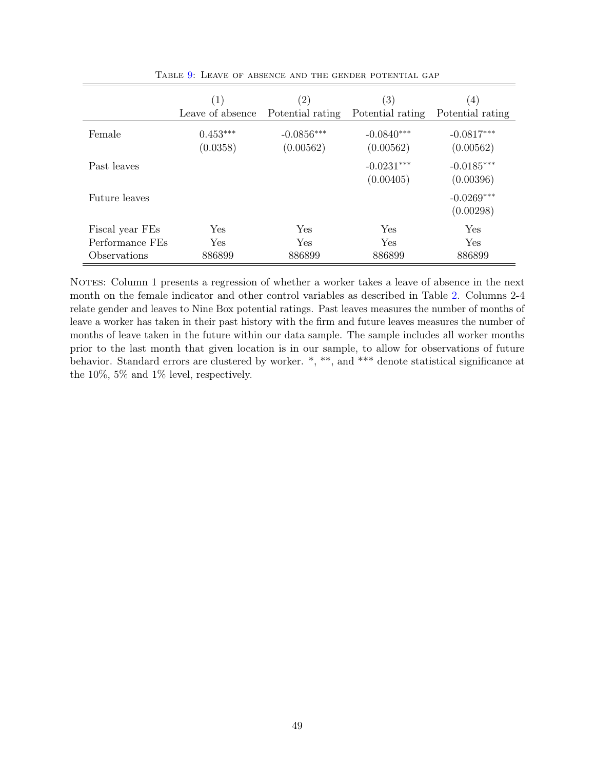<span id="page-49-0"></span>

|                 | (1)<br>Leave of absence | $\left( 2\right)$<br>Potential rating | $\left( 3\right)$<br>Potential rating | $\left(4\right)$<br>Potential rating |
|-----------------|-------------------------|---------------------------------------|---------------------------------------|--------------------------------------|
| Female          | $0.453***$<br>(0.0358)  | $-0.0856***$<br>(0.00562)             | $-0.0840***$<br>(0.00562)             | $-0.0817***$<br>(0.00562)            |
| Past leaves     |                         |                                       | $-0.0231***$<br>(0.00405)             | $-0.0185***$<br>(0.00396)            |
| Future leaves   |                         |                                       |                                       | $-0.0269***$<br>(0.00298)            |
| Fiscal year FEs | Yes                     | Yes                                   | Yes                                   | Yes                                  |
| Performance FEs | Yes                     | Yes                                   | Yes                                   | Yes                                  |
| Observations    | 886899                  | 886899                                | 886899                                | 886899                               |

Table [9:](#page-49-0) Leave of absence and the gender potential gap

NOTES: Column 1 presents a regression of whether a worker takes a leave of absence in the next month on the female indicator and other control variables as described in Table [2.](#page-42-0) Columns 2-4 relate gender and leaves to Nine Box potential ratings. Past leaves measures the number of months of leave a worker has taken in their past history with the firm and future leaves measures the number of months of leave taken in the future within our data sample. The sample includes all worker months prior to the last month that given location is in our sample, to allow for observations of future behavior. Standard errors are clustered by worker. \*, \*\*, and \*\*\* denote statistical significance at the 10%, 5% and 1% level, respectively.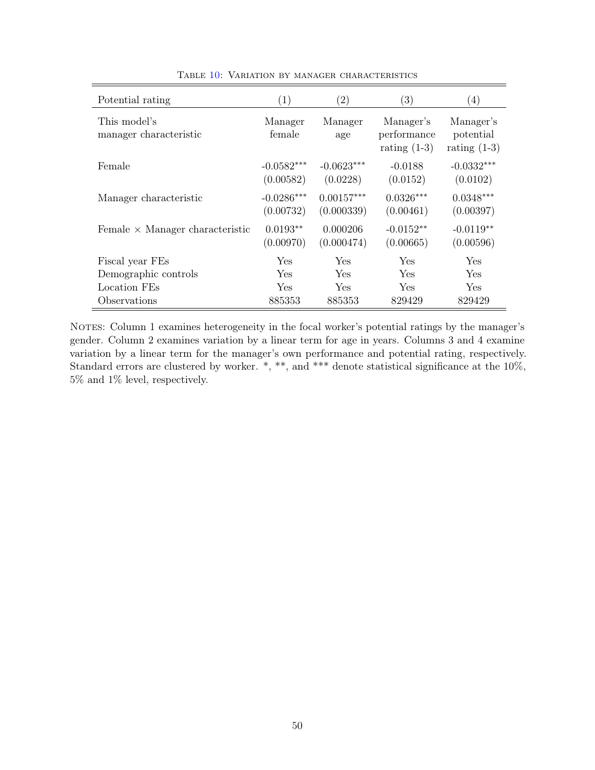<span id="page-50-0"></span>

| Potential rating                       | $\left( 1\right)$         | $\left( 2\right)$          | (3)                                        | (4)                                      |
|----------------------------------------|---------------------------|----------------------------|--------------------------------------------|------------------------------------------|
| This model's<br>manager characteristic | Manager<br>female         | Manager<br>age             | Manager's<br>performance<br>rating $(1-3)$ | Manager's<br>potential<br>rating $(1-3)$ |
| Female                                 | $-0.0582***$<br>(0.00582) | $-0.0623***$<br>(0.0228)   | $-0.0188$<br>(0.0152)                      | $-0.0332***$<br>(0.0102)                 |
| Manager characteristic                 | $-0.0286***$<br>(0.00732) | $0.00157***$<br>(0.000339) | $0.0326***$<br>(0.00461)                   | $0.0348***$<br>(0.00397)                 |
| Female $\times$ Manager characteristic | $0.0193**$<br>(0.00970)   | 0.000206<br>(0.000474)     | $-0.0152**$<br>(0.00665)                   | $-0.0119**$<br>(0.00596)                 |
| Fiscal year FEs                        | Yes                       | <b>Yes</b>                 | Yes                                        | Yes                                      |
| Demographic controls                   | Yes                       | <b>Yes</b>                 | Yes                                        | Yes                                      |
| Location FEs                           | Yes                       | Yes.                       | Yes                                        | Yes                                      |
| Observations                           | 885353                    | 885353                     | 829429                                     | 829429                                   |

Table [10:](#page-50-0) Variation by manager characteristics

NOTES: Column 1 examines heterogeneity in the focal worker's potential ratings by the manager's gender. Column 2 examines variation by a linear term for age in years. Columns 3 and 4 examine variation by a linear term for the manager's own performance and potential rating, respectively. Standard errors are clustered by worker. \*, \*\*, and \*\*\* denote statistical significance at the 10%, 5% and 1% level, respectively.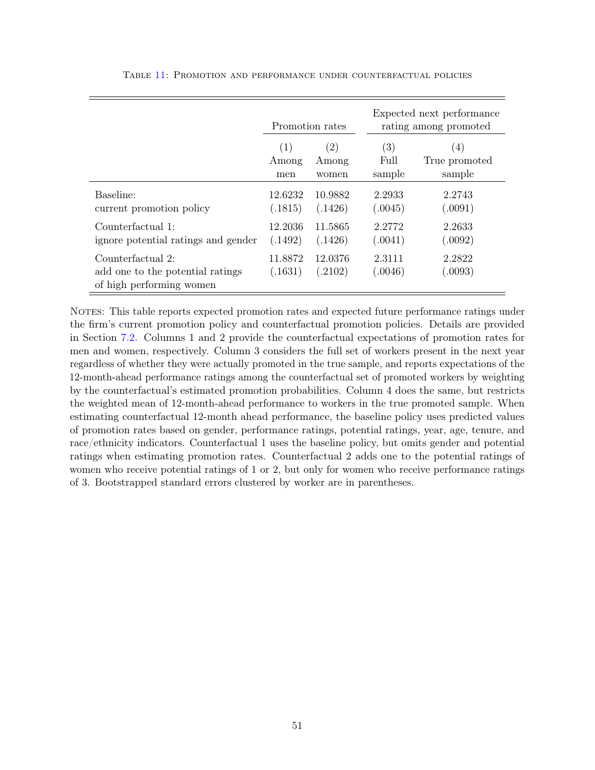<span id="page-51-0"></span>

|                                                                                   | Promotion rates    |                    | Expected next performance<br>rating among promoted |                   |  |
|-----------------------------------------------------------------------------------|--------------------|--------------------|----------------------------------------------------|-------------------|--|
|                                                                                   | (1)                | (2)                | (3)                                                | (4)               |  |
|                                                                                   | Among              | Among              | Full                                               | True promoted     |  |
|                                                                                   | men                | women              | sample                                             | sample            |  |
| Baseline:                                                                         | 12.6232            | 10.9882            | 2.2933                                             | 2.2743            |  |
| current promotion policy                                                          | (.1815)            | (.1426)            | (.0045)                                            | (.0091)           |  |
| Counterfactual 1:                                                                 | 12.2036            | 11.5865            | 2.2772                                             | 2.2633            |  |
| ignore potential ratings and gender                                               | (.1492)            | (.1426)            | (.0041)                                            | (.0092)           |  |
| Counterfactual 2:<br>add one to the potential ratings<br>of high performing women | 11.8872<br>(.1631) | 12.0376<br>(.2102) | 2.3111<br>(.0046)                                  | 2.2822<br>(.0093) |  |

#### Table [11:](#page-51-0) Promotion and performance under counterfactual policies

NOTES: This table reports expected promotion rates and expected future performance ratings under the firm's current promotion policy and counterfactual promotion policies. Details are provided in Section [7.2.](#page-26-1) Columns 1 and 2 provide the counterfactual expectations of promotion rates for men and women, respectively. Column 3 considers the full set of workers present in the next year regardless of whether they were actually promoted in the true sample, and reports expectations of the 12-month-ahead performance ratings among the counterfactual set of promoted workers by weighting by the counterfactual's estimated promotion probabilities. Column 4 does the same, but restricts the weighted mean of 12-month-ahead performance to workers in the true promoted sample. When estimating counterfactual 12-month ahead performance, the baseline policy uses predicted values of promotion rates based on gender, performance ratings, potential ratings, year, age, tenure, and race/ethnicity indicators. Counterfactual 1 uses the baseline policy, but omits gender and potential ratings when estimating promotion rates. Counterfactual 2 adds one to the potential ratings of women who receive potential ratings of 1 or 2, but only for women who receive performance ratings of 3. Bootstrapped standard errors clustered by worker are in parentheses.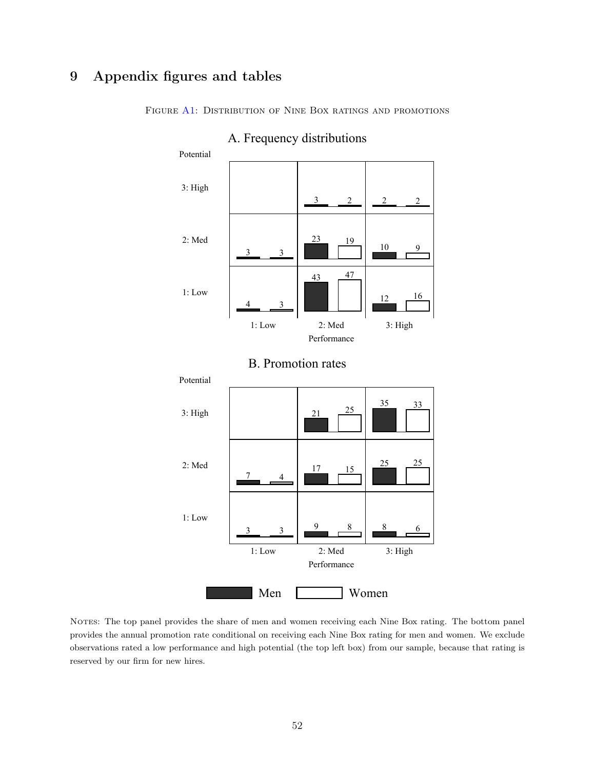# <span id="page-52-0"></span>9 Appendix figures and tables



FIGURE [A1:](#page-52-0) DISTRIBUTION OF NINE BOX RATINGS AND PROMOTIONS





NOTES: The top panel provides the share of men and women receiving each Nine Box rating. The bottom panel provides the annual promotion rate conditional on receiving each Nine Box rating for men and women. We exclude observations rated a low performance and high potential (the top left box) from our sample, because that rating is reserved by our firm for new hires.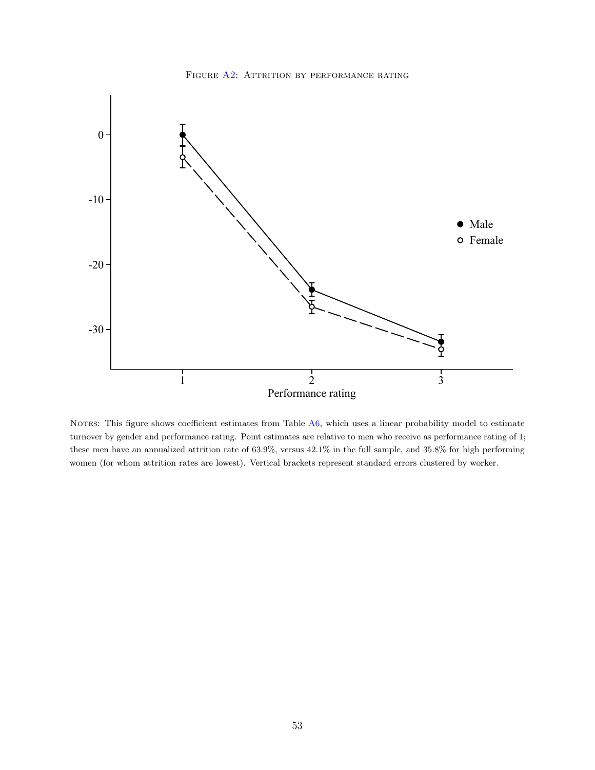

<span id="page-53-0"></span>

NOTES: This figure shows coefficient estimates from Table [A6,](#page-59-0) which uses a linear probability model to estimate turnover by gender and performance rating. Point estimates are relative to men who receive as performance rating of 1; these men have an annualized attrition rate of 63.9%, versus 42.1% in the full sample, and 35.8% for high performing women (for whom attrition rates are lowest). Vertical brackets represent standard errors clustered by worker.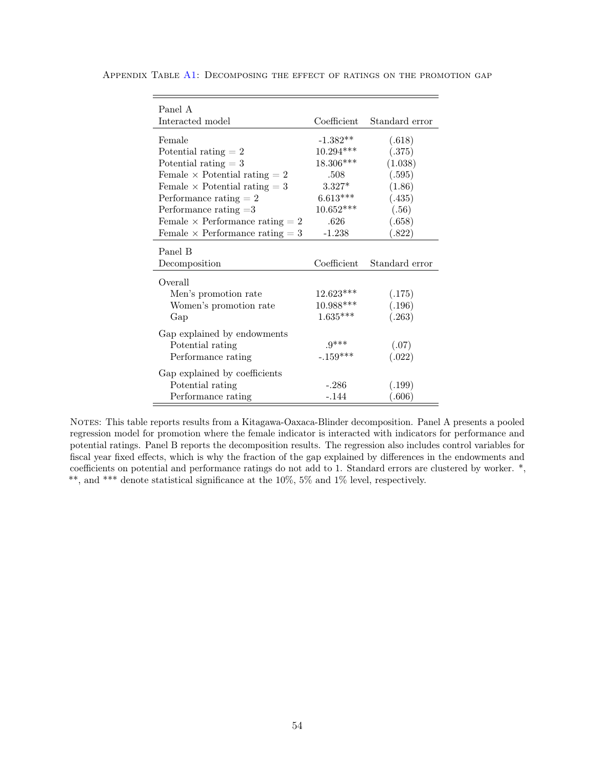| Panel A                                 |             |                |
|-----------------------------------------|-------------|----------------|
| Interacted model                        | Coefficient | Standard error |
| Female                                  | $-1.382**$  | (.618)         |
| Potential rating $= 2$                  | $10.294***$ | (.375)         |
| Potential rating $= 3$                  | 18.306***   | (1.038)        |
| Female $\times$ Potential rating = 2    | .508        | (.595)         |
| Female $\times$ Potential rating = 3    | $3.327*$    | (1.86)         |
| Performance rating $= 2$                | $6.613***$  | (.435)         |
| Performance rating $=3$                 | $10.652***$ | (.56)          |
| Female $\times$ Performance rating = 2  | .626        | (.658)         |
| Female $\times$ Performance rating $=3$ | $-1.238$    | (.822)         |
| Panel B                                 |             |                |
| Decomposition                           | Coefficient | Standard error |
| Overall                                 |             |                |
| Men's promotion rate                    | $12.623***$ | (.175)         |
| Women's promotion rate                  | $10.988***$ | (.196)         |
| Gap                                     | $1.635***$  | (.263)         |
| Gap explained by endowments             |             |                |
| Potential rating                        | $.9***$     | (.07)          |
| Performance rating                      | $-.159***$  | (.022)         |
|                                         |             |                |
| Gap explained by coefficients           |             |                |
| Potential rating                        | $-.286$     | (.199)         |
| Performance rating                      | $-.144$     | (.606)         |

<span id="page-54-0"></span>Appendix Table [A1:](#page-54-0) Decomposing the effect of ratings on the promotion gap

NOTES: This table reports results from a Kitagawa-Oaxaca-Blinder decomposition. Panel A presents a pooled regression model for promotion where the female indicator is interacted with indicators for performance and potential ratings. Panel B reports the decomposition results. The regression also includes control variables for fiscal year fixed effects, which is why the fraction of the gap explained by differences in the endowments and coefficients on potential and performance ratings do not add to 1. Standard errors are clustered by worker. \*, \*\*, and \*\*\* denote statistical significance at the 10%, 5% and 1% level, respectively.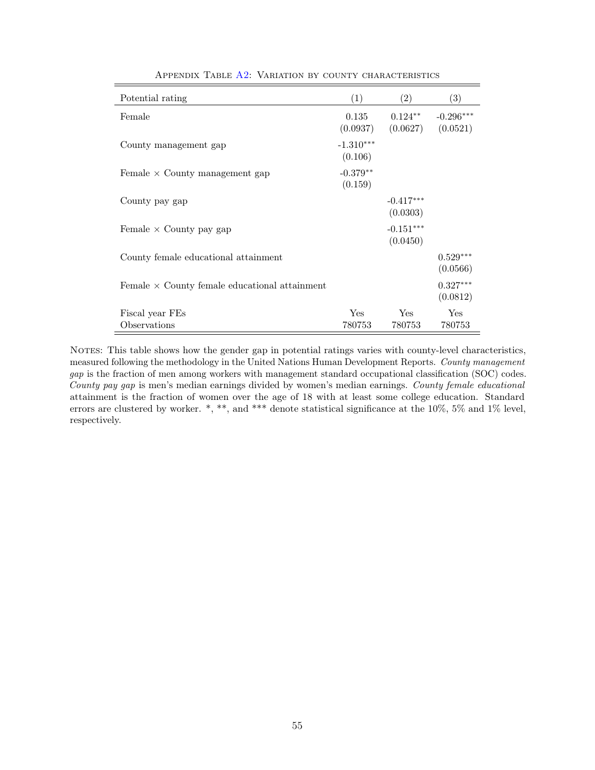<span id="page-55-0"></span>

| Potential rating                                     | (1)                    | $\left( 2\right)$       | $\left( 3\right)$       |
|------------------------------------------------------|------------------------|-------------------------|-------------------------|
| Female                                               | 0.135<br>(0.0937)      | $0.124**$<br>(0.0627)   | $-0.296***$<br>(0.0521) |
| County management gap                                | $-1.310***$<br>(0.106) |                         |                         |
| Female $\times$ County management gap                | $-0.379**$<br>(0.159)  |                         |                         |
| County pay gap                                       |                        | $-0.417***$<br>(0.0303) |                         |
| Female $\times$ County pay gap                       |                        | $-0.151***$<br>(0.0450) |                         |
| County female educational attainment                 |                        |                         | $0.529***$<br>(0.0566)  |
| Female $\times$ County female educational attainment |                        |                         | $0.327***$<br>(0.0812)  |
| Fiscal year FEs                                      | <b>Yes</b>             | <b>Yes</b>              | Yes                     |
| Observations                                         | 780753                 | 780753                  | 780753                  |

Appendix Table [A2:](#page-55-0) Variation by county characteristics

NOTES: This table shows how the gender gap in potential ratings varies with county-level characteristics, measured following the methodology in the United Nations Human Development Reports. County management gap is the fraction of men among workers with management standard occupational classification (SOC) codes. County pay gap is men's median earnings divided by women's median earnings. County female educational attainment is the fraction of women over the age of 18 with at least some college education. Standard errors are clustered by worker. \*, \*\*, and \*\*\* denote statistical significance at the 10%, 5% and 1% level, respectively.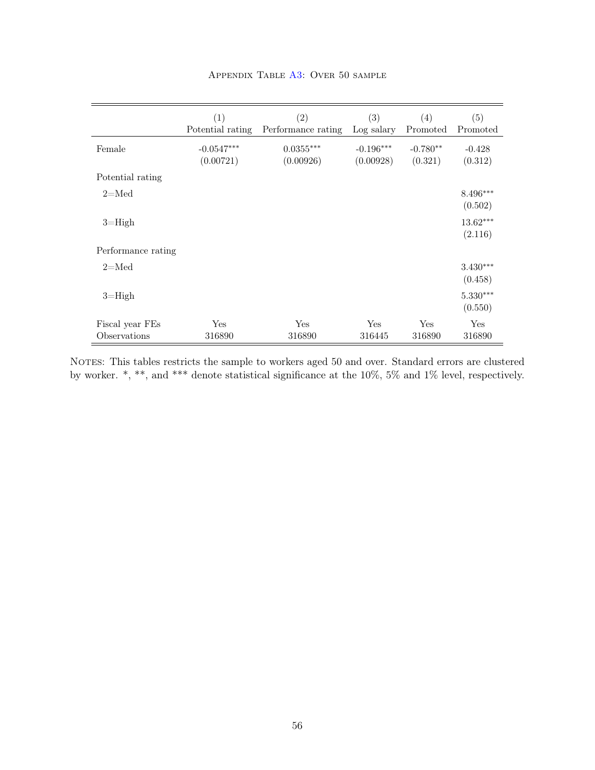<span id="page-56-0"></span>

|                                 | (1)<br>Potential rating   | $\left( 2\right)$<br>Performance rating | (3)<br>Log salary        | (4)<br>Promoted       | (5)<br>Promoted       |
|---------------------------------|---------------------------|-----------------------------------------|--------------------------|-----------------------|-----------------------|
| Female                          | $-0.0547***$<br>(0.00721) | $0.0355***$<br>(0.00926)                | $-0.196***$<br>(0.00928) | $-0.780**$<br>(0.321) | $-0.428$<br>(0.312)   |
| Potential rating                |                           |                                         |                          |                       |                       |
| $2 = Med$                       |                           |                                         |                          |                       | 8.496***<br>(0.502)   |
| $3 =$ High                      |                           |                                         |                          |                       | 13.62***<br>(2.116)   |
| Performance rating              |                           |                                         |                          |                       |                       |
| $2 =$ Med                       |                           |                                         |                          |                       | $3.430***$<br>(0.458) |
| $3 =$ High                      |                           |                                         |                          |                       | $5.330***$<br>(0.550) |
| Fiscal year FEs<br>Observations | Yes<br>316890             | Yes<br>316890                           | Yes<br>316445            | Yes<br>316890         | Yes<br>316890         |

### Appendix Table [A3:](#page-56-0) Over 50 sample

NOTES: This tables restricts the sample to workers aged 50 and over. Standard errors are clustered by worker. \*, \*\*, and \*\*\* denote statistical significance at the 10%, 5% and 1% level, respectively.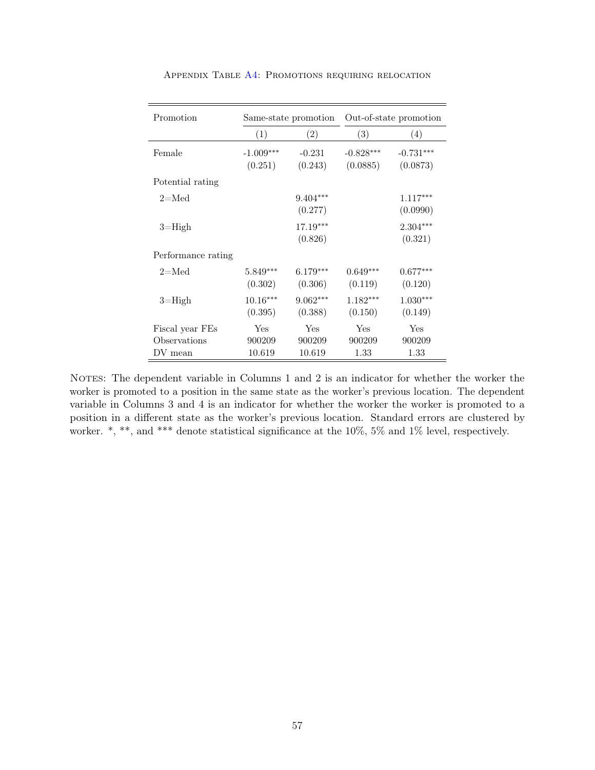<span id="page-57-0"></span>

| Promotion          |                        | Same-state promotion  |                         | Out-of-state promotion  |
|--------------------|------------------------|-----------------------|-------------------------|-------------------------|
|                    | (1)                    | (2)                   | (3)                     | (4)                     |
| Female             | $-1.009***$<br>(0.251) | $-0.231$<br>(0.243)   | $-0.828***$<br>(0.0885) | $-0.731***$<br>(0.0873) |
| Potential rating   |                        |                       |                         |                         |
| $2 =$ Med          |                        | $9.404***$<br>(0.277) |                         | $1.117***$<br>(0.0990)  |
| $3 =$ High         |                        | 17.19***<br>(0.826)   |                         | 2.304***<br>(0.321)     |
| Performance rating |                        |                       |                         |                         |
| $2=$ Med           | $5.849***$<br>(0.302)  | $6.179***$<br>(0.306) | $0.649***$<br>(0.119)   | $0.677***$<br>(0.120)   |
| $3 =$ High         | $10.16***$<br>(0.395)  | $9.062***$<br>(0.388) | $1.182***$<br>(0.150)   | $1.030***$<br>(0.149)   |
| Fiscal year FEs    | Yes                    | Yes                   | Yes                     | Yes                     |
| Observations       | 900209                 | 900209                | 900209                  | 900209                  |
| DV mean            | 10.619                 | 10.619                | 1.33                    | 1.33                    |

Appendix Table [A4:](#page-57-0) Promotions requiring relocation

NOTES: The dependent variable in Columns 1 and 2 is an indicator for whether the worker the worker is promoted to a position in the same state as the worker's previous location. The dependent variable in Columns 3 and 4 is an indicator for whether the worker the worker is promoted to a position in a different state as the worker's previous location. Standard errors are clustered by worker. \*, \*\*, and \*\*\* denote statistical significance at the 10%, 5% and 1% level, respectively.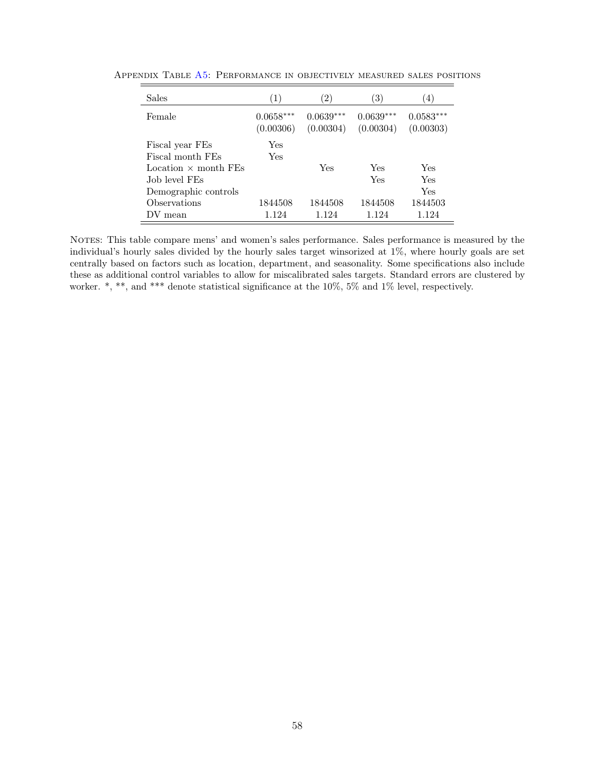| <b>Sales</b>                | (1)         | $^{\prime}2)$ | 3)          | 4           |
|-----------------------------|-------------|---------------|-------------|-------------|
| Female                      | $0.0658***$ | $0.0639***$   | $0.0639***$ | $0.0583***$ |
|                             | (0.00306)   | (0.00304)     | (0.00304)   | (0.00303)   |
| Fiscal year FEs             | Yes         |               |             |             |
| Fiscal month FEs            | Yes         |               |             |             |
| Location $\times$ month FEs |             | Yes           | Yes         | Yes         |
| Job level FEs               |             |               | Yes         | Yes         |
| Demographic controls        |             |               |             | Yes         |
| Observations                | 1844508     | 1844508       | 1844508     | 1844503     |
| DV mean                     | 1.124       | 1.124         | 1 1 2 4     | 1.124       |

<span id="page-58-0"></span>Appendix Table [A5:](#page-58-0) Performance in objectively measured sales positions

NOTES: This table compare mens' and women's sales performance. Sales performance is measured by the individual's hourly sales divided by the hourly sales target winsorized at 1%, where hourly goals are set centrally based on factors such as location, department, and seasonality. Some specifications also include these as additional control variables to allow for miscalibrated sales targets. Standard errors are clustered by worker. \*, \*\*, and \*\*\* denote statistical significance at the 10%, 5% and 1% level, respectively.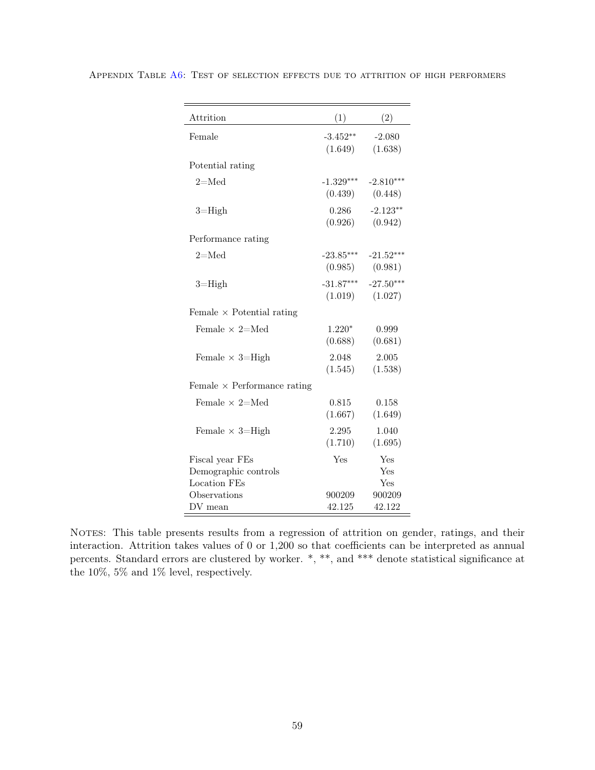| Attrition                          | (1)                    | (2)                    |
|------------------------------------|------------------------|------------------------|
| Female                             | $-3.452**$<br>(1.649)  | $-2.080$<br>(1.638)    |
| Potential rating                   |                        |                        |
| $2=$ Med                           | $-1.329***$<br>(0.439) | $-2.810***$<br>(0.448) |
| $3 =$ High                         | 0.286<br>(0.926)       | $-2.123**$<br>(0.942)  |
| Performance rating                 |                        |                        |
| $2 =$ Med                          | $-23.85***$<br>(0.985) | $-21.52***$<br>(0.981) |
| $3 =$ High                         | $-31.87***$<br>(1.019) | $-27.50***$<br>(1.027) |
| Female $\times$ Potential rating   |                        |                        |
| Female $\times$ 2=Med              | $1.220*$<br>(0.688)    | 0.999<br>(0.681)       |
| Female $\times$ 3=High             | 2.048<br>(1.545)       | 2.005<br>(1.538)       |
| Female $\times$ Performance rating |                        |                        |
| Female $\times$ 2=Med              | 0.815<br>(1.667)       | 0.158<br>(1.649)       |
| Female $\times$ 3=High             | 2.295<br>(1.710)       | 1.040<br>(1.695)       |
| Fiscal year FEs                    | Yes                    | Yes                    |
| Demographic controls               |                        | Yes                    |
| <b>Location FEs</b>                |                        | Yes                    |
| Observations                       | 900209                 | 900209                 |
| DV mean                            | 42.125                 | 42.122                 |

<span id="page-59-0"></span>Appendix Table [A6:](#page-59-0) Test of selection effects due to attrition of high performers

NOTES: This table presents results from a regression of attrition on gender, ratings, and their interaction. Attrition takes values of 0 or 1,200 so that coefficients can be interpreted as annual percents. Standard errors are clustered by worker. \*, \*\*, and \*\*\* denote statistical significance at the 10%, 5% and 1% level, respectively.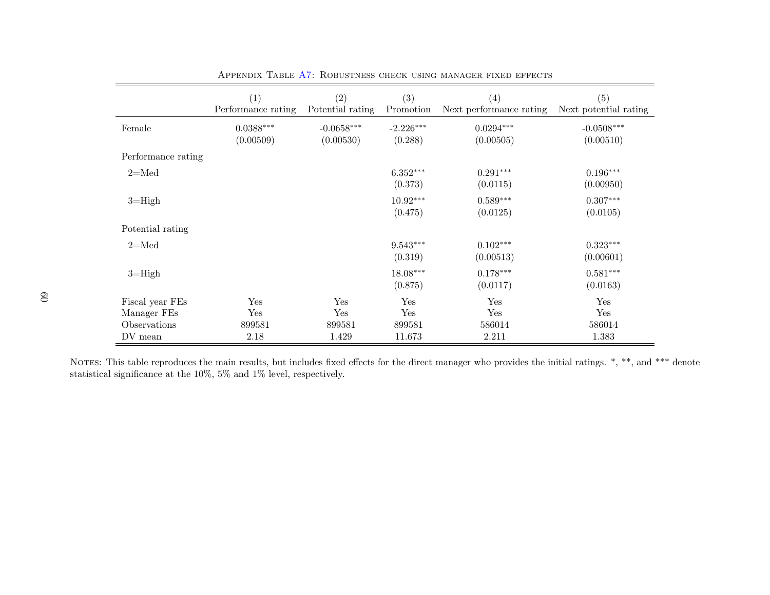<span id="page-60-1"></span>

|                    | (1)<br>Performance rating | (2)<br>Potential rating   | (3)<br>Promotion       | (4)<br>Next performance rating | (5)<br>Next potential rating |
|--------------------|---------------------------|---------------------------|------------------------|--------------------------------|------------------------------|
| Female             | $0.0388***$<br>(0.00509)  | $-0.0658***$<br>(0.00530) | $-2.226***$<br>(0.288) | $0.0294***$<br>(0.00505)       | $-0.0508***$<br>(0.00510)    |
| Performance rating |                           |                           |                        |                                |                              |
| $2 = Med$          |                           |                           | $6.352***$<br>(0.373)  | $0.291***$<br>(0.0115)         | $0.196***$<br>(0.00950)      |
| $3 =$ High         |                           |                           | $10.92***$<br>(0.475)  | $0.589***$<br>(0.0125)         | $0.307***$<br>(0.0105)       |
| Potential rating   |                           |                           |                        |                                |                              |
| $2 = Med$          |                           |                           | $9.543***$<br>(0.319)  | $0.102***$<br>(0.00513)        | $0.323***$<br>(0.00601)      |
| $3 =$ High         |                           |                           | 18.08***<br>(0.875)    | $0.178***$<br>(0.0117)         | $0.581***$<br>(0.0163)       |
| Fiscal year FEs    | Yes                       | Yes                       | Yes                    | Yes                            | Yes                          |
| Manager FEs        | Yes                       | Yes                       | Yes                    | Yes                            | Yes                          |
| Observations       | 899581                    | 899581                    | 899581                 | 586014                         | 586014                       |
| $\rm DV$ mean      | 2.18                      | 1.429                     | 11.673                 | 2.211                          | 1.383                        |

Appendix Table [A7:](#page-60-1) Robustness check using manager fixed effects

<span id="page-60-0"></span>NOTES: This table reproduces the main results, but includes fixed effects for the direct manager who provides the initial ratings. \*, \*\*, and \*\*\* denote statistical significance at the 10%, 5% and 1% level, respectively.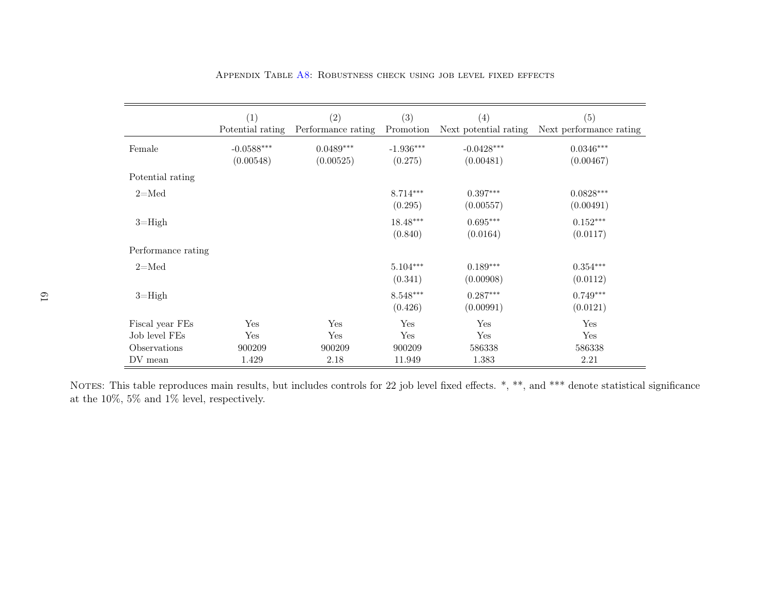<span id="page-61-1"></span>

|                    | (1)                       | (2)                      | (3)                    | (4)                       | (5)                      |
|--------------------|---------------------------|--------------------------|------------------------|---------------------------|--------------------------|
|                    | Potential rating          | Performance rating       | Promotion              | Next potential rating     | Next performance rating  |
| Female             | $-0.0588***$<br>(0.00548) | $0.0489***$<br>(0.00525) | $-1.936***$<br>(0.275) | $-0.0428***$<br>(0.00481) | $0.0346***$<br>(0.00467) |
| Potential rating   |                           |                          |                        |                           |                          |
| $2 = Med$          |                           |                          | $8.714***$<br>(0.295)  | $0.397***$<br>(0.00557)   | $0.0828***$<br>(0.00491) |
| $3 =$ High         |                           |                          | $18.48***$<br>(0.840)  | $0.695***$<br>(0.0164)    | $0.152***$<br>(0.0117)   |
| Performance rating |                           |                          |                        |                           |                          |
| $2 = Med$          |                           |                          | $5.104***$<br>(0.341)  | $0.189***$<br>(0.00908)   | $0.354***$<br>(0.0112)   |
| $3 =$ High         |                           |                          | $8.548***$<br>(0.426)  | $0.287***$<br>(0.00991)   | $0.749***$<br>(0.0121)   |
| Fiscal year FEs    | Yes                       | Yes                      | Yes                    | Yes                       | Yes                      |
| Job level FEs      | Yes                       | Yes                      | Yes                    | Yes                       | Yes                      |
| Observations       | 900209                    | 900209                   | 900209                 | 586338                    | 586338                   |
| DV mean            | 1.429                     | 2.18                     | 11.949                 | 1.383                     | 2.21                     |

|  |  | APPENDIX TABLE A8: ROBUSTNESS CHECK USING JOB LEVEL FIXED EFFECTS |  |  |  |
|--|--|-------------------------------------------------------------------|--|--|--|
|  |  |                                                                   |  |  |  |

<span id="page-61-0"></span>NOTES: This table reproduces main results, but includes controls for 22 job level fixed effects.  $*,$  \*\*, and \*\*\* denote statistical significance at the 10%, 5% and 1% level, respectively.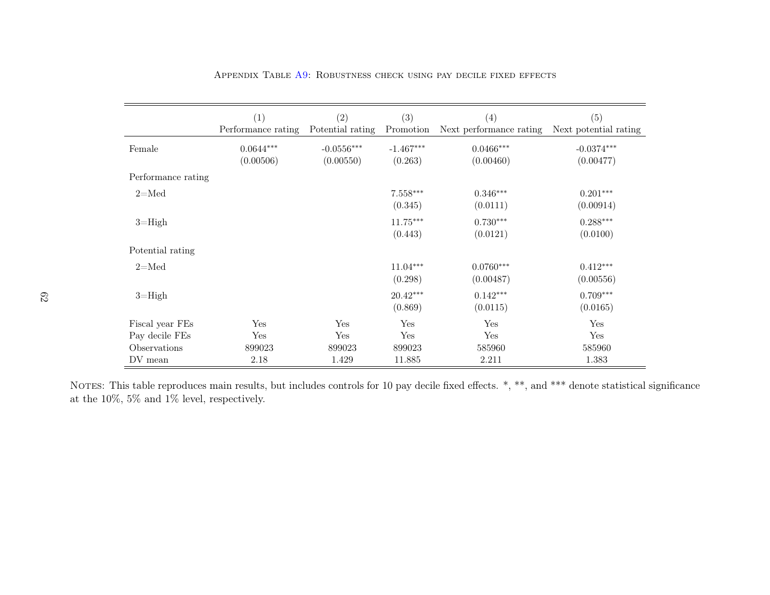<span id="page-62-1"></span>

|                                | (1)<br>Performance rating | (2)<br>Potential rating   | (3)<br>Promotion       | (4)<br>Next performance rating | (5)<br>Next potential rating |
|--------------------------------|---------------------------|---------------------------|------------------------|--------------------------------|------------------------------|
| Female                         | $0.0644***$<br>(0.00506)  | $-0.0556***$<br>(0.00550) | $-1.467***$<br>(0.263) | $0.0466***$<br>(0.00460)       | $-0.0374***$<br>(0.00477)    |
| Performance rating             |                           |                           |                        |                                |                              |
| $2 = Med$                      |                           |                           | $7.558***$<br>(0.345)  | $0.346***$<br>(0.0111)         | $0.201***$<br>(0.00914)      |
| $3 =$ High                     |                           |                           | $11.75***$<br>(0.443)  | $0.730***$<br>(0.0121)         | $0.288***$<br>(0.0100)       |
| Potential rating               |                           |                           |                        |                                |                              |
| $2 = Med$                      |                           |                           | $11.04***$<br>(0.298)  | $0.0760***$<br>(0.00487)       | $0.412***$<br>(0.00556)      |
| $3 =$ High                     |                           |                           | $20.42***$<br>(0.869)  | $0.142***$<br>(0.0115)         | $0.709***$<br>(0.0165)       |
| Fiscal year FEs                | Yes                       | Yes                       | Yes                    | Yes                            | Yes                          |
| Pay decile FEs<br>Observations | Yes<br>899023             | Yes<br>899023             | Yes<br>899023          | Yes<br>585960                  | Yes<br>585960                |
| DV mean                        | 2.18                      | 1.429                     | 11.885                 | 2.211                          | 1.383                        |

### Appendix Table [A9:](#page-62-1) Robustness check using pay decile fixed effects

<span id="page-62-0"></span>NOTES: This table reproduces main results, but includes controls for 10 pay decile fixed effects. \*, \*\*, and \*\*\* denote statistical significance at the 10%, 5% and 1% level, respectively.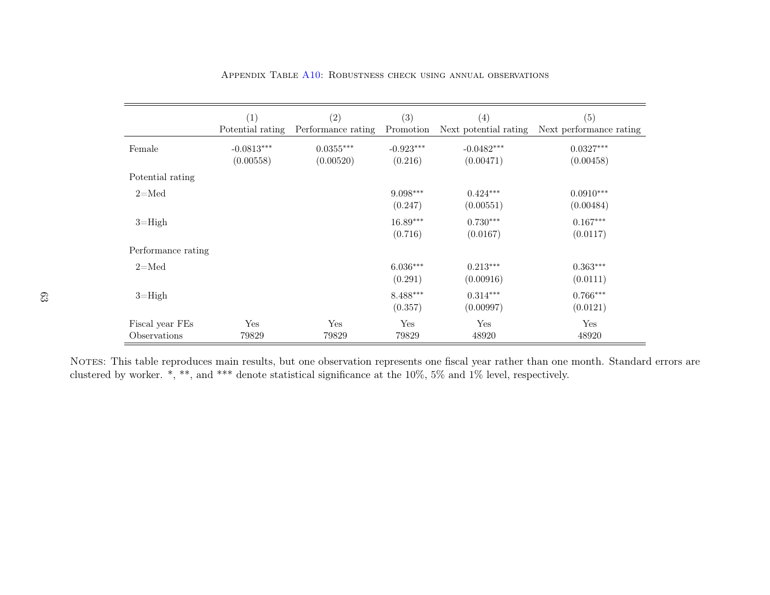|                                 | (1)<br>Potential rating   | (2)<br>Performance rating | (3)<br>Promotion       | (4)<br>Next potential rating | (5)<br>Next performance rating |
|---------------------------------|---------------------------|---------------------------|------------------------|------------------------------|--------------------------------|
| Female                          | $-0.0813***$<br>(0.00558) | $0.0355***$<br>(0.00520)  | $-0.923***$<br>(0.216) | $-0.0482***$<br>(0.00471)    | $0.0327***$<br>(0.00458)       |
| Potential rating                |                           |                           |                        |                              |                                |
| $2 = Med$                       |                           |                           | 9.098***<br>(0.247)    | $0.424***$<br>(0.00551)      | $0.0910***$<br>(0.00484)       |
| $3 =$ High                      |                           |                           | $16.89***$<br>(0.716)  | $0.730***$<br>(0.0167)       | $0.167***$<br>(0.0117)         |
| Performance rating              |                           |                           |                        |                              |                                |
| $2 = Med$                       |                           |                           | $6.036***$<br>(0.291)  | $0.213***$<br>(0.00916)      | $0.363***$<br>(0.0111)         |
| $3 =$ High                      |                           |                           | $8.488***$<br>(0.357)  | $0.314***$<br>(0.00997)      | $0.766***$<br>(0.0121)         |
| Fiscal year FEs<br>Observations | Yes<br>79829              | Yes<br>79829              | Yes<br>79829           | Yes<br>48920                 | Yes<br>48920                   |

<span id="page-63-1"></span><span id="page-63-0"></span>Appendix Table [A10:](#page-63-1) Robustness check using annual observations

NOTES: This table reproduces main results, but one observation represents one fiscal year rather than one month. Standard errors are<br>clustered by worker. \*, \*\*, and \*\*\* denote statistical significance at the 10%, 5% and 1%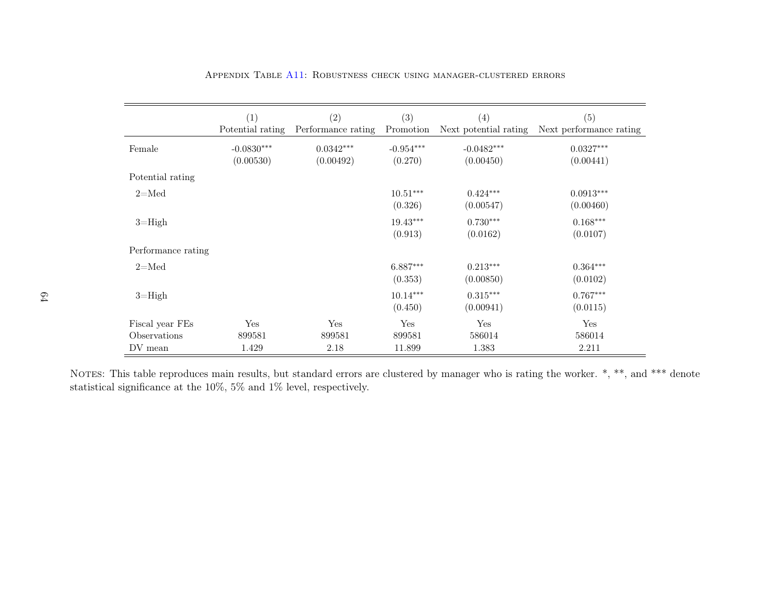<span id="page-64-1"></span>

|                    | (1)<br>Potential rating   | (2)<br>Performance rating | (3)<br>Promotion       | $\left( 4\right)$<br>Next potential rating | (5)<br>Next performance rating |
|--------------------|---------------------------|---------------------------|------------------------|--------------------------------------------|--------------------------------|
| Female             | $-0.0830***$<br>(0.00530) | $0.0342***$<br>(0.00492)  | $-0.954***$<br>(0.270) | $-0.0482***$<br>(0.00450)                  | $0.0327***$<br>(0.00441)       |
| Potential rating   |                           |                           |                        |                                            |                                |
| $2 = Med$          |                           |                           | $10.51***$<br>(0.326)  | $0.424***$<br>(0.00547)                    | $0.0913***$<br>(0.00460)       |
| $3 =$ High         |                           |                           | $19.43***$<br>(0.913)  | $0.730***$<br>(0.0162)                     | $0.168***$<br>(0.0107)         |
| Performance rating |                           |                           |                        |                                            |                                |
| $2 = Med$          |                           |                           | $6.887***$<br>(0.353)  | $0.213***$<br>(0.00850)                    | $0.364***$<br>(0.0102)         |
| $3 =$ High         |                           |                           | $10.14***$<br>(0.450)  | $0.315***$<br>(0.00941)                    | $0.767***$<br>(0.0115)         |
| Fiscal year FEs    | Yes                       | Yes                       | Yes                    | Yes                                        | Yes                            |
| Observations       | 899581                    | 899581                    | 899581                 | 586014                                     | 586014                         |
| $\rm DV$ mean      | 1.429                     | 2.18                      | 11.899                 | 1.383                                      | 2.211                          |

|  |  |  | APPENDIX TABLE A11: ROBUSTNESS CHECK USING MANAGER-CLUSTERED ERRORS |  |
|--|--|--|---------------------------------------------------------------------|--|
|  |  |  |                                                                     |  |

<span id="page-64-0"></span>NOTES: This table reproduces main results, but standard errors are clustered by manager who is rating the worker.  $*,$  \*\*, and \*\*\* denote statistical significance at the 10%, 5% and 1% level, respectively.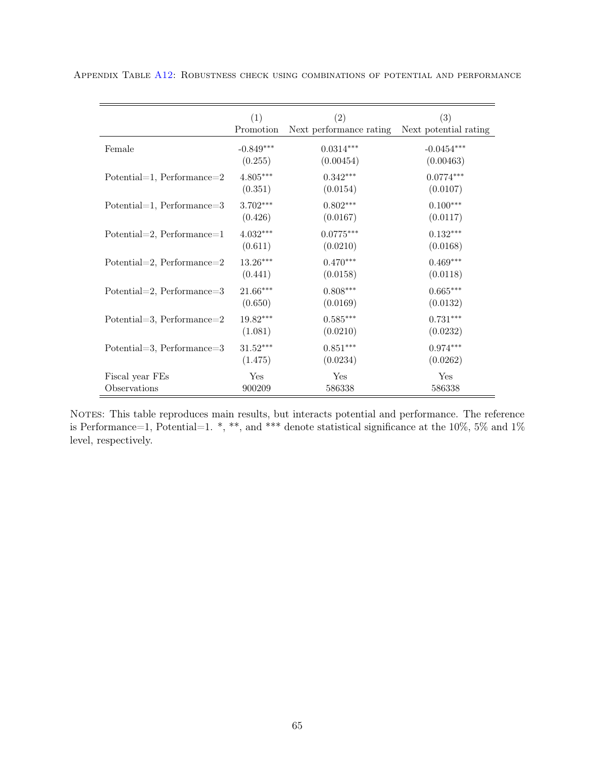|                               | (1)         | (2)                     | (3)                   |
|-------------------------------|-------------|-------------------------|-----------------------|
|                               | Promotion   | Next performance rating | Next potential rating |
| Female                        | $-0.849***$ | $0.0314***$             | $-0.0454***$          |
|                               | (0.255)     | (0.00454)               | (0.00463)             |
| Potential=1, Performance= $2$ | $4.805***$  | $0.342***$              | $0.0774***$           |
|                               | (0.351)     | (0.0154)                | (0.0107)              |
| Potential=1, Performance=3    | $3.702***$  | $0.802***$              | $0.100***$            |
|                               | (0.426)     | (0.0167)                | (0.0117)              |
| Potential=2, Performance= $1$ | $4.032***$  | $0.0775***$             | $0.132***$            |
|                               | (0.611)     | (0.0210)                | (0.0168)              |
| Potential=2, Performance= $2$ | $13.26***$  | $0.470***$              | $0.469***$            |
|                               | (0.441)     | (0.0158)                | (0.0118)              |
| Potential=2, Performance=3    | $21.66***$  | $0.808***$              | $0.665***$            |
|                               | (0.650)     | (0.0169)                | (0.0132)              |
| Potential=3, Performance= $2$ | $19.82***$  | $0.585***$              | $0.731***$            |
|                               | (1.081)     | (0.0210)                | (0.0232)              |
| Potential=3, Performance=3    | $31.52***$  | $0.851***$              | $0.974***$            |
|                               | (1.475)     | (0.0234)                | (0.0262)              |
| Fiscal year FEs               | Yes         | Yes                     | Yes                   |
| Observations                  | 900209      | 586338                  | 586338                |

<span id="page-65-0"></span>Appendix Table [A12:](#page-65-0) Robustness check using combinations of potential and performance

NOTES: This table reproduces main results, but interacts potential and performance. The reference is Performance=1, Potential=1. \*, \*\*, and \*\*\* denote statistical significance at the 10%, 5% and 1% level, respectively.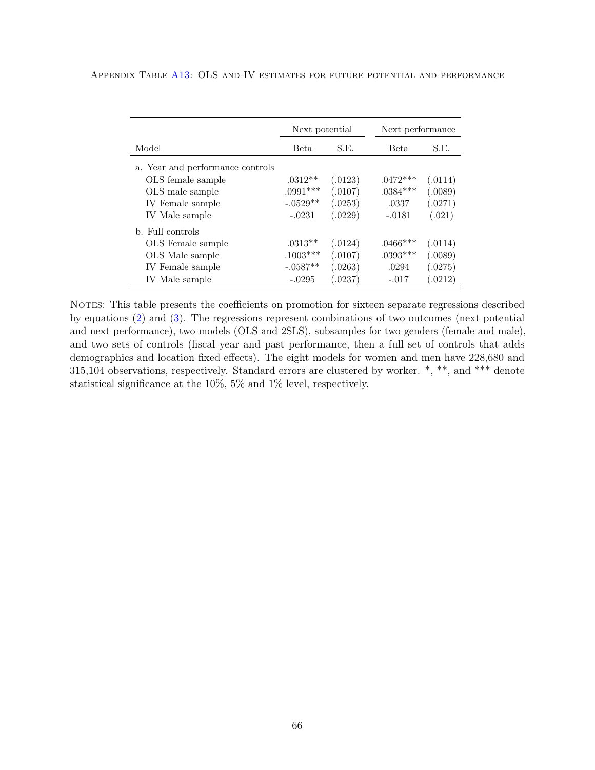|                                  | Next potential |         |            | Next performance |  |
|----------------------------------|----------------|---------|------------|------------------|--|
| Model                            | Beta.          | S.E.    | Beta       | S.E.             |  |
| a. Year and performance controls |                |         |            |                  |  |
| OLS female sample                | $.0312**$      | (.0123) | $.0472***$ | (.0114)          |  |
| OLS male sample                  | $.0991***$     | (.0107) | $.0384***$ | (.0089)          |  |
| IV Female sample                 | $-.0529**$     | (.0253) | .0337      | (.0271)          |  |
| IV Male sample                   | $-.0231$       | (.0229) | $-.0181$   | (.021)           |  |
| b. Full controls                 |                |         |            |                  |  |
| OLS Female sample                | $.0313**$      | (.0124) | $.0466***$ | (.0114)          |  |
| OLS Male sample                  | $.1003***$     | (.0107) | $.0393***$ | (.0089)          |  |
| IV Female sample                 | $-.0587**$     | (.0263) | .0294      | (.0275)          |  |
| IV Male sample                   | $-.0295$       | (.0237) | $-.017$    | .0212)           |  |

<span id="page-66-0"></span>Appendix Table [A13:](#page-66-0) OLS and IV estimates for future potential and performance

NOTES: This table presents the coefficients on promotion for sixteen separate regressions described by equations [\(2\)](#page-22-0) and [\(3\)](#page-22-0). The regressions represent combinations of two outcomes (next potential and next performance), two models (OLS and 2SLS), subsamples for two genders (female and male), and two sets of controls (fiscal year and past performance, then a full set of controls that adds demographics and location fixed effects). The eight models for women and men have 228,680 and 315,104 observations, respectively. Standard errors are clustered by worker. \*, \*\*, and \*\*\* denote statistical significance at the  $10\%,\,5\%$  and  $1\%$  level, respectively.